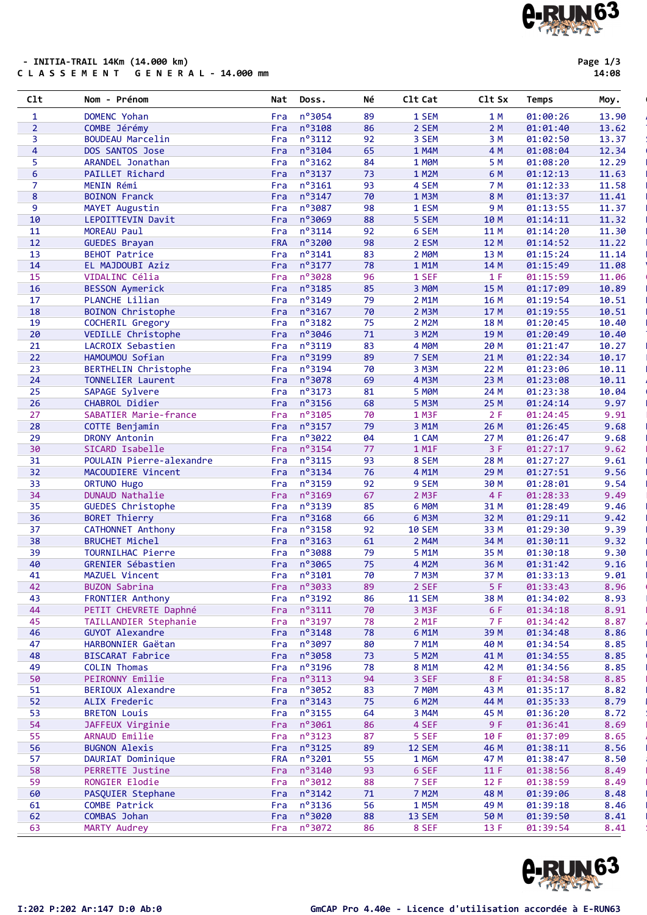| 20<br>21<br>22<br>23<br>24<br>25<br>26<br>27<br>28<br>29<br>30<br>31<br>32<br>33<br>34<br>35<br>36<br>37<br>38<br>39<br>40<br>41<br>42 | VEDILLE Christophe<br>LACROIX Sebastien<br>HAMOUMOU Sofian<br><b>BERTHELIN Christophe</b><br>TONNELIER Laurent<br>SAPAGE Sylvere<br>CHABROL Didier<br>SABATIER Marie-france<br>COTTE Benjamin<br>DRONY Antonin<br>SICARD Isabelle<br>POULAIN Pierre-alexandre<br>MACOUDIERE Vincent<br>ORTUNO Hugo<br>DUNAUD Nathalie<br><b>GUEDES Christophe</b><br><b>BORET Thierry</b><br><b>CATHONNET Anthony</b><br><b>BRUCHET Michel</b><br>TOURNILHAC Pierre<br>GRENIER Sébastien | Fra<br>Fra<br>Fra<br>Fra<br>Fra<br>Fra<br>Fra<br>Fra<br>Fra<br>Fra<br>Fra<br>Fra<br>Fra<br>Fra<br>Fra<br><b>Fra</b><br>Fra<br>Fra<br>Fra | n°3046<br>$n^o$ 3119<br>nº3199<br>n°3194<br>n°3078<br>$n^o$ 3173<br>$n^o$ 3156<br>n°3105<br>$n^o$ 3157<br>nº3022<br>$n^o$ 3154<br>$n^o$ 3115<br>$n^o$ 3134<br>nº3159<br>nº3169<br>n°3139<br>$n^o$ 3168 | 71<br>83<br>89<br>70<br>69<br>81<br>68<br>70<br>79<br>04<br>77<br>93<br>76<br>92<br>67<br>85 | 3 M2M<br><b>4 MOM</b><br>7 SEM<br>3 M3M<br>4 M3M<br><b>5 MOM</b><br>5 M3M<br>1 M3F<br>3 M1M<br>1 CAM<br>1 M1F<br>8 SEM<br>4 M1M<br>9 SEM<br>$2$ M3F<br>6 MOM | 19 M<br>20 M<br>21 M<br>22 M<br>23 M<br>24 M<br>25 M<br>2F<br>26 M<br>27 M<br>3F<br>28 M<br>29 M<br>30 M | 01:20:49<br>01:21:47<br>01:22:34<br>01:23:06<br>01:23:08<br>01:23:38<br>01:24:14<br>01:24:45<br>01:26:45<br>01:26:47<br>01:27:17<br>01:27:27<br>01:27:51<br>01:28:01 | 10.40<br>10.27<br>10.17<br>10.11<br>10.11<br>10.04<br>9.97<br>9.91<br>9.68<br>9.68<br>9.62<br>9.61<br>9.56<br>9.54 |
|----------------------------------------------------------------------------------------------------------------------------------------|--------------------------------------------------------------------------------------------------------------------------------------------------------------------------------------------------------------------------------------------------------------------------------------------------------------------------------------------------------------------------------------------------------------------------------------------------------------------------|------------------------------------------------------------------------------------------------------------------------------------------|--------------------------------------------------------------------------------------------------------------------------------------------------------------------------------------------------------|----------------------------------------------------------------------------------------------|--------------------------------------------------------------------------------------------------------------------------------------------------------------|----------------------------------------------------------------------------------------------------------|----------------------------------------------------------------------------------------------------------------------------------------------------------------------|--------------------------------------------------------------------------------------------------------------------|
|                                                                                                                                        |                                                                                                                                                                                                                                                                                                                                                                                                                                                                          |                                                                                                                                          |                                                                                                                                                                                                        |                                                                                              |                                                                                                                                                              |                                                                                                          |                                                                                                                                                                      |                                                                                                                    |
|                                                                                                                                        |                                                                                                                                                                                                                                                                                                                                                                                                                                                                          |                                                                                                                                          |                                                                                                                                                                                                        |                                                                                              |                                                                                                                                                              |                                                                                                          |                                                                                                                                                                      |                                                                                                                    |
|                                                                                                                                        |                                                                                                                                                                                                                                                                                                                                                                                                                                                                          |                                                                                                                                          |                                                                                                                                                                                                        |                                                                                              |                                                                                                                                                              |                                                                                                          |                                                                                                                                                                      |                                                                                                                    |
|                                                                                                                                        |                                                                                                                                                                                                                                                                                                                                                                                                                                                                          |                                                                                                                                          |                                                                                                                                                                                                        |                                                                                              |                                                                                                                                                              |                                                                                                          |                                                                                                                                                                      |                                                                                                                    |
|                                                                                                                                        |                                                                                                                                                                                                                                                                                                                                                                                                                                                                          |                                                                                                                                          |                                                                                                                                                                                                        |                                                                                              |                                                                                                                                                              |                                                                                                          |                                                                                                                                                                      |                                                                                                                    |
|                                                                                                                                        |                                                                                                                                                                                                                                                                                                                                                                                                                                                                          |                                                                                                                                          |                                                                                                                                                                                                        |                                                                                              |                                                                                                                                                              |                                                                                                          |                                                                                                                                                                      |                                                                                                                    |
|                                                                                                                                        |                                                                                                                                                                                                                                                                                                                                                                                                                                                                          |                                                                                                                                          |                                                                                                                                                                                                        |                                                                                              |                                                                                                                                                              |                                                                                                          |                                                                                                                                                                      |                                                                                                                    |
|                                                                                                                                        |                                                                                                                                                                                                                                                                                                                                                                                                                                                                          |                                                                                                                                          |                                                                                                                                                                                                        |                                                                                              |                                                                                                                                                              |                                                                                                          |                                                                                                                                                                      |                                                                                                                    |
|                                                                                                                                        |                                                                                                                                                                                                                                                                                                                                                                                                                                                                          |                                                                                                                                          |                                                                                                                                                                                                        |                                                                                              |                                                                                                                                                              |                                                                                                          |                                                                                                                                                                      |                                                                                                                    |
|                                                                                                                                        |                                                                                                                                                                                                                                                                                                                                                                                                                                                                          |                                                                                                                                          |                                                                                                                                                                                                        |                                                                                              |                                                                                                                                                              |                                                                                                          |                                                                                                                                                                      |                                                                                                                    |
|                                                                                                                                        |                                                                                                                                                                                                                                                                                                                                                                                                                                                                          |                                                                                                                                          |                                                                                                                                                                                                        |                                                                                              |                                                                                                                                                              |                                                                                                          |                                                                                                                                                                      |                                                                                                                    |
|                                                                                                                                        |                                                                                                                                                                                                                                                                                                                                                                                                                                                                          |                                                                                                                                          |                                                                                                                                                                                                        |                                                                                              |                                                                                                                                                              |                                                                                                          |                                                                                                                                                                      |                                                                                                                    |
|                                                                                                                                        |                                                                                                                                                                                                                                                                                                                                                                                                                                                                          |                                                                                                                                          |                                                                                                                                                                                                        |                                                                                              |                                                                                                                                                              |                                                                                                          |                                                                                                                                                                      |                                                                                                                    |
|                                                                                                                                        |                                                                                                                                                                                                                                                                                                                                                                                                                                                                          |                                                                                                                                          |                                                                                                                                                                                                        |                                                                                              |                                                                                                                                                              |                                                                                                          |                                                                                                                                                                      |                                                                                                                    |
|                                                                                                                                        |                                                                                                                                                                                                                                                                                                                                                                                                                                                                          |                                                                                                                                          |                                                                                                                                                                                                        |                                                                                              |                                                                                                                                                              | 4 F                                                                                                      | 01:28:33                                                                                                                                                             | 9.49                                                                                                               |
|                                                                                                                                        |                                                                                                                                                                                                                                                                                                                                                                                                                                                                          |                                                                                                                                          |                                                                                                                                                                                                        |                                                                                              |                                                                                                                                                              | 31 M                                                                                                     | 01:28:49                                                                                                                                                             | 9.46                                                                                                               |
|                                                                                                                                        |                                                                                                                                                                                                                                                                                                                                                                                                                                                                          |                                                                                                                                          |                                                                                                                                                                                                        | 66                                                                                           | 6 M3M                                                                                                                                                        | 32 M                                                                                                     | 01:29:11                                                                                                                                                             | 9.42                                                                                                               |
|                                                                                                                                        |                                                                                                                                                                                                                                                                                                                                                                                                                                                                          |                                                                                                                                          | n°3158                                                                                                                                                                                                 | 92                                                                                           | <b>10 SEM</b>                                                                                                                                                | 33 M                                                                                                     | 01:29:30                                                                                                                                                             | 9.39                                                                                                               |
|                                                                                                                                        |                                                                                                                                                                                                                                                                                                                                                                                                                                                                          |                                                                                                                                          | n°3163                                                                                                                                                                                                 | 61                                                                                           | 2 M4M                                                                                                                                                        | 34 M                                                                                                     | 01:30:11                                                                                                                                                             | 9.32                                                                                                               |
|                                                                                                                                        |                                                                                                                                                                                                                                                                                                                                                                                                                                                                          | Fra                                                                                                                                      | n°3088                                                                                                                                                                                                 | 79                                                                                           | 5 M1M                                                                                                                                                        | 35 M                                                                                                     | 01:30:18                                                                                                                                                             | 9.30                                                                                                               |
|                                                                                                                                        |                                                                                                                                                                                                                                                                                                                                                                                                                                                                          | Fra                                                                                                                                      | n°3065                                                                                                                                                                                                 | 75                                                                                           | 4 M2M                                                                                                                                                        | 36 M                                                                                                     | 01:31:42                                                                                                                                                             | 9.16                                                                                                               |
|                                                                                                                                        | MAZUEL Vincent                                                                                                                                                                                                                                                                                                                                                                                                                                                           | Fra                                                                                                                                      | n°3101                                                                                                                                                                                                 | 70                                                                                           | <b>7 M3M</b>                                                                                                                                                 | 37 M                                                                                                     | 01:33:13                                                                                                                                                             | 9.01                                                                                                               |
|                                                                                                                                        | <b>BUZON Sabrina</b>                                                                                                                                                                                                                                                                                                                                                                                                                                                     | Fra                                                                                                                                      | nº3033                                                                                                                                                                                                 | 89                                                                                           | 2 SEF                                                                                                                                                        | 5 F                                                                                                      | 01:33:43                                                                                                                                                             | 8.96                                                                                                               |
| 43                                                                                                                                     | <b>FRONTIER Anthony</b>                                                                                                                                                                                                                                                                                                                                                                                                                                                  | Fra                                                                                                                                      | nº3192                                                                                                                                                                                                 | 86                                                                                           | <b>11 SEM</b>                                                                                                                                                | 38 M                                                                                                     | 01:34:02                                                                                                                                                             | 8.93                                                                                                               |
| 44                                                                                                                                     | PETIT CHEVRETE Daphné                                                                                                                                                                                                                                                                                                                                                                                                                                                    | Fra                                                                                                                                      | $n^o$ 3111                                                                                                                                                                                             | 70                                                                                           | 3 M <sub>3F</sub>                                                                                                                                            | 6 F                                                                                                      | 01:34:18                                                                                                                                                             | 8.91                                                                                                               |
| 45                                                                                                                                     | TAILLANDIER Stephanie                                                                                                                                                                                                                                                                                                                                                                                                                                                    | Fra                                                                                                                                      | nº3197                                                                                                                                                                                                 | 78                                                                                           | 2 M1F                                                                                                                                                        | 7 F                                                                                                      | 01:34:42                                                                                                                                                             | 8.87                                                                                                               |
| 46                                                                                                                                     | <b>GUYOT Alexandre</b>                                                                                                                                                                                                                                                                                                                                                                                                                                                   |                                                                                                                                          | Fra $n^{\circ}3148$                                                                                                                                                                                    | 78                                                                                           | 6 M1M                                                                                                                                                        | 39 M                                                                                                     | 01:34:48                                                                                                                                                             | 8.86                                                                                                               |
| 47                                                                                                                                     | HARBONNIER Gaëtan                                                                                                                                                                                                                                                                                                                                                                                                                                                        | Fra                                                                                                                                      | n°3097                                                                                                                                                                                                 | 80                                                                                           | 7 M1M                                                                                                                                                        | 40 M                                                                                                     | 01:34:54                                                                                                                                                             | 8.85                                                                                                               |
| 48                                                                                                                                     | <b>BISCARAT Fabrice</b>                                                                                                                                                                                                                                                                                                                                                                                                                                                  | Fra                                                                                                                                      | $n^o$ 3058                                                                                                                                                                                             | 73                                                                                           | 5 M2M                                                                                                                                                        | 41 M                                                                                                     | 01:34:55                                                                                                                                                             | 8.85                                                                                                               |
| 49                                                                                                                                     | <b>COLIN Thomas</b>                                                                                                                                                                                                                                                                                                                                                                                                                                                      | Fra                                                                                                                                      | $n^o$ 3196                                                                                                                                                                                             | 78                                                                                           | 8 M1M                                                                                                                                                        | 42 M                                                                                                     | 01:34:56                                                                                                                                                             | 8.85                                                                                                               |
| 50                                                                                                                                     | PEIRONNY Emilie                                                                                                                                                                                                                                                                                                                                                                                                                                                          | Fra                                                                                                                                      | $n^o$ 3113                                                                                                                                                                                             | 94                                                                                           | 3 SEF                                                                                                                                                        | 8 F                                                                                                      | 01:34:58                                                                                                                                                             | 8.85                                                                                                               |
| 51                                                                                                                                     | BERIOUX Alexandre                                                                                                                                                                                                                                                                                                                                                                                                                                                        | Fra                                                                                                                                      | nº3052                                                                                                                                                                                                 | 83                                                                                           | <b>7 MOM</b>                                                                                                                                                 | 43 M                                                                                                     | 01:35:17                                                                                                                                                             | 8.82                                                                                                               |
| 52                                                                                                                                     | ALIX Frederic                                                                                                                                                                                                                                                                                                                                                                                                                                                            | Fra                                                                                                                                      | $n^{\circ}3143$                                                                                                                                                                                        | 75                                                                                           | 6 M2M                                                                                                                                                        | 44 M                                                                                                     | 01:35:33                                                                                                                                                             | 8.79                                                                                                               |
| 53                                                                                                                                     | <b>BRETON Louis</b>                                                                                                                                                                                                                                                                                                                                                                                                                                                      | Fra                                                                                                                                      | $n^o$ 3155                                                                                                                                                                                             | 64                                                                                           | 3 M4M                                                                                                                                                        | 45 M                                                                                                     | 01:36:20                                                                                                                                                             | 8.72                                                                                                               |
| 54                                                                                                                                     | JAFFEUX Virginie                                                                                                                                                                                                                                                                                                                                                                                                                                                         |                                                                                                                                          | Fra nº3061                                                                                                                                                                                             | 86                                                                                           | 4 SEF                                                                                                                                                        | 9F                                                                                                       | 01:36:41                                                                                                                                                             | 8.69                                                                                                               |
| 55                                                                                                                                     | ARNAUD Emilie                                                                                                                                                                                                                                                                                                                                                                                                                                                            | Fra                                                                                                                                      | $n^o$ 3123                                                                                                                                                                                             | 87                                                                                           | 5 SEF                                                                                                                                                        | 10 F                                                                                                     | 01:37:09                                                                                                                                                             | 8.65                                                                                                               |
| 56                                                                                                                                     | <b>BUGNON Alexis</b>                                                                                                                                                                                                                                                                                                                                                                                                                                                     | Fra                                                                                                                                      | $n^{\circ}3125$                                                                                                                                                                                        | 89                                                                                           | 12 SEM                                                                                                                                                       | 46 M                                                                                                     | 01:38:11                                                                                                                                                             | 8.56                                                                                                               |
| 57                                                                                                                                     | DAURIAT Dominique                                                                                                                                                                                                                                                                                                                                                                                                                                                        | <b>FRA</b>                                                                                                                               | $n^o$ 3201                                                                                                                                                                                             | 55                                                                                           | <b>1 M6M</b>                                                                                                                                                 | 47 M                                                                                                     | 01:38:47                                                                                                                                                             | 8.50                                                                                                               |
| 58                                                                                                                                     | PERRETTE Justine                                                                                                                                                                                                                                                                                                                                                                                                                                                         | Fra i                                                                                                                                    | $n^{\circ}3140$                                                                                                                                                                                        | 93                                                                                           | 6 SEF                                                                                                                                                        | 11 F                                                                                                     | 01:38:56                                                                                                                                                             | 8.49                                                                                                               |
| 59                                                                                                                                     | RONGIER Elodie                                                                                                                                                                                                                                                                                                                                                                                                                                                           | Fra                                                                                                                                      | $n^{\circ}3012$                                                                                                                                                                                        | 88                                                                                           | 7 SEF                                                                                                                                                        | 12 F                                                                                                     | 01:38:59                                                                                                                                                             | 8.49                                                                                                               |
| 60                                                                                                                                     | PASQUIER Stephane                                                                                                                                                                                                                                                                                                                                                                                                                                                        | Fra                                                                                                                                      | $n^o$ 3142                                                                                                                                                                                             | 71                                                                                           | <b>7 M2M</b>                                                                                                                                                 | 48 M                                                                                                     | 01:39:06                                                                                                                                                             | 8.48                                                                                                               |
| 61                                                                                                                                     | COMBE Patrick                                                                                                                                                                                                                                                                                                                                                                                                                                                            | Fra                                                                                                                                      | $n^o$ 3136                                                                                                                                                                                             | 56                                                                                           | <b>1 M5M</b>                                                                                                                                                 | 49 M                                                                                                     | 01:39:18                                                                                                                                                             | 8.46                                                                                                               |
| 62                                                                                                                                     | COMBAS Johan                                                                                                                                                                                                                                                                                                                                                                                                                                                             | Fra                                                                                                                                      | nº3020                                                                                                                                                                                                 | 88                                                                                           | 13 SEM                                                                                                                                                       | 50 M                                                                                                     | 01:39:50                                                                                                                                                             | 8.41                                                                                                               |
| 63                                                                                                                                     | MARTY Audrey                                                                                                                                                                                                                                                                                                                                                                                                                                                             | Fra                                                                                                                                      | $n^{\circ}3072$                                                                                                                                                                                        | 86                                                                                           | 8 SEF                                                                                                                                                        | 13 F                                                                                                     | 01:39:54                                                                                                                                                             | 8.41                                                                                                               |
|                                                                                                                                        |                                                                                                                                                                                                                                                                                                                                                                                                                                                                          |                                                                                                                                          |                                                                                                                                                                                                        |                                                                                              |                                                                                                                                                              |                                                                                                          |                                                                                                                                                                      |                                                                                                                    |

Clt Nom - Prénom Nat Doss. Né Clt Cat Clt Sx Temps Moy. '

10 LEPOITTEVIN Davit Fra n°3069 88 5 SEM 10 M 01:14:11 11.32 Non Licencié

18 BOINON Christophe Fra n°3167 70 2 M3M 17 M 01:19:55 10.51 Non Licencié

3 BOUDEAU Marcelin **Fran<sup>o</sup>3112** 92 3 SEM 3 M 01:02:50 13.37 4 DOS SANTOS Jose Fra n°3104 65 1 M4M 4 M 01:08:04 12.34 Courir à cusset 5 ARANDEL Jonathan Fra nº3162 84 1 M0M 5M 01:08:20 12.29 6 PAILLET Richard Fra n°3137 73 1 M2M 6M 01:12:13 11.63 7 MENIN Rémi Fra nº3161 93 4 SEM 7M 01:12:33 11.58 No 8 BOINON Franck Fra n°3147 70 1 M3M 8M 01:13:37 11.41 9 MAYET Augustin Fra n°3087 98 1 ESM 9M 01:13:55 11.37

11 MOREAU Paul **Franº3114 92 6 SEM 11 M** 01:14:20 11.30

13 BEHOT Patrice **Franº3141 83** 2 M0M 13 M 01:15:24 11.14 14 EL MAJDOUBI Aziz Fra nº3177 78 1 M1M 14 M 01:15:49 11.08

16 BESSON Aymerick Fra n°3185 85 3 M0M 15 M 01:17:09 10.89 17 PLANCHE Lilian **Fran<sup>o</sup>3149 79 2 M1M** 16 M 01:19:54 10.51

19 COCHERIL Gregory ... Fra n°3182 75 2 M2M 18 M 01:20:45 10.40

1 DOMENC Yohan **1** Fra n°3054 89 1 SEM 1 M 01:00:26 13.90 Athle les 2 COMBE Jérémy **Fran<sup>o</sup>3108 86 2 SEM 2 M 01:01:40 13.62** 

12 GUEDES Brayan **FRA n°3200** 98 2 ESM 12 M 01:14:52 11.22

15 VIDALINC Célia Fra n°3028 96 1 SEF 1 F 01:15:59 11.06

#### - INITIA-TRAIL 14Km (14.000 km) C L A S S E M E N T G E N E R A L - 14.000 mm

Page 1/3

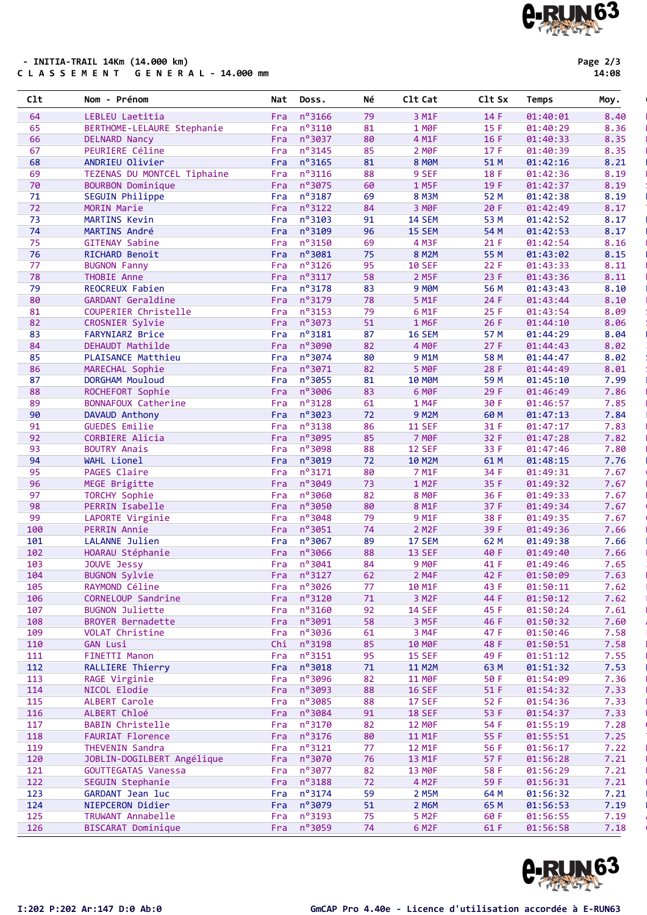#### - INITIA-TRAIL 14Km (14.000 km) C L A S S E M E N T G E N E R A L - 14.000 mm

| n°3037<br>4 M1F<br>16F<br>01:40:33<br>8.35<br>66<br><b>DELNARD Nancy</b><br>Fra<br>80<br>Fra $n^{\circ}3145$<br>8.35<br>PEURIERE Céline<br>85<br>2 MOF<br>17F<br>01:40:39<br>8.21<br>ANDRIEU Olivier<br>$n^o$ 3165<br>81<br>8 MOM<br>51 M<br>01:42:16<br>Fra<br>Fra nº3116<br>8.19<br>TEZENAS DU MONTCEL Tiphaine<br>88<br>9 SEF<br>18 F<br>01:42:36<br><b>BOURBON Dominique</b><br>n°3075<br>19 F<br>01:42:37<br>8.19<br>Fra<br>60<br>1 M5F<br>SEGUIN Philippe<br>n°3187<br>69<br><b>8 M3M</b><br>52 M<br>01:42:38<br>8.19<br>Fra<br>MORIN Marie<br>$n^{\circ}3122$<br>84<br>3 MOF<br>20 F<br>01:42:49<br>8.17<br>Fra<br>$n^o$ 3103<br>73<br>MARTINS Kevin<br>91<br><b>14 SEM</b><br>53 M<br>01:42:52<br>8.17<br>Fra<br>n°3109<br>8.17<br>74<br>MARTINS André<br>96<br>15 SEM<br>54 M<br>01:42:53<br>Fra<br>nº3150<br>75<br>4 M3F<br>21 F<br>01:42:54<br>8.16<br><b>GITENAY Sabine</b><br>Fra<br>69<br>n°3081<br>76<br>RICHARD Benoit<br>75<br>8 M2M<br>55 M<br>01:43:02<br>8.15<br>Fra<br>$n^o$ 3126<br>77<br><b>BUGNON Fanny</b><br>95<br><b>10 SEF</b><br>22F<br>01:43:33<br>8.11<br>Fra<br>$n^{\circ}3117$<br>THOBIE Anne<br>58<br>2 M5F<br>23 F<br>01:43:36<br>8.11<br>Fra<br>n°3178<br>REOCREUX Fabien<br>83<br>9 MOM<br>56 M<br>8.10<br>Fra<br>01:43:43<br>n°3179<br><b>GARDANT Geraldine</b><br>78<br>5 M1F<br>24 F<br>01:43:44<br>8.10<br>Fra<br>$n^o$ 3153<br>8.09<br>COUPERIER Christelle<br>79<br>6 M1F<br>25 F<br>01:43:54<br>Fra<br>n°3073<br>CROSNIER Sylvie<br>Fra<br>51<br>1 M6F<br>26F<br>01:44:10<br>8.06<br>$n^o$ 3181<br><b>16 SEM</b><br>8.04<br>FARYNIARZ Brice<br>Fra<br>87<br>57 M<br>01:44:29<br>nº3090<br>27F<br>8.02<br>4 MOF<br>DEHAUDT Mathilde<br>Fra<br>82<br>01:44:43<br>n°3074<br>8.02<br>9 M1M<br>58 M<br>PLAISANCE Matthieu<br>Fra<br>80<br>01:44:47<br>nº3071<br>MARECHAL Sophie<br><b>5 MOF</b><br>28 F<br>01:44:49<br>8.01<br>Fra<br>82<br>DORGHAM Mouloud<br>n°3055<br><b>10 MOM</b><br>59 M<br>7.99<br>Fra<br>81<br>01:45:10<br>ROCHEFORT Sophie<br>n°3006<br>6 MOF<br>29 F<br>01:46:49<br>7.86<br>88<br>Fra<br>83<br>89<br>BONNAFOUX Catherine<br>$n^o$ 3128<br>1 M4F<br>30 F<br>7.85<br>Fra<br>61<br>01:46:57<br>$n^o$ 3023<br>7.84<br>90<br>DAVAUD Anthony<br>72<br><b>9 M2M</b><br>01:47:13<br>Fra<br>60 M<br>7.83<br><b>GUEDES Emilie</b><br>$n^{\circ}3138$<br><b>11 SEF</b><br>91<br>Fra<br>86<br>31 F<br>01:47:17<br>n°3095<br>7 MOF<br>7.82<br>92<br>CORBIERE Alicia<br>85<br>32 F<br>01:47:28<br>Fra<br>7.80<br>93<br><b>BOUTRY Anais</b><br>n°3098<br>88<br><b>12 SEF</b><br>33 F<br>Fra<br>01:47:46<br>$n^o$ 3019<br>WAHL Lionel<br>72<br>10 M2M<br>61 M<br>01:48:15<br>7.76<br>Fra<br>PAGES Claire<br>$n^{\circ}3171$<br>7 M1F<br>34 F<br>7.67<br>Fra<br>80<br>01:49:31<br>n°3049<br>73<br>35 F<br>01:49:32<br>7.67<br>MEGE Brigitte<br>Fra<br>1 M <sub>2</sub> F<br>nº3060<br><b>TORCHY Sophie</b><br>82<br><b>8 MØF</b><br>36 F<br>01:49:33<br>7.67<br>Fra<br>nº3050<br>PERRIN Isabelle<br>80<br>8 M1F<br>37 F<br>01:49:34<br>7.67<br>Fra<br>nº3048<br>79<br>9 M1F<br>38 F<br>01:49:35<br>7.67<br>LAPORTE Virginie<br>Fra<br>$n^o$ 3051<br><b>PERRIN Annie</b><br>74<br>2 M <sub>2</sub> F<br>39 F<br>01:49:36<br>7.66<br>Fra<br>nº3067<br>LALANNE Julien<br>17 SEM<br>62 M<br>7.66<br>Fra<br>89<br>01:49:38<br>$n^o$ 3066<br>HOARAU Stéphanie<br>88<br><b>13 SEF</b><br>40 F<br>7.66<br>Fra<br>01:49:40<br>n°3041<br>JOUVE Jessy<br>7.65<br>Fra<br>84<br>9 MOF<br>41 F<br>01:49:46<br>Fra $n^{\circ}3127$<br>42 F<br>104<br><b>BUGNON Sylvie</b><br>62<br>2 M4F<br>01:50:09<br>7.63<br>Fra nº3026<br>77<br>43 F<br>7.62<br>105<br>RAYMOND Céline<br>10 M1F<br>01:50:11<br>Fra nº3120<br>71<br>3 M <sub>2F</sub><br>44 F<br>7.62<br>106<br>CORNELOUP Sandrine<br>01:50:12<br>Fra nº3160<br>107<br>92<br><b>14 SEF</b><br>45 F<br>7.61<br><b>BUGNON Juliette</b><br>01:50:24<br>Fra nº3091<br><b>BROYER Bernadette</b><br>3 M5F<br>46 F<br>01:50:32<br>7.60<br>58<br>Fra nº3036<br>3 M4F<br>7.58<br>VOLAT Christine<br>47 F<br>01:50:46<br>61<br><b>GAN Lusi</b><br>Chi nº3198<br>7.58<br>85<br><b>10 MOF</b><br>48 F<br>01:50:51<br>FINETTI Manon<br>Fra $n^{\circ}3151$<br>7.55<br>95<br>15 SEF<br>49 F<br>01:51:12<br>RALLIERE Thierry<br>$n^o$ 3018<br>7.53<br>Fra<br>71<br><b>11 M2M</b><br>63 M<br>01:51:32<br>RAGE Virginie<br>Fra nº3096<br>7.36<br>82<br><b>11 MOF</b><br>50 F<br>01:54:09<br>NICOL Elodie<br><b>16 SEF</b><br>7.33<br>n°3093<br>88<br>51 F<br>01:54:32<br>Fra<br>ALBERT Carole<br>n°3085<br><b>17 SEF</b><br>7.33<br>88<br>52 F<br>01:54:36<br>Fra<br>ALBERT Chloé<br>nº3084<br><b>18 SEF</b><br>7.33<br>91<br>53 F<br>01:54:37<br>Fra<br><b>BABIN Christelle</b><br>n°3170<br>7.28<br>117<br>82<br><b>12 MOF</b><br>54 F<br>01:55:19<br>Fra<br><b>FAURIAT Florence</b><br>$n^o$ 3176<br>55 F<br>7.25<br>118<br>80<br>11 M1F<br>01:55:51<br>Fra<br>119<br>THEVENIN Sandra<br>$n^{\circ}3121$<br>12 M1F<br>7.22<br>77<br>56 F<br>01:56:17<br>Fra<br>JOBLIN-DOGILBERT Angélique<br>nº3070<br>7.21<br>120<br>76<br>13 M1F<br>57 F<br>01:56:28<br>Fra<br>GOUTTEGATAS Vanessa<br>$n^{\circ}3077$<br>13 MOF<br>7.21<br>82<br>58 F<br>01:56:29<br>Fra<br>SEGUIN Stephanie<br>$n^o$ 3188<br>4 M <sub>2</sub> F<br>59 F<br>7.21<br>72<br>01:56:31<br>Fra<br>GARDANT Jean luc<br>$n^o$ 3174<br>7.21<br>59<br>2 M5M<br>64 M<br>01:56:32<br>Fra<br>NIEPCERON Didier<br>nº3079<br>7.19<br>51<br>2 M6M<br>65 M<br>01:56:53<br>Fra<br>TRUWANT Annabelle<br>$n^o$ 3193<br>5 M <sub>2</sub> F<br>60 F<br>01:56:55<br>7.19<br>Fra<br>75<br>Fra nº3059<br><b>BISCARAT Dominique</b><br>74<br>6 M <sub>2</sub> F<br>61 F<br>01:56:58<br>7.18 | 65  | BERTHOME-LELAURE Stephanie | Fra | n°3110 | 81 | 1 MOF | 15 F | 01:40:29 | 8.36 |
|------------------------------------------------------------------------------------------------------------------------------------------------------------------------------------------------------------------------------------------------------------------------------------------------------------------------------------------------------------------------------------------------------------------------------------------------------------------------------------------------------------------------------------------------------------------------------------------------------------------------------------------------------------------------------------------------------------------------------------------------------------------------------------------------------------------------------------------------------------------------------------------------------------------------------------------------------------------------------------------------------------------------------------------------------------------------------------------------------------------------------------------------------------------------------------------------------------------------------------------------------------------------------------------------------------------------------------------------------------------------------------------------------------------------------------------------------------------------------------------------------------------------------------------------------------------------------------------------------------------------------------------------------------------------------------------------------------------------------------------------------------------------------------------------------------------------------------------------------------------------------------------------------------------------------------------------------------------------------------------------------------------------------------------------------------------------------------------------------------------------------------------------------------------------------------------------------------------------------------------------------------------------------------------------------------------------------------------------------------------------------------------------------------------------------------------------------------------------------------------------------------------------------------------------------------------------------------------------------------------------------------------------------------------------------------------------------------------------------------------------------------------------------------------------------------------------------------------------------------------------------------------------------------------------------------------------------------------------------------------------------------------------------------------------------------------------------------------------------------------------------------------------------------------------------------------------------------------------------------------------------------------------------------------------------------------------------------------------------------------------------------------------------------------------------------------------------------------------------------------------------------------------------------------------------------------------------------------------------------------------------------------------------------------------------------------------------------------------------------------------------------------------------------------------------------------------------------------------------------------------------------------------------------------------------------------------------------------------------------------------------------------------------------------------------------------------------------------------------------------------------------------------------------------------------------------------------------------------------------------------------------------------------------------------------------------------------------------------------------------------------------------------------------------------------------------------------------------------------------------------------------------------------------------------------------------------------------------------------------------------------------------------------------------------------------------------------------------------------------------------------------------------------------------------------------------------------------------------------------------------------------------------------------------------------------------------------------------------------------------------------------------------------------------------------------------------------------------------------------------------------------------------------------------------------------------------------------------------------------------------------------------------------------------------------------------------------------------------------------------------------------------------------------------------------------------------------------------------------------------------------------------------------------------------------------------------------------------------------------|-----|----------------------------|-----|--------|----|-------|------|----------|------|
|                                                                                                                                                                                                                                                                                                                                                                                                                                                                                                                                                                                                                                                                                                                                                                                                                                                                                                                                                                                                                                                                                                                                                                                                                                                                                                                                                                                                                                                                                                                                                                                                                                                                                                                                                                                                                                                                                                                                                                                                                                                                                                                                                                                                                                                                                                                                                                                                                                                                                                                                                                                                                                                                                                                                                                                                                                                                                                                                                                                                                                                                                                                                                                                                                                                                                                                                                                                                                                                                                                                                                                                                                                                                                                                                                                                                                                                                                                                                                                                                                                                                                                                                                                                                                                                                                                                                                                                                                                                                                                                                                                                                                                                                                                                                                                                                                                                                                                                                                                                                                                                                                                                                                                                                                                                                                                                                                                                                                                                                                                                                                                                                            |     |                            |     |        |    |       |      |          |      |
|                                                                                                                                                                                                                                                                                                                                                                                                                                                                                                                                                                                                                                                                                                                                                                                                                                                                                                                                                                                                                                                                                                                                                                                                                                                                                                                                                                                                                                                                                                                                                                                                                                                                                                                                                                                                                                                                                                                                                                                                                                                                                                                                                                                                                                                                                                                                                                                                                                                                                                                                                                                                                                                                                                                                                                                                                                                                                                                                                                                                                                                                                                                                                                                                                                                                                                                                                                                                                                                                                                                                                                                                                                                                                                                                                                                                                                                                                                                                                                                                                                                                                                                                                                                                                                                                                                                                                                                                                                                                                                                                                                                                                                                                                                                                                                                                                                                                                                                                                                                                                                                                                                                                                                                                                                                                                                                                                                                                                                                                                                                                                                                                            |     |                            |     |        |    |       |      |          |      |
|                                                                                                                                                                                                                                                                                                                                                                                                                                                                                                                                                                                                                                                                                                                                                                                                                                                                                                                                                                                                                                                                                                                                                                                                                                                                                                                                                                                                                                                                                                                                                                                                                                                                                                                                                                                                                                                                                                                                                                                                                                                                                                                                                                                                                                                                                                                                                                                                                                                                                                                                                                                                                                                                                                                                                                                                                                                                                                                                                                                                                                                                                                                                                                                                                                                                                                                                                                                                                                                                                                                                                                                                                                                                                                                                                                                                                                                                                                                                                                                                                                                                                                                                                                                                                                                                                                                                                                                                                                                                                                                                                                                                                                                                                                                                                                                                                                                                                                                                                                                                                                                                                                                                                                                                                                                                                                                                                                                                                                                                                                                                                                                                            | 67  |                            |     |        |    |       |      |          |      |
|                                                                                                                                                                                                                                                                                                                                                                                                                                                                                                                                                                                                                                                                                                                                                                                                                                                                                                                                                                                                                                                                                                                                                                                                                                                                                                                                                                                                                                                                                                                                                                                                                                                                                                                                                                                                                                                                                                                                                                                                                                                                                                                                                                                                                                                                                                                                                                                                                                                                                                                                                                                                                                                                                                                                                                                                                                                                                                                                                                                                                                                                                                                                                                                                                                                                                                                                                                                                                                                                                                                                                                                                                                                                                                                                                                                                                                                                                                                                                                                                                                                                                                                                                                                                                                                                                                                                                                                                                                                                                                                                                                                                                                                                                                                                                                                                                                                                                                                                                                                                                                                                                                                                                                                                                                                                                                                                                                                                                                                                                                                                                                                                            | 68  |                            |     |        |    |       |      |          |      |
|                                                                                                                                                                                                                                                                                                                                                                                                                                                                                                                                                                                                                                                                                                                                                                                                                                                                                                                                                                                                                                                                                                                                                                                                                                                                                                                                                                                                                                                                                                                                                                                                                                                                                                                                                                                                                                                                                                                                                                                                                                                                                                                                                                                                                                                                                                                                                                                                                                                                                                                                                                                                                                                                                                                                                                                                                                                                                                                                                                                                                                                                                                                                                                                                                                                                                                                                                                                                                                                                                                                                                                                                                                                                                                                                                                                                                                                                                                                                                                                                                                                                                                                                                                                                                                                                                                                                                                                                                                                                                                                                                                                                                                                                                                                                                                                                                                                                                                                                                                                                                                                                                                                                                                                                                                                                                                                                                                                                                                                                                                                                                                                                            | 69  |                            |     |        |    |       |      |          |      |
|                                                                                                                                                                                                                                                                                                                                                                                                                                                                                                                                                                                                                                                                                                                                                                                                                                                                                                                                                                                                                                                                                                                                                                                                                                                                                                                                                                                                                                                                                                                                                                                                                                                                                                                                                                                                                                                                                                                                                                                                                                                                                                                                                                                                                                                                                                                                                                                                                                                                                                                                                                                                                                                                                                                                                                                                                                                                                                                                                                                                                                                                                                                                                                                                                                                                                                                                                                                                                                                                                                                                                                                                                                                                                                                                                                                                                                                                                                                                                                                                                                                                                                                                                                                                                                                                                                                                                                                                                                                                                                                                                                                                                                                                                                                                                                                                                                                                                                                                                                                                                                                                                                                                                                                                                                                                                                                                                                                                                                                                                                                                                                                                            | 70  |                            |     |        |    |       |      |          |      |
|                                                                                                                                                                                                                                                                                                                                                                                                                                                                                                                                                                                                                                                                                                                                                                                                                                                                                                                                                                                                                                                                                                                                                                                                                                                                                                                                                                                                                                                                                                                                                                                                                                                                                                                                                                                                                                                                                                                                                                                                                                                                                                                                                                                                                                                                                                                                                                                                                                                                                                                                                                                                                                                                                                                                                                                                                                                                                                                                                                                                                                                                                                                                                                                                                                                                                                                                                                                                                                                                                                                                                                                                                                                                                                                                                                                                                                                                                                                                                                                                                                                                                                                                                                                                                                                                                                                                                                                                                                                                                                                                                                                                                                                                                                                                                                                                                                                                                                                                                                                                                                                                                                                                                                                                                                                                                                                                                                                                                                                                                                                                                                                                            | 71  |                            |     |        |    |       |      |          |      |
|                                                                                                                                                                                                                                                                                                                                                                                                                                                                                                                                                                                                                                                                                                                                                                                                                                                                                                                                                                                                                                                                                                                                                                                                                                                                                                                                                                                                                                                                                                                                                                                                                                                                                                                                                                                                                                                                                                                                                                                                                                                                                                                                                                                                                                                                                                                                                                                                                                                                                                                                                                                                                                                                                                                                                                                                                                                                                                                                                                                                                                                                                                                                                                                                                                                                                                                                                                                                                                                                                                                                                                                                                                                                                                                                                                                                                                                                                                                                                                                                                                                                                                                                                                                                                                                                                                                                                                                                                                                                                                                                                                                                                                                                                                                                                                                                                                                                                                                                                                                                                                                                                                                                                                                                                                                                                                                                                                                                                                                                                                                                                                                                            | 72  |                            |     |        |    |       |      |          |      |
|                                                                                                                                                                                                                                                                                                                                                                                                                                                                                                                                                                                                                                                                                                                                                                                                                                                                                                                                                                                                                                                                                                                                                                                                                                                                                                                                                                                                                                                                                                                                                                                                                                                                                                                                                                                                                                                                                                                                                                                                                                                                                                                                                                                                                                                                                                                                                                                                                                                                                                                                                                                                                                                                                                                                                                                                                                                                                                                                                                                                                                                                                                                                                                                                                                                                                                                                                                                                                                                                                                                                                                                                                                                                                                                                                                                                                                                                                                                                                                                                                                                                                                                                                                                                                                                                                                                                                                                                                                                                                                                                                                                                                                                                                                                                                                                                                                                                                                                                                                                                                                                                                                                                                                                                                                                                                                                                                                                                                                                                                                                                                                                                            |     |                            |     |        |    |       |      |          |      |
|                                                                                                                                                                                                                                                                                                                                                                                                                                                                                                                                                                                                                                                                                                                                                                                                                                                                                                                                                                                                                                                                                                                                                                                                                                                                                                                                                                                                                                                                                                                                                                                                                                                                                                                                                                                                                                                                                                                                                                                                                                                                                                                                                                                                                                                                                                                                                                                                                                                                                                                                                                                                                                                                                                                                                                                                                                                                                                                                                                                                                                                                                                                                                                                                                                                                                                                                                                                                                                                                                                                                                                                                                                                                                                                                                                                                                                                                                                                                                                                                                                                                                                                                                                                                                                                                                                                                                                                                                                                                                                                                                                                                                                                                                                                                                                                                                                                                                                                                                                                                                                                                                                                                                                                                                                                                                                                                                                                                                                                                                                                                                                                                            |     |                            |     |        |    |       |      |          |      |
|                                                                                                                                                                                                                                                                                                                                                                                                                                                                                                                                                                                                                                                                                                                                                                                                                                                                                                                                                                                                                                                                                                                                                                                                                                                                                                                                                                                                                                                                                                                                                                                                                                                                                                                                                                                                                                                                                                                                                                                                                                                                                                                                                                                                                                                                                                                                                                                                                                                                                                                                                                                                                                                                                                                                                                                                                                                                                                                                                                                                                                                                                                                                                                                                                                                                                                                                                                                                                                                                                                                                                                                                                                                                                                                                                                                                                                                                                                                                                                                                                                                                                                                                                                                                                                                                                                                                                                                                                                                                                                                                                                                                                                                                                                                                                                                                                                                                                                                                                                                                                                                                                                                                                                                                                                                                                                                                                                                                                                                                                                                                                                                                            |     |                            |     |        |    |       |      |          |      |
|                                                                                                                                                                                                                                                                                                                                                                                                                                                                                                                                                                                                                                                                                                                                                                                                                                                                                                                                                                                                                                                                                                                                                                                                                                                                                                                                                                                                                                                                                                                                                                                                                                                                                                                                                                                                                                                                                                                                                                                                                                                                                                                                                                                                                                                                                                                                                                                                                                                                                                                                                                                                                                                                                                                                                                                                                                                                                                                                                                                                                                                                                                                                                                                                                                                                                                                                                                                                                                                                                                                                                                                                                                                                                                                                                                                                                                                                                                                                                                                                                                                                                                                                                                                                                                                                                                                                                                                                                                                                                                                                                                                                                                                                                                                                                                                                                                                                                                                                                                                                                                                                                                                                                                                                                                                                                                                                                                                                                                                                                                                                                                                                            |     |                            |     |        |    |       |      |          |      |
|                                                                                                                                                                                                                                                                                                                                                                                                                                                                                                                                                                                                                                                                                                                                                                                                                                                                                                                                                                                                                                                                                                                                                                                                                                                                                                                                                                                                                                                                                                                                                                                                                                                                                                                                                                                                                                                                                                                                                                                                                                                                                                                                                                                                                                                                                                                                                                                                                                                                                                                                                                                                                                                                                                                                                                                                                                                                                                                                                                                                                                                                                                                                                                                                                                                                                                                                                                                                                                                                                                                                                                                                                                                                                                                                                                                                                                                                                                                                                                                                                                                                                                                                                                                                                                                                                                                                                                                                                                                                                                                                                                                                                                                                                                                                                                                                                                                                                                                                                                                                                                                                                                                                                                                                                                                                                                                                                                                                                                                                                                                                                                                                            |     |                            |     |        |    |       |      |          |      |
|                                                                                                                                                                                                                                                                                                                                                                                                                                                                                                                                                                                                                                                                                                                                                                                                                                                                                                                                                                                                                                                                                                                                                                                                                                                                                                                                                                                                                                                                                                                                                                                                                                                                                                                                                                                                                                                                                                                                                                                                                                                                                                                                                                                                                                                                                                                                                                                                                                                                                                                                                                                                                                                                                                                                                                                                                                                                                                                                                                                                                                                                                                                                                                                                                                                                                                                                                                                                                                                                                                                                                                                                                                                                                                                                                                                                                                                                                                                                                                                                                                                                                                                                                                                                                                                                                                                                                                                                                                                                                                                                                                                                                                                                                                                                                                                                                                                                                                                                                                                                                                                                                                                                                                                                                                                                                                                                                                                                                                                                                                                                                                                                            |     |                            |     |        |    |       |      |          |      |
|                                                                                                                                                                                                                                                                                                                                                                                                                                                                                                                                                                                                                                                                                                                                                                                                                                                                                                                                                                                                                                                                                                                                                                                                                                                                                                                                                                                                                                                                                                                                                                                                                                                                                                                                                                                                                                                                                                                                                                                                                                                                                                                                                                                                                                                                                                                                                                                                                                                                                                                                                                                                                                                                                                                                                                                                                                                                                                                                                                                                                                                                                                                                                                                                                                                                                                                                                                                                                                                                                                                                                                                                                                                                                                                                                                                                                                                                                                                                                                                                                                                                                                                                                                                                                                                                                                                                                                                                                                                                                                                                                                                                                                                                                                                                                                                                                                                                                                                                                                                                                                                                                                                                                                                                                                                                                                                                                                                                                                                                                                                                                                                                            | 78  |                            |     |        |    |       |      |          |      |
|                                                                                                                                                                                                                                                                                                                                                                                                                                                                                                                                                                                                                                                                                                                                                                                                                                                                                                                                                                                                                                                                                                                                                                                                                                                                                                                                                                                                                                                                                                                                                                                                                                                                                                                                                                                                                                                                                                                                                                                                                                                                                                                                                                                                                                                                                                                                                                                                                                                                                                                                                                                                                                                                                                                                                                                                                                                                                                                                                                                                                                                                                                                                                                                                                                                                                                                                                                                                                                                                                                                                                                                                                                                                                                                                                                                                                                                                                                                                                                                                                                                                                                                                                                                                                                                                                                                                                                                                                                                                                                                                                                                                                                                                                                                                                                                                                                                                                                                                                                                                                                                                                                                                                                                                                                                                                                                                                                                                                                                                                                                                                                                                            | 79  |                            |     |        |    |       |      |          |      |
|                                                                                                                                                                                                                                                                                                                                                                                                                                                                                                                                                                                                                                                                                                                                                                                                                                                                                                                                                                                                                                                                                                                                                                                                                                                                                                                                                                                                                                                                                                                                                                                                                                                                                                                                                                                                                                                                                                                                                                                                                                                                                                                                                                                                                                                                                                                                                                                                                                                                                                                                                                                                                                                                                                                                                                                                                                                                                                                                                                                                                                                                                                                                                                                                                                                                                                                                                                                                                                                                                                                                                                                                                                                                                                                                                                                                                                                                                                                                                                                                                                                                                                                                                                                                                                                                                                                                                                                                                                                                                                                                                                                                                                                                                                                                                                                                                                                                                                                                                                                                                                                                                                                                                                                                                                                                                                                                                                                                                                                                                                                                                                                                            | 80  |                            |     |        |    |       |      |          |      |
|                                                                                                                                                                                                                                                                                                                                                                                                                                                                                                                                                                                                                                                                                                                                                                                                                                                                                                                                                                                                                                                                                                                                                                                                                                                                                                                                                                                                                                                                                                                                                                                                                                                                                                                                                                                                                                                                                                                                                                                                                                                                                                                                                                                                                                                                                                                                                                                                                                                                                                                                                                                                                                                                                                                                                                                                                                                                                                                                                                                                                                                                                                                                                                                                                                                                                                                                                                                                                                                                                                                                                                                                                                                                                                                                                                                                                                                                                                                                                                                                                                                                                                                                                                                                                                                                                                                                                                                                                                                                                                                                                                                                                                                                                                                                                                                                                                                                                                                                                                                                                                                                                                                                                                                                                                                                                                                                                                                                                                                                                                                                                                                                            | 81  |                            |     |        |    |       |      |          |      |
|                                                                                                                                                                                                                                                                                                                                                                                                                                                                                                                                                                                                                                                                                                                                                                                                                                                                                                                                                                                                                                                                                                                                                                                                                                                                                                                                                                                                                                                                                                                                                                                                                                                                                                                                                                                                                                                                                                                                                                                                                                                                                                                                                                                                                                                                                                                                                                                                                                                                                                                                                                                                                                                                                                                                                                                                                                                                                                                                                                                                                                                                                                                                                                                                                                                                                                                                                                                                                                                                                                                                                                                                                                                                                                                                                                                                                                                                                                                                                                                                                                                                                                                                                                                                                                                                                                                                                                                                                                                                                                                                                                                                                                                                                                                                                                                                                                                                                                                                                                                                                                                                                                                                                                                                                                                                                                                                                                                                                                                                                                                                                                                                            | 82  |                            |     |        |    |       |      |          |      |
|                                                                                                                                                                                                                                                                                                                                                                                                                                                                                                                                                                                                                                                                                                                                                                                                                                                                                                                                                                                                                                                                                                                                                                                                                                                                                                                                                                                                                                                                                                                                                                                                                                                                                                                                                                                                                                                                                                                                                                                                                                                                                                                                                                                                                                                                                                                                                                                                                                                                                                                                                                                                                                                                                                                                                                                                                                                                                                                                                                                                                                                                                                                                                                                                                                                                                                                                                                                                                                                                                                                                                                                                                                                                                                                                                                                                                                                                                                                                                                                                                                                                                                                                                                                                                                                                                                                                                                                                                                                                                                                                                                                                                                                                                                                                                                                                                                                                                                                                                                                                                                                                                                                                                                                                                                                                                                                                                                                                                                                                                                                                                                                                            | 83  |                            |     |        |    |       |      |          |      |
|                                                                                                                                                                                                                                                                                                                                                                                                                                                                                                                                                                                                                                                                                                                                                                                                                                                                                                                                                                                                                                                                                                                                                                                                                                                                                                                                                                                                                                                                                                                                                                                                                                                                                                                                                                                                                                                                                                                                                                                                                                                                                                                                                                                                                                                                                                                                                                                                                                                                                                                                                                                                                                                                                                                                                                                                                                                                                                                                                                                                                                                                                                                                                                                                                                                                                                                                                                                                                                                                                                                                                                                                                                                                                                                                                                                                                                                                                                                                                                                                                                                                                                                                                                                                                                                                                                                                                                                                                                                                                                                                                                                                                                                                                                                                                                                                                                                                                                                                                                                                                                                                                                                                                                                                                                                                                                                                                                                                                                                                                                                                                                                                            | 84  |                            |     |        |    |       |      |          |      |
|                                                                                                                                                                                                                                                                                                                                                                                                                                                                                                                                                                                                                                                                                                                                                                                                                                                                                                                                                                                                                                                                                                                                                                                                                                                                                                                                                                                                                                                                                                                                                                                                                                                                                                                                                                                                                                                                                                                                                                                                                                                                                                                                                                                                                                                                                                                                                                                                                                                                                                                                                                                                                                                                                                                                                                                                                                                                                                                                                                                                                                                                                                                                                                                                                                                                                                                                                                                                                                                                                                                                                                                                                                                                                                                                                                                                                                                                                                                                                                                                                                                                                                                                                                                                                                                                                                                                                                                                                                                                                                                                                                                                                                                                                                                                                                                                                                                                                                                                                                                                                                                                                                                                                                                                                                                                                                                                                                                                                                                                                                                                                                                                            | 85  |                            |     |        |    |       |      |          |      |
|                                                                                                                                                                                                                                                                                                                                                                                                                                                                                                                                                                                                                                                                                                                                                                                                                                                                                                                                                                                                                                                                                                                                                                                                                                                                                                                                                                                                                                                                                                                                                                                                                                                                                                                                                                                                                                                                                                                                                                                                                                                                                                                                                                                                                                                                                                                                                                                                                                                                                                                                                                                                                                                                                                                                                                                                                                                                                                                                                                                                                                                                                                                                                                                                                                                                                                                                                                                                                                                                                                                                                                                                                                                                                                                                                                                                                                                                                                                                                                                                                                                                                                                                                                                                                                                                                                                                                                                                                                                                                                                                                                                                                                                                                                                                                                                                                                                                                                                                                                                                                                                                                                                                                                                                                                                                                                                                                                                                                                                                                                                                                                                                            | 86  |                            |     |        |    |       |      |          |      |
|                                                                                                                                                                                                                                                                                                                                                                                                                                                                                                                                                                                                                                                                                                                                                                                                                                                                                                                                                                                                                                                                                                                                                                                                                                                                                                                                                                                                                                                                                                                                                                                                                                                                                                                                                                                                                                                                                                                                                                                                                                                                                                                                                                                                                                                                                                                                                                                                                                                                                                                                                                                                                                                                                                                                                                                                                                                                                                                                                                                                                                                                                                                                                                                                                                                                                                                                                                                                                                                                                                                                                                                                                                                                                                                                                                                                                                                                                                                                                                                                                                                                                                                                                                                                                                                                                                                                                                                                                                                                                                                                                                                                                                                                                                                                                                                                                                                                                                                                                                                                                                                                                                                                                                                                                                                                                                                                                                                                                                                                                                                                                                                                            | 87  |                            |     |        |    |       |      |          |      |
|                                                                                                                                                                                                                                                                                                                                                                                                                                                                                                                                                                                                                                                                                                                                                                                                                                                                                                                                                                                                                                                                                                                                                                                                                                                                                                                                                                                                                                                                                                                                                                                                                                                                                                                                                                                                                                                                                                                                                                                                                                                                                                                                                                                                                                                                                                                                                                                                                                                                                                                                                                                                                                                                                                                                                                                                                                                                                                                                                                                                                                                                                                                                                                                                                                                                                                                                                                                                                                                                                                                                                                                                                                                                                                                                                                                                                                                                                                                                                                                                                                                                                                                                                                                                                                                                                                                                                                                                                                                                                                                                                                                                                                                                                                                                                                                                                                                                                                                                                                                                                                                                                                                                                                                                                                                                                                                                                                                                                                                                                                                                                                                                            |     |                            |     |        |    |       |      |          |      |
|                                                                                                                                                                                                                                                                                                                                                                                                                                                                                                                                                                                                                                                                                                                                                                                                                                                                                                                                                                                                                                                                                                                                                                                                                                                                                                                                                                                                                                                                                                                                                                                                                                                                                                                                                                                                                                                                                                                                                                                                                                                                                                                                                                                                                                                                                                                                                                                                                                                                                                                                                                                                                                                                                                                                                                                                                                                                                                                                                                                                                                                                                                                                                                                                                                                                                                                                                                                                                                                                                                                                                                                                                                                                                                                                                                                                                                                                                                                                                                                                                                                                                                                                                                                                                                                                                                                                                                                                                                                                                                                                                                                                                                                                                                                                                                                                                                                                                                                                                                                                                                                                                                                                                                                                                                                                                                                                                                                                                                                                                                                                                                                                            |     |                            |     |        |    |       |      |          |      |
|                                                                                                                                                                                                                                                                                                                                                                                                                                                                                                                                                                                                                                                                                                                                                                                                                                                                                                                                                                                                                                                                                                                                                                                                                                                                                                                                                                                                                                                                                                                                                                                                                                                                                                                                                                                                                                                                                                                                                                                                                                                                                                                                                                                                                                                                                                                                                                                                                                                                                                                                                                                                                                                                                                                                                                                                                                                                                                                                                                                                                                                                                                                                                                                                                                                                                                                                                                                                                                                                                                                                                                                                                                                                                                                                                                                                                                                                                                                                                                                                                                                                                                                                                                                                                                                                                                                                                                                                                                                                                                                                                                                                                                                                                                                                                                                                                                                                                                                                                                                                                                                                                                                                                                                                                                                                                                                                                                                                                                                                                                                                                                                                            |     |                            |     |        |    |       |      |          |      |
|                                                                                                                                                                                                                                                                                                                                                                                                                                                                                                                                                                                                                                                                                                                                                                                                                                                                                                                                                                                                                                                                                                                                                                                                                                                                                                                                                                                                                                                                                                                                                                                                                                                                                                                                                                                                                                                                                                                                                                                                                                                                                                                                                                                                                                                                                                                                                                                                                                                                                                                                                                                                                                                                                                                                                                                                                                                                                                                                                                                                                                                                                                                                                                                                                                                                                                                                                                                                                                                                                                                                                                                                                                                                                                                                                                                                                                                                                                                                                                                                                                                                                                                                                                                                                                                                                                                                                                                                                                                                                                                                                                                                                                                                                                                                                                                                                                                                                                                                                                                                                                                                                                                                                                                                                                                                                                                                                                                                                                                                                                                                                                                                            |     |                            |     |        |    |       |      |          |      |
|                                                                                                                                                                                                                                                                                                                                                                                                                                                                                                                                                                                                                                                                                                                                                                                                                                                                                                                                                                                                                                                                                                                                                                                                                                                                                                                                                                                                                                                                                                                                                                                                                                                                                                                                                                                                                                                                                                                                                                                                                                                                                                                                                                                                                                                                                                                                                                                                                                                                                                                                                                                                                                                                                                                                                                                                                                                                                                                                                                                                                                                                                                                                                                                                                                                                                                                                                                                                                                                                                                                                                                                                                                                                                                                                                                                                                                                                                                                                                                                                                                                                                                                                                                                                                                                                                                                                                                                                                                                                                                                                                                                                                                                                                                                                                                                                                                                                                                                                                                                                                                                                                                                                                                                                                                                                                                                                                                                                                                                                                                                                                                                                            |     |                            |     |        |    |       |      |          |      |
|                                                                                                                                                                                                                                                                                                                                                                                                                                                                                                                                                                                                                                                                                                                                                                                                                                                                                                                                                                                                                                                                                                                                                                                                                                                                                                                                                                                                                                                                                                                                                                                                                                                                                                                                                                                                                                                                                                                                                                                                                                                                                                                                                                                                                                                                                                                                                                                                                                                                                                                                                                                                                                                                                                                                                                                                                                                                                                                                                                                                                                                                                                                                                                                                                                                                                                                                                                                                                                                                                                                                                                                                                                                                                                                                                                                                                                                                                                                                                                                                                                                                                                                                                                                                                                                                                                                                                                                                                                                                                                                                                                                                                                                                                                                                                                                                                                                                                                                                                                                                                                                                                                                                                                                                                                                                                                                                                                                                                                                                                                                                                                                                            |     |                            |     |        |    |       |      |          |      |
|                                                                                                                                                                                                                                                                                                                                                                                                                                                                                                                                                                                                                                                                                                                                                                                                                                                                                                                                                                                                                                                                                                                                                                                                                                                                                                                                                                                                                                                                                                                                                                                                                                                                                                                                                                                                                                                                                                                                                                                                                                                                                                                                                                                                                                                                                                                                                                                                                                                                                                                                                                                                                                                                                                                                                                                                                                                                                                                                                                                                                                                                                                                                                                                                                                                                                                                                                                                                                                                                                                                                                                                                                                                                                                                                                                                                                                                                                                                                                                                                                                                                                                                                                                                                                                                                                                                                                                                                                                                                                                                                                                                                                                                                                                                                                                                                                                                                                                                                                                                                                                                                                                                                                                                                                                                                                                                                                                                                                                                                                                                                                                                                            |     |                            |     |        |    |       |      |          |      |
|                                                                                                                                                                                                                                                                                                                                                                                                                                                                                                                                                                                                                                                                                                                                                                                                                                                                                                                                                                                                                                                                                                                                                                                                                                                                                                                                                                                                                                                                                                                                                                                                                                                                                                                                                                                                                                                                                                                                                                                                                                                                                                                                                                                                                                                                                                                                                                                                                                                                                                                                                                                                                                                                                                                                                                                                                                                                                                                                                                                                                                                                                                                                                                                                                                                                                                                                                                                                                                                                                                                                                                                                                                                                                                                                                                                                                                                                                                                                                                                                                                                                                                                                                                                                                                                                                                                                                                                                                                                                                                                                                                                                                                                                                                                                                                                                                                                                                                                                                                                                                                                                                                                                                                                                                                                                                                                                                                                                                                                                                                                                                                                                            | 94  |                            |     |        |    |       |      |          |      |
|                                                                                                                                                                                                                                                                                                                                                                                                                                                                                                                                                                                                                                                                                                                                                                                                                                                                                                                                                                                                                                                                                                                                                                                                                                                                                                                                                                                                                                                                                                                                                                                                                                                                                                                                                                                                                                                                                                                                                                                                                                                                                                                                                                                                                                                                                                                                                                                                                                                                                                                                                                                                                                                                                                                                                                                                                                                                                                                                                                                                                                                                                                                                                                                                                                                                                                                                                                                                                                                                                                                                                                                                                                                                                                                                                                                                                                                                                                                                                                                                                                                                                                                                                                                                                                                                                                                                                                                                                                                                                                                                                                                                                                                                                                                                                                                                                                                                                                                                                                                                                                                                                                                                                                                                                                                                                                                                                                                                                                                                                                                                                                                                            | 95  |                            |     |        |    |       |      |          |      |
|                                                                                                                                                                                                                                                                                                                                                                                                                                                                                                                                                                                                                                                                                                                                                                                                                                                                                                                                                                                                                                                                                                                                                                                                                                                                                                                                                                                                                                                                                                                                                                                                                                                                                                                                                                                                                                                                                                                                                                                                                                                                                                                                                                                                                                                                                                                                                                                                                                                                                                                                                                                                                                                                                                                                                                                                                                                                                                                                                                                                                                                                                                                                                                                                                                                                                                                                                                                                                                                                                                                                                                                                                                                                                                                                                                                                                                                                                                                                                                                                                                                                                                                                                                                                                                                                                                                                                                                                                                                                                                                                                                                                                                                                                                                                                                                                                                                                                                                                                                                                                                                                                                                                                                                                                                                                                                                                                                                                                                                                                                                                                                                                            | 96  |                            |     |        |    |       |      |          |      |
|                                                                                                                                                                                                                                                                                                                                                                                                                                                                                                                                                                                                                                                                                                                                                                                                                                                                                                                                                                                                                                                                                                                                                                                                                                                                                                                                                                                                                                                                                                                                                                                                                                                                                                                                                                                                                                                                                                                                                                                                                                                                                                                                                                                                                                                                                                                                                                                                                                                                                                                                                                                                                                                                                                                                                                                                                                                                                                                                                                                                                                                                                                                                                                                                                                                                                                                                                                                                                                                                                                                                                                                                                                                                                                                                                                                                                                                                                                                                                                                                                                                                                                                                                                                                                                                                                                                                                                                                                                                                                                                                                                                                                                                                                                                                                                                                                                                                                                                                                                                                                                                                                                                                                                                                                                                                                                                                                                                                                                                                                                                                                                                                            | 97  |                            |     |        |    |       |      |          |      |
|                                                                                                                                                                                                                                                                                                                                                                                                                                                                                                                                                                                                                                                                                                                                                                                                                                                                                                                                                                                                                                                                                                                                                                                                                                                                                                                                                                                                                                                                                                                                                                                                                                                                                                                                                                                                                                                                                                                                                                                                                                                                                                                                                                                                                                                                                                                                                                                                                                                                                                                                                                                                                                                                                                                                                                                                                                                                                                                                                                                                                                                                                                                                                                                                                                                                                                                                                                                                                                                                                                                                                                                                                                                                                                                                                                                                                                                                                                                                                                                                                                                                                                                                                                                                                                                                                                                                                                                                                                                                                                                                                                                                                                                                                                                                                                                                                                                                                                                                                                                                                                                                                                                                                                                                                                                                                                                                                                                                                                                                                                                                                                                                            | 98  |                            |     |        |    |       |      |          |      |
|                                                                                                                                                                                                                                                                                                                                                                                                                                                                                                                                                                                                                                                                                                                                                                                                                                                                                                                                                                                                                                                                                                                                                                                                                                                                                                                                                                                                                                                                                                                                                                                                                                                                                                                                                                                                                                                                                                                                                                                                                                                                                                                                                                                                                                                                                                                                                                                                                                                                                                                                                                                                                                                                                                                                                                                                                                                                                                                                                                                                                                                                                                                                                                                                                                                                                                                                                                                                                                                                                                                                                                                                                                                                                                                                                                                                                                                                                                                                                                                                                                                                                                                                                                                                                                                                                                                                                                                                                                                                                                                                                                                                                                                                                                                                                                                                                                                                                                                                                                                                                                                                                                                                                                                                                                                                                                                                                                                                                                                                                                                                                                                                            | 99  |                            |     |        |    |       |      |          |      |
|                                                                                                                                                                                                                                                                                                                                                                                                                                                                                                                                                                                                                                                                                                                                                                                                                                                                                                                                                                                                                                                                                                                                                                                                                                                                                                                                                                                                                                                                                                                                                                                                                                                                                                                                                                                                                                                                                                                                                                                                                                                                                                                                                                                                                                                                                                                                                                                                                                                                                                                                                                                                                                                                                                                                                                                                                                                                                                                                                                                                                                                                                                                                                                                                                                                                                                                                                                                                                                                                                                                                                                                                                                                                                                                                                                                                                                                                                                                                                                                                                                                                                                                                                                                                                                                                                                                                                                                                                                                                                                                                                                                                                                                                                                                                                                                                                                                                                                                                                                                                                                                                                                                                                                                                                                                                                                                                                                                                                                                                                                                                                                                                            | 100 |                            |     |        |    |       |      |          |      |
|                                                                                                                                                                                                                                                                                                                                                                                                                                                                                                                                                                                                                                                                                                                                                                                                                                                                                                                                                                                                                                                                                                                                                                                                                                                                                                                                                                                                                                                                                                                                                                                                                                                                                                                                                                                                                                                                                                                                                                                                                                                                                                                                                                                                                                                                                                                                                                                                                                                                                                                                                                                                                                                                                                                                                                                                                                                                                                                                                                                                                                                                                                                                                                                                                                                                                                                                                                                                                                                                                                                                                                                                                                                                                                                                                                                                                                                                                                                                                                                                                                                                                                                                                                                                                                                                                                                                                                                                                                                                                                                                                                                                                                                                                                                                                                                                                                                                                                                                                                                                                                                                                                                                                                                                                                                                                                                                                                                                                                                                                                                                                                                                            | 101 |                            |     |        |    |       |      |          |      |
|                                                                                                                                                                                                                                                                                                                                                                                                                                                                                                                                                                                                                                                                                                                                                                                                                                                                                                                                                                                                                                                                                                                                                                                                                                                                                                                                                                                                                                                                                                                                                                                                                                                                                                                                                                                                                                                                                                                                                                                                                                                                                                                                                                                                                                                                                                                                                                                                                                                                                                                                                                                                                                                                                                                                                                                                                                                                                                                                                                                                                                                                                                                                                                                                                                                                                                                                                                                                                                                                                                                                                                                                                                                                                                                                                                                                                                                                                                                                                                                                                                                                                                                                                                                                                                                                                                                                                                                                                                                                                                                                                                                                                                                                                                                                                                                                                                                                                                                                                                                                                                                                                                                                                                                                                                                                                                                                                                                                                                                                                                                                                                                                            | 102 |                            |     |        |    |       |      |          |      |
|                                                                                                                                                                                                                                                                                                                                                                                                                                                                                                                                                                                                                                                                                                                                                                                                                                                                                                                                                                                                                                                                                                                                                                                                                                                                                                                                                                                                                                                                                                                                                                                                                                                                                                                                                                                                                                                                                                                                                                                                                                                                                                                                                                                                                                                                                                                                                                                                                                                                                                                                                                                                                                                                                                                                                                                                                                                                                                                                                                                                                                                                                                                                                                                                                                                                                                                                                                                                                                                                                                                                                                                                                                                                                                                                                                                                                                                                                                                                                                                                                                                                                                                                                                                                                                                                                                                                                                                                                                                                                                                                                                                                                                                                                                                                                                                                                                                                                                                                                                                                                                                                                                                                                                                                                                                                                                                                                                                                                                                                                                                                                                                                            | 103 |                            |     |        |    |       |      |          |      |
|                                                                                                                                                                                                                                                                                                                                                                                                                                                                                                                                                                                                                                                                                                                                                                                                                                                                                                                                                                                                                                                                                                                                                                                                                                                                                                                                                                                                                                                                                                                                                                                                                                                                                                                                                                                                                                                                                                                                                                                                                                                                                                                                                                                                                                                                                                                                                                                                                                                                                                                                                                                                                                                                                                                                                                                                                                                                                                                                                                                                                                                                                                                                                                                                                                                                                                                                                                                                                                                                                                                                                                                                                                                                                                                                                                                                                                                                                                                                                                                                                                                                                                                                                                                                                                                                                                                                                                                                                                                                                                                                                                                                                                                                                                                                                                                                                                                                                                                                                                                                                                                                                                                                                                                                                                                                                                                                                                                                                                                                                                                                                                                                            |     |                            |     |        |    |       |      |          |      |
|                                                                                                                                                                                                                                                                                                                                                                                                                                                                                                                                                                                                                                                                                                                                                                                                                                                                                                                                                                                                                                                                                                                                                                                                                                                                                                                                                                                                                                                                                                                                                                                                                                                                                                                                                                                                                                                                                                                                                                                                                                                                                                                                                                                                                                                                                                                                                                                                                                                                                                                                                                                                                                                                                                                                                                                                                                                                                                                                                                                                                                                                                                                                                                                                                                                                                                                                                                                                                                                                                                                                                                                                                                                                                                                                                                                                                                                                                                                                                                                                                                                                                                                                                                                                                                                                                                                                                                                                                                                                                                                                                                                                                                                                                                                                                                                                                                                                                                                                                                                                                                                                                                                                                                                                                                                                                                                                                                                                                                                                                                                                                                                                            |     |                            |     |        |    |       |      |          |      |
|                                                                                                                                                                                                                                                                                                                                                                                                                                                                                                                                                                                                                                                                                                                                                                                                                                                                                                                                                                                                                                                                                                                                                                                                                                                                                                                                                                                                                                                                                                                                                                                                                                                                                                                                                                                                                                                                                                                                                                                                                                                                                                                                                                                                                                                                                                                                                                                                                                                                                                                                                                                                                                                                                                                                                                                                                                                                                                                                                                                                                                                                                                                                                                                                                                                                                                                                                                                                                                                                                                                                                                                                                                                                                                                                                                                                                                                                                                                                                                                                                                                                                                                                                                                                                                                                                                                                                                                                                                                                                                                                                                                                                                                                                                                                                                                                                                                                                                                                                                                                                                                                                                                                                                                                                                                                                                                                                                                                                                                                                                                                                                                                            |     |                            |     |        |    |       |      |          |      |
|                                                                                                                                                                                                                                                                                                                                                                                                                                                                                                                                                                                                                                                                                                                                                                                                                                                                                                                                                                                                                                                                                                                                                                                                                                                                                                                                                                                                                                                                                                                                                                                                                                                                                                                                                                                                                                                                                                                                                                                                                                                                                                                                                                                                                                                                                                                                                                                                                                                                                                                                                                                                                                                                                                                                                                                                                                                                                                                                                                                                                                                                                                                                                                                                                                                                                                                                                                                                                                                                                                                                                                                                                                                                                                                                                                                                                                                                                                                                                                                                                                                                                                                                                                                                                                                                                                                                                                                                                                                                                                                                                                                                                                                                                                                                                                                                                                                                                                                                                                                                                                                                                                                                                                                                                                                                                                                                                                                                                                                                                                                                                                                                            |     |                            |     |        |    |       |      |          |      |
|                                                                                                                                                                                                                                                                                                                                                                                                                                                                                                                                                                                                                                                                                                                                                                                                                                                                                                                                                                                                                                                                                                                                                                                                                                                                                                                                                                                                                                                                                                                                                                                                                                                                                                                                                                                                                                                                                                                                                                                                                                                                                                                                                                                                                                                                                                                                                                                                                                                                                                                                                                                                                                                                                                                                                                                                                                                                                                                                                                                                                                                                                                                                                                                                                                                                                                                                                                                                                                                                                                                                                                                                                                                                                                                                                                                                                                                                                                                                                                                                                                                                                                                                                                                                                                                                                                                                                                                                                                                                                                                                                                                                                                                                                                                                                                                                                                                                                                                                                                                                                                                                                                                                                                                                                                                                                                                                                                                                                                                                                                                                                                                                            |     |                            |     |        |    |       |      |          |      |
|                                                                                                                                                                                                                                                                                                                                                                                                                                                                                                                                                                                                                                                                                                                                                                                                                                                                                                                                                                                                                                                                                                                                                                                                                                                                                                                                                                                                                                                                                                                                                                                                                                                                                                                                                                                                                                                                                                                                                                                                                                                                                                                                                                                                                                                                                                                                                                                                                                                                                                                                                                                                                                                                                                                                                                                                                                                                                                                                                                                                                                                                                                                                                                                                                                                                                                                                                                                                                                                                                                                                                                                                                                                                                                                                                                                                                                                                                                                                                                                                                                                                                                                                                                                                                                                                                                                                                                                                                                                                                                                                                                                                                                                                                                                                                                                                                                                                                                                                                                                                                                                                                                                                                                                                                                                                                                                                                                                                                                                                                                                                                                                                            | 108 |                            |     |        |    |       |      |          |      |
|                                                                                                                                                                                                                                                                                                                                                                                                                                                                                                                                                                                                                                                                                                                                                                                                                                                                                                                                                                                                                                                                                                                                                                                                                                                                                                                                                                                                                                                                                                                                                                                                                                                                                                                                                                                                                                                                                                                                                                                                                                                                                                                                                                                                                                                                                                                                                                                                                                                                                                                                                                                                                                                                                                                                                                                                                                                                                                                                                                                                                                                                                                                                                                                                                                                                                                                                                                                                                                                                                                                                                                                                                                                                                                                                                                                                                                                                                                                                                                                                                                                                                                                                                                                                                                                                                                                                                                                                                                                                                                                                                                                                                                                                                                                                                                                                                                                                                                                                                                                                                                                                                                                                                                                                                                                                                                                                                                                                                                                                                                                                                                                                            | 109 |                            |     |        |    |       |      |          |      |
|                                                                                                                                                                                                                                                                                                                                                                                                                                                                                                                                                                                                                                                                                                                                                                                                                                                                                                                                                                                                                                                                                                                                                                                                                                                                                                                                                                                                                                                                                                                                                                                                                                                                                                                                                                                                                                                                                                                                                                                                                                                                                                                                                                                                                                                                                                                                                                                                                                                                                                                                                                                                                                                                                                                                                                                                                                                                                                                                                                                                                                                                                                                                                                                                                                                                                                                                                                                                                                                                                                                                                                                                                                                                                                                                                                                                                                                                                                                                                                                                                                                                                                                                                                                                                                                                                                                                                                                                                                                                                                                                                                                                                                                                                                                                                                                                                                                                                                                                                                                                                                                                                                                                                                                                                                                                                                                                                                                                                                                                                                                                                                                                            | 110 |                            |     |        |    |       |      |          |      |
|                                                                                                                                                                                                                                                                                                                                                                                                                                                                                                                                                                                                                                                                                                                                                                                                                                                                                                                                                                                                                                                                                                                                                                                                                                                                                                                                                                                                                                                                                                                                                                                                                                                                                                                                                                                                                                                                                                                                                                                                                                                                                                                                                                                                                                                                                                                                                                                                                                                                                                                                                                                                                                                                                                                                                                                                                                                                                                                                                                                                                                                                                                                                                                                                                                                                                                                                                                                                                                                                                                                                                                                                                                                                                                                                                                                                                                                                                                                                                                                                                                                                                                                                                                                                                                                                                                                                                                                                                                                                                                                                                                                                                                                                                                                                                                                                                                                                                                                                                                                                                                                                                                                                                                                                                                                                                                                                                                                                                                                                                                                                                                                                            | 111 |                            |     |        |    |       |      |          |      |
|                                                                                                                                                                                                                                                                                                                                                                                                                                                                                                                                                                                                                                                                                                                                                                                                                                                                                                                                                                                                                                                                                                                                                                                                                                                                                                                                                                                                                                                                                                                                                                                                                                                                                                                                                                                                                                                                                                                                                                                                                                                                                                                                                                                                                                                                                                                                                                                                                                                                                                                                                                                                                                                                                                                                                                                                                                                                                                                                                                                                                                                                                                                                                                                                                                                                                                                                                                                                                                                                                                                                                                                                                                                                                                                                                                                                                                                                                                                                                                                                                                                                                                                                                                                                                                                                                                                                                                                                                                                                                                                                                                                                                                                                                                                                                                                                                                                                                                                                                                                                                                                                                                                                                                                                                                                                                                                                                                                                                                                                                                                                                                                                            | 112 |                            |     |        |    |       |      |          |      |
|                                                                                                                                                                                                                                                                                                                                                                                                                                                                                                                                                                                                                                                                                                                                                                                                                                                                                                                                                                                                                                                                                                                                                                                                                                                                                                                                                                                                                                                                                                                                                                                                                                                                                                                                                                                                                                                                                                                                                                                                                                                                                                                                                                                                                                                                                                                                                                                                                                                                                                                                                                                                                                                                                                                                                                                                                                                                                                                                                                                                                                                                                                                                                                                                                                                                                                                                                                                                                                                                                                                                                                                                                                                                                                                                                                                                                                                                                                                                                                                                                                                                                                                                                                                                                                                                                                                                                                                                                                                                                                                                                                                                                                                                                                                                                                                                                                                                                                                                                                                                                                                                                                                                                                                                                                                                                                                                                                                                                                                                                                                                                                                                            | 113 |                            |     |        |    |       |      |          |      |
|                                                                                                                                                                                                                                                                                                                                                                                                                                                                                                                                                                                                                                                                                                                                                                                                                                                                                                                                                                                                                                                                                                                                                                                                                                                                                                                                                                                                                                                                                                                                                                                                                                                                                                                                                                                                                                                                                                                                                                                                                                                                                                                                                                                                                                                                                                                                                                                                                                                                                                                                                                                                                                                                                                                                                                                                                                                                                                                                                                                                                                                                                                                                                                                                                                                                                                                                                                                                                                                                                                                                                                                                                                                                                                                                                                                                                                                                                                                                                                                                                                                                                                                                                                                                                                                                                                                                                                                                                                                                                                                                                                                                                                                                                                                                                                                                                                                                                                                                                                                                                                                                                                                                                                                                                                                                                                                                                                                                                                                                                                                                                                                                            | 114 |                            |     |        |    |       |      |          |      |
|                                                                                                                                                                                                                                                                                                                                                                                                                                                                                                                                                                                                                                                                                                                                                                                                                                                                                                                                                                                                                                                                                                                                                                                                                                                                                                                                                                                                                                                                                                                                                                                                                                                                                                                                                                                                                                                                                                                                                                                                                                                                                                                                                                                                                                                                                                                                                                                                                                                                                                                                                                                                                                                                                                                                                                                                                                                                                                                                                                                                                                                                                                                                                                                                                                                                                                                                                                                                                                                                                                                                                                                                                                                                                                                                                                                                                                                                                                                                                                                                                                                                                                                                                                                                                                                                                                                                                                                                                                                                                                                                                                                                                                                                                                                                                                                                                                                                                                                                                                                                                                                                                                                                                                                                                                                                                                                                                                                                                                                                                                                                                                                                            | 115 |                            |     |        |    |       |      |          |      |
|                                                                                                                                                                                                                                                                                                                                                                                                                                                                                                                                                                                                                                                                                                                                                                                                                                                                                                                                                                                                                                                                                                                                                                                                                                                                                                                                                                                                                                                                                                                                                                                                                                                                                                                                                                                                                                                                                                                                                                                                                                                                                                                                                                                                                                                                                                                                                                                                                                                                                                                                                                                                                                                                                                                                                                                                                                                                                                                                                                                                                                                                                                                                                                                                                                                                                                                                                                                                                                                                                                                                                                                                                                                                                                                                                                                                                                                                                                                                                                                                                                                                                                                                                                                                                                                                                                                                                                                                                                                                                                                                                                                                                                                                                                                                                                                                                                                                                                                                                                                                                                                                                                                                                                                                                                                                                                                                                                                                                                                                                                                                                                                                            | 116 |                            |     |        |    |       |      |          |      |
|                                                                                                                                                                                                                                                                                                                                                                                                                                                                                                                                                                                                                                                                                                                                                                                                                                                                                                                                                                                                                                                                                                                                                                                                                                                                                                                                                                                                                                                                                                                                                                                                                                                                                                                                                                                                                                                                                                                                                                                                                                                                                                                                                                                                                                                                                                                                                                                                                                                                                                                                                                                                                                                                                                                                                                                                                                                                                                                                                                                                                                                                                                                                                                                                                                                                                                                                                                                                                                                                                                                                                                                                                                                                                                                                                                                                                                                                                                                                                                                                                                                                                                                                                                                                                                                                                                                                                                                                                                                                                                                                                                                                                                                                                                                                                                                                                                                                                                                                                                                                                                                                                                                                                                                                                                                                                                                                                                                                                                                                                                                                                                                                            |     |                            |     |        |    |       |      |          |      |
|                                                                                                                                                                                                                                                                                                                                                                                                                                                                                                                                                                                                                                                                                                                                                                                                                                                                                                                                                                                                                                                                                                                                                                                                                                                                                                                                                                                                                                                                                                                                                                                                                                                                                                                                                                                                                                                                                                                                                                                                                                                                                                                                                                                                                                                                                                                                                                                                                                                                                                                                                                                                                                                                                                                                                                                                                                                                                                                                                                                                                                                                                                                                                                                                                                                                                                                                                                                                                                                                                                                                                                                                                                                                                                                                                                                                                                                                                                                                                                                                                                                                                                                                                                                                                                                                                                                                                                                                                                                                                                                                                                                                                                                                                                                                                                                                                                                                                                                                                                                                                                                                                                                                                                                                                                                                                                                                                                                                                                                                                                                                                                                                            |     |                            |     |        |    |       |      |          |      |
|                                                                                                                                                                                                                                                                                                                                                                                                                                                                                                                                                                                                                                                                                                                                                                                                                                                                                                                                                                                                                                                                                                                                                                                                                                                                                                                                                                                                                                                                                                                                                                                                                                                                                                                                                                                                                                                                                                                                                                                                                                                                                                                                                                                                                                                                                                                                                                                                                                                                                                                                                                                                                                                                                                                                                                                                                                                                                                                                                                                                                                                                                                                                                                                                                                                                                                                                                                                                                                                                                                                                                                                                                                                                                                                                                                                                                                                                                                                                                                                                                                                                                                                                                                                                                                                                                                                                                                                                                                                                                                                                                                                                                                                                                                                                                                                                                                                                                                                                                                                                                                                                                                                                                                                                                                                                                                                                                                                                                                                                                                                                                                                                            |     |                            |     |        |    |       |      |          |      |
|                                                                                                                                                                                                                                                                                                                                                                                                                                                                                                                                                                                                                                                                                                                                                                                                                                                                                                                                                                                                                                                                                                                                                                                                                                                                                                                                                                                                                                                                                                                                                                                                                                                                                                                                                                                                                                                                                                                                                                                                                                                                                                                                                                                                                                                                                                                                                                                                                                                                                                                                                                                                                                                                                                                                                                                                                                                                                                                                                                                                                                                                                                                                                                                                                                                                                                                                                                                                                                                                                                                                                                                                                                                                                                                                                                                                                                                                                                                                                                                                                                                                                                                                                                                                                                                                                                                                                                                                                                                                                                                                                                                                                                                                                                                                                                                                                                                                                                                                                                                                                                                                                                                                                                                                                                                                                                                                                                                                                                                                                                                                                                                                            |     |                            |     |        |    |       |      |          |      |
|                                                                                                                                                                                                                                                                                                                                                                                                                                                                                                                                                                                                                                                                                                                                                                                                                                                                                                                                                                                                                                                                                                                                                                                                                                                                                                                                                                                                                                                                                                                                                                                                                                                                                                                                                                                                                                                                                                                                                                                                                                                                                                                                                                                                                                                                                                                                                                                                                                                                                                                                                                                                                                                                                                                                                                                                                                                                                                                                                                                                                                                                                                                                                                                                                                                                                                                                                                                                                                                                                                                                                                                                                                                                                                                                                                                                                                                                                                                                                                                                                                                                                                                                                                                                                                                                                                                                                                                                                                                                                                                                                                                                                                                                                                                                                                                                                                                                                                                                                                                                                                                                                                                                                                                                                                                                                                                                                                                                                                                                                                                                                                                                            |     |                            |     |        |    |       |      |          |      |
|                                                                                                                                                                                                                                                                                                                                                                                                                                                                                                                                                                                                                                                                                                                                                                                                                                                                                                                                                                                                                                                                                                                                                                                                                                                                                                                                                                                                                                                                                                                                                                                                                                                                                                                                                                                                                                                                                                                                                                                                                                                                                                                                                                                                                                                                                                                                                                                                                                                                                                                                                                                                                                                                                                                                                                                                                                                                                                                                                                                                                                                                                                                                                                                                                                                                                                                                                                                                                                                                                                                                                                                                                                                                                                                                                                                                                                                                                                                                                                                                                                                                                                                                                                                                                                                                                                                                                                                                                                                                                                                                                                                                                                                                                                                                                                                                                                                                                                                                                                                                                                                                                                                                                                                                                                                                                                                                                                                                                                                                                                                                                                                                            | 121 |                            |     |        |    |       |      |          |      |
|                                                                                                                                                                                                                                                                                                                                                                                                                                                                                                                                                                                                                                                                                                                                                                                                                                                                                                                                                                                                                                                                                                                                                                                                                                                                                                                                                                                                                                                                                                                                                                                                                                                                                                                                                                                                                                                                                                                                                                                                                                                                                                                                                                                                                                                                                                                                                                                                                                                                                                                                                                                                                                                                                                                                                                                                                                                                                                                                                                                                                                                                                                                                                                                                                                                                                                                                                                                                                                                                                                                                                                                                                                                                                                                                                                                                                                                                                                                                                                                                                                                                                                                                                                                                                                                                                                                                                                                                                                                                                                                                                                                                                                                                                                                                                                                                                                                                                                                                                                                                                                                                                                                                                                                                                                                                                                                                                                                                                                                                                                                                                                                                            | 122 |                            |     |        |    |       |      |          |      |
|                                                                                                                                                                                                                                                                                                                                                                                                                                                                                                                                                                                                                                                                                                                                                                                                                                                                                                                                                                                                                                                                                                                                                                                                                                                                                                                                                                                                                                                                                                                                                                                                                                                                                                                                                                                                                                                                                                                                                                                                                                                                                                                                                                                                                                                                                                                                                                                                                                                                                                                                                                                                                                                                                                                                                                                                                                                                                                                                                                                                                                                                                                                                                                                                                                                                                                                                                                                                                                                                                                                                                                                                                                                                                                                                                                                                                                                                                                                                                                                                                                                                                                                                                                                                                                                                                                                                                                                                                                                                                                                                                                                                                                                                                                                                                                                                                                                                                                                                                                                                                                                                                                                                                                                                                                                                                                                                                                                                                                                                                                                                                                                                            | 123 |                            |     |        |    |       |      |          |      |
|                                                                                                                                                                                                                                                                                                                                                                                                                                                                                                                                                                                                                                                                                                                                                                                                                                                                                                                                                                                                                                                                                                                                                                                                                                                                                                                                                                                                                                                                                                                                                                                                                                                                                                                                                                                                                                                                                                                                                                                                                                                                                                                                                                                                                                                                                                                                                                                                                                                                                                                                                                                                                                                                                                                                                                                                                                                                                                                                                                                                                                                                                                                                                                                                                                                                                                                                                                                                                                                                                                                                                                                                                                                                                                                                                                                                                                                                                                                                                                                                                                                                                                                                                                                                                                                                                                                                                                                                                                                                                                                                                                                                                                                                                                                                                                                                                                                                                                                                                                                                                                                                                                                                                                                                                                                                                                                                                                                                                                                                                                                                                                                                            | 124 |                            |     |        |    |       |      |          |      |
|                                                                                                                                                                                                                                                                                                                                                                                                                                                                                                                                                                                                                                                                                                                                                                                                                                                                                                                                                                                                                                                                                                                                                                                                                                                                                                                                                                                                                                                                                                                                                                                                                                                                                                                                                                                                                                                                                                                                                                                                                                                                                                                                                                                                                                                                                                                                                                                                                                                                                                                                                                                                                                                                                                                                                                                                                                                                                                                                                                                                                                                                                                                                                                                                                                                                                                                                                                                                                                                                                                                                                                                                                                                                                                                                                                                                                                                                                                                                                                                                                                                                                                                                                                                                                                                                                                                                                                                                                                                                                                                                                                                                                                                                                                                                                                                                                                                                                                                                                                                                                                                                                                                                                                                                                                                                                                                                                                                                                                                                                                                                                                                                            | 125 |                            |     |        |    |       |      |          |      |
|                                                                                                                                                                                                                                                                                                                                                                                                                                                                                                                                                                                                                                                                                                                                                                                                                                                                                                                                                                                                                                                                                                                                                                                                                                                                                                                                                                                                                                                                                                                                                                                                                                                                                                                                                                                                                                                                                                                                                                                                                                                                                                                                                                                                                                                                                                                                                                                                                                                                                                                                                                                                                                                                                                                                                                                                                                                                                                                                                                                                                                                                                                                                                                                                                                                                                                                                                                                                                                                                                                                                                                                                                                                                                                                                                                                                                                                                                                                                                                                                                                                                                                                                                                                                                                                                                                                                                                                                                                                                                                                                                                                                                                                                                                                                                                                                                                                                                                                                                                                                                                                                                                                                                                                                                                                                                                                                                                                                                                                                                                                                                                                                            | 126 |                            |     |        |    |       |      |          |      |
|                                                                                                                                                                                                                                                                                                                                                                                                                                                                                                                                                                                                                                                                                                                                                                                                                                                                                                                                                                                                                                                                                                                                                                                                                                                                                                                                                                                                                                                                                                                                                                                                                                                                                                                                                                                                                                                                                                                                                                                                                                                                                                                                                                                                                                                                                                                                                                                                                                                                                                                                                                                                                                                                                                                                                                                                                                                                                                                                                                                                                                                                                                                                                                                                                                                                                                                                                                                                                                                                                                                                                                                                                                                                                                                                                                                                                                                                                                                                                                                                                                                                                                                                                                                                                                                                                                                                                                                                                                                                                                                                                                                                                                                                                                                                                                                                                                                                                                                                                                                                                                                                                                                                                                                                                                                                                                                                                                                                                                                                                                                                                                                                            |     |                            |     |        |    |       |      |          |      |

Clt Nom - Prénom Nat Doss. Né Clt Cat Clt Sx Temps Moy. '

64 LEBLEU Laetitia Fra n°3166 79 3 M1F 14 F 01:40:01 8.40 Non Licencié



Page 2/3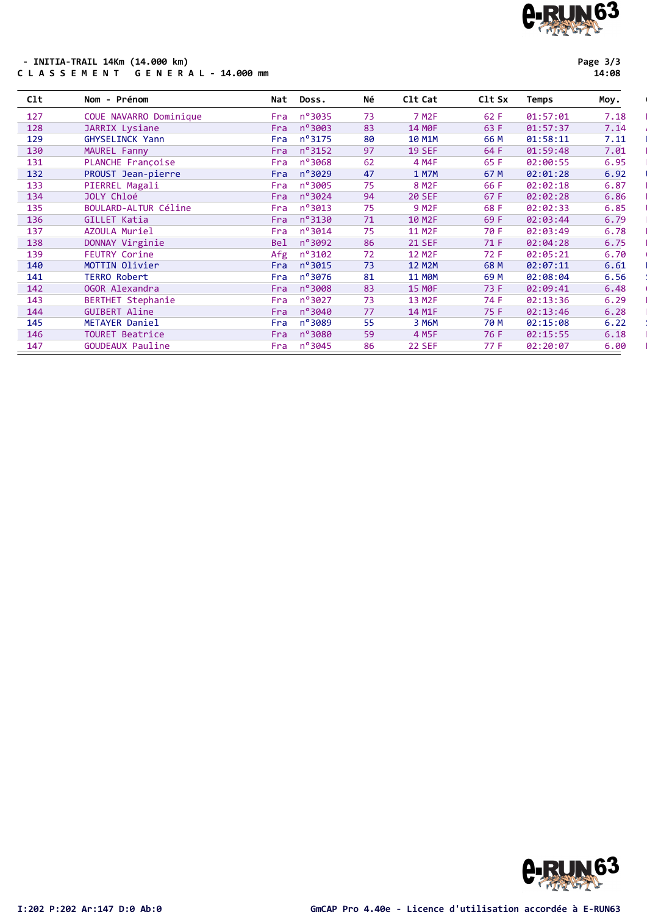## C-RUN63

### - INITIA-TRAIL 14Km (14.000 km)<br>C L A S S E M E N T G E N E R A L - 14.000 mm

Page 3/3

| C1t | Nom - Prénom             | Nat        | Doss.            | Νé | C1t Cat            | Clt Sx | Temps    | Moy. |
|-----|--------------------------|------------|------------------|----|--------------------|--------|----------|------|
| 127 | COUE NAVARRO Dominique   | Fra        | n°3035           | 73 | 7 M <sub>2</sub> F | 62 F   | 01:57:01 | 7.18 |
| 128 | JARRIX Lysiane           | Fra        | $n^{\circ}$ 3003 | 83 | 14 MOF             | 63 F   | 01:57:37 | 7.14 |
| 129 | GHYSELINCK Yann          | Fra        | $n^{\circ}3175$  | 80 | <b>10 M1M</b>      | 66 M   | 01:58:11 | 7.11 |
| 130 | MAUREL Fanny             | Fra        | $n^o$ 3152       | 97 | <b>19 SEF</b>      | 64 F   | 01:59:48 | 7.01 |
| 131 | PLANCHE Françoise        | Fra        | nº3068           | 62 | 4 M4F              | 65 F   | 02:00:55 | 6.95 |
| 132 | PROUST Jean-pierre       | Fra        | n°3029           | 47 | <b>1 M7M</b>       | 67 M   | 02:01:28 | 6.92 |
| 133 | PIERREL Magali           | Fra        | $n^{\circ}$ 3005 | 75 | 8 M <sub>2F</sub>  | 66 F   | 02:02:18 | 6.87 |
| 134 | JOLY Chloé               | Fra        | $n^{\circ}3024$  | 94 | <b>20 SEF</b>      | 67 F   | 02:02:28 | 6.86 |
| 135 | BOULARD-ALTUR Céline     | Fra        | $n^o$ 3013       | 75 | 9 M <sub>2F</sub>  | 68 F   | 02:02:33 | 6.85 |
| 136 | GILLET Katia             | Fra        | $n^{\circ}3130$  | 71 | 10 M <sub>2F</sub> | 69 F   | 02:03:44 | 6.79 |
| 137 | AZOULA Muriel            | Fra        | nº3014           | 75 | 11 M2F             | 70 F   | 02:03:49 | 6.78 |
| 138 | DONNAY Virginie          | <b>Bel</b> | nº3092           | 86 | <b>21 SEF</b>      | 71 F   | 02:04:28 | 6.75 |
| 139 | <b>FEUTRY Corine</b>     | Afg        | $n^{\circ}3102$  | 72 | <b>12 M2F</b>      | 72 F   | 02:05:21 | 6.70 |
| 140 | MOTTIN Olivier           | Fra        | $n^{\circ}3015$  | 73 | <b>12 M2M</b>      | 68 M   | 02:07:11 | 6.61 |
| 141 | <b>TERRO Robert</b>      | Fra        | nº3076           | 81 | <b>11 MOM</b>      | 69 M   | 02:08:04 | 6.56 |
| 142 | OGOR Alexandra           | Fra        | nº3008           | 83 | <b>15 MOF</b>      | 73 F   | 02:09:41 | 6.48 |
| 143 | <b>BERTHET Stephanie</b> | Fra        | nº3027           | 73 | 13 M2F             | 74 F   | 02:13:36 | 6.29 |
| 144 | <b>GUIBERT Aline</b>     | Fra        | nº3040           | 77 | 14 M1F             | 75 F   | 02:13:46 | 6.28 |
| 145 | METAYER Daniel           | Fra        | nº3089           | 55 | 3 M6M              | 70 M   | 02:15:08 | 6.22 |
| 146 | <b>TOURET Beatrice</b>   | Fra        | $n^{\circ}$ 3080 | 59 | 4 M5F              | 76 F   | 02:15:55 | 6.18 |
| 147 | <b>GOUDEAUX Pauline</b>  | Fra        | nº3045           | 86 | <b>22 SEF</b>      | 77 F   | 02:20:07 | 6.00 |

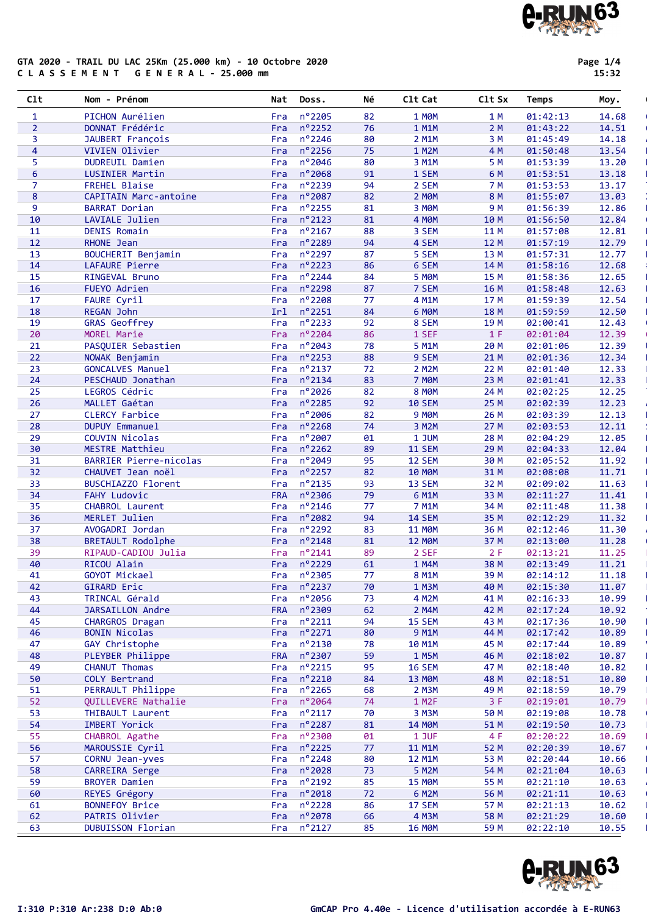# C-RUN63

#### GTA 2020 - TRAIL DU LAC 25Km (25.000 km) - 10 Octobre 2020 C L A S S E M E N T G E N E R A L - 25.000 mm

Page 1/4 15:32

| C1t            | Nom - Prénom                                  | Nat        | Doss.                | Νé       | C1t Cat            | Clt Sx       | Temps                | Moy.           |
|----------------|-----------------------------------------------|------------|----------------------|----------|--------------------|--------------|----------------------|----------------|
| $\mathbf{1}$   | PICHON Aurélien                               | Fra        | n°2205               | 82       | 1 MOM              | 1 M          | 01:42:13             | 14.68          |
| 2 <sup>1</sup> | DONNAT Frédéric                               | Fra        | $n^o$ 2252           | 76       | 1 M1M              | 2M           | 01:43:22             | 14.51          |
| 3              | JAUBERT François                              | Fra        | n°2246               | 80       | 2 M1M              | 3 M          | 01:45:49             | 14.18          |
| 4              | VIVIEN Olivier                                | Fra        | n°2256               | 75       | 1 M2M              | 4 M          | 01:50:48             | 13.54          |
| 5.             | <b>DUDREUIL Damien</b>                        | Fra        | n°2046               | 80       | 3 M1M              | 5 M          | 01:53:39             | 13.20          |
| 6              | LUSINIER Martin                               | Fra        | n°2068               | 91       | 1 SEM              | 6 M          | 01:53:51             | 13.18          |
| $\overline{7}$ | FREHEL Blaise                                 | Fra        | n°2239               | 94       | 2 SEM              | 7 M          | 01:53:53             | 13.17          |
| 8<br>9         | CAPITAIN Marc-antoine<br><b>BARRAT Dorian</b> | Fra        | n°2087<br>n°2255     | 82       | 2 MOM              | 8 M<br>9 M   | 01:55:07             | 13.03          |
| 10             | LAVIALE Julien                                | Fra<br>Fra | $n^o$ 2123           | 81<br>81 | 3 MOM<br>4 MOM     | 10 M         | 01:56:39<br>01:56:50 | 12.86<br>12.84 |
| 11             | <b>DENIS Romain</b>                           | Fra        | n°2167               | 88       | 3 SEM              | 11 M         | 01:57:08             | 12.81          |
| 12             | RHONE Jean                                    | Fra        | n°2289               | 94       | 4 SEM              | 12 M         | 01:57:19             | 12.79          |
| 13             | BOUCHERIT Benjamin                            | Fra        | n°2297               | 87       | 5 SEM              | 13 M         | 01:57:31             | 12.77          |
| 14             | LAFAURE Pierre                                | Fra        | $n^{\circ}$ 2223     | 86       | 6 SEM              | 14 M         | 01:58:16             | 12.68          |
| 15             | RINGEVAL Bruno                                | Fra        | n°2244               | 84       | 5 MOM              | 15 M         | 01:58:36             | 12.65          |
| 16             | FUEYO Adrien                                  | Fra        | n°2298               | 87       | 7 SEM              | 16 M         | 01:58:48             | 12.63          |
| 17             | FAURE Cyril                                   | Fra        | n°2208               | 77       | 4 M1M              | 17 M         | 01:59:39             | 12.54          |
| 18             | REGAN John                                    | Irl        | n°2251               | 84       | 6 MOM              | 18 M         | 01:59:59             | 12.50          |
| 19             | <b>GRAS Geoffrey</b>                          | Fra        | $n^{\circ}$ 2233     | 92       | 8 SEM              | 19 M         | 02:00:41             | 12.43          |
| 20             | MOREL Marie                                   | Fra        | nº2204               | 86       | 1 SEF              | 1 F          | 02:01:04             | 12.39          |
| 21             | PASQUIER Sebastien                            | Fra        | n°2043               | 78       | 5 M1M              | 20 M         | 02:01:06             | 12.39          |
| 22             | NOWAK Benjamin                                | Fra        | $n^o$ 2253           | 88       | 9 SEM              | 21 M         | 02:01:36             | 12.34          |
| 23             | <b>GONCALVES Manuel</b>                       | Fra        | n°2137               | 72       | 2 M2M              | 22 M         | 02:01:40             | 12.33          |
| 24             | PESCHAUD Jonathan                             | Fra        | $n^o$ 2134           | 83       | <b>7 MOM</b>       | 23 M         | 02:01:41             | 12.33          |
| 25             | LEGROS Cédric                                 | Fra        | nº2026               | 82       | 8 MOM              | 24 M         | 02:02:25             | 12.25          |
| 26             | MALLET Gaétan                                 | Fra        | n°2285               | 92       | <b>10 SEM</b>      | 25 M         | 02:02:39             | 12.23          |
| 27             | <b>CLERCY Farbice</b>                         | Fra        | nº2006<br>n°2268     | 82<br>74 | <b>9 MOM</b>       | 26 M         | 02:03:39             | 12.13          |
| 28<br>29       | DUPUY Emmanuel<br>COUVIN Nicolas              | Fra<br>Fra | nº2007               | 01       | 3 M2M<br>1 JUM     | 27 M<br>28 M | 02:03:53<br>02:04:29 | 12.11<br>12.05 |
| 30             | <b>MESTRE Matthieu</b>                        | Fra        | n°2262               | 89       | <b>11 SEM</b>      | 29 M         | 02:04:33             | 12.04          |
| 31             | BARRIER Pierre-nicolas                        | Fra        | n°2049               | 95       | <b>12 SEM</b>      | 30 M         | 02:05:52             | 11.92          |
| 32             | CHAUVET Jean noël                             | Fra        | n°2257               | 82       | <b>10 MOM</b>      | 31 M         | 02:08:08             | 11.71          |
| 33             | BUSCHIAZZO Florent                            | Fra        | n°2135               | 93       | 13 SEM             | 32 M         | 02:09:02             | 11.63          |
| 34             | <b>FAHY Ludovic</b>                           | <b>FRA</b> | n°2306               | 79       | 6 M1M              | 33 M         | 02:11:27             | 11.41          |
| 35             | CHABROL Laurent                               | Fra        | nº2146               | 77       | 7 M1M              | 34 M         | 02:11:48             | 11.38          |
| 36             | MERLET Julien                                 | Fra        | n°2082               | 94       | <b>14 SEM</b>      | 35 M         | 02:12:29             | 11.32          |
| 37             | AVOGADRI Jordan                               | Fra        | nº2292               | 83       | <b>11 MØM</b>      | 36 M         | 02:12:46             | 11.30          |
| 38             | <b>BRETAULT Rodolphe</b>                      | Fra        | n°2148               | 81       | <b>12 MOM</b>      | 37 M         | 02:13:00             | 11.28          |
| 39             | RIPAUD-CADIOU Julia                           | Fra        | n°2141               | 89       | 2 SEF              | 2F           | 02:13:21             | 11.25          |
| 40             | RICOU Alain                                   |            | Fra $n^{\circ}$ 2229 | 61       | 1 M4M              | 38 M         | 02:13:49             | 11.21          |
| 41             | GOYOT Mickael                                 |            | Fra nº2305           | 77       | 8 M1M              | 39 M         | 02:14:12             | 11.18          |
| 42             | GIRARD Eric                                   | Fra        | n°2237               | 70       | 1 M3M              | 40 M         | 02:15:30             | 11.07          |
| 43             | TRINCAL Gérald                                | Fra        | nº2056               | 73       | 4 M2M              | 41 M         | 02:16:33             | 10.99          |
| 44             | <b>JARSAILLON Andre</b>                       | <b>FRA</b> | nº2309               | 62       | 2 M4M              | 42 M         | 02:17:24             | 10.92          |
| 45<br>46       | CHARGROS Dragan                               | Fra        | $n^o$ 2211<br>n°2271 | 94       | <b>15 SEM</b>      | 43 M         | 02:17:36             | 10.90          |
| 47             | <b>BONIN Nicolas</b><br>GAY Christophe        | Fra<br>Fra | nº2130               | 80<br>78 | 9 M1M<br>10 M1M    | 44 M<br>45 M | 02:17:42<br>02:17:44 | 10.89<br>10.89 |
| 48             | PLEYBER Philippe                              | <b>FRA</b> | nº2307               | 59       | 1 M5M              | 46 M         | 02:18:02             | 10.87          |
| 49             | CHANUT Thomas                                 | Fra        | $n^{\circ}$ 2215     | 95       | <b>16 SEM</b>      | 47 M         | 02:18:40             | 10.82          |
| 50             | COLY Bertrand                                 | Fra        | $n^{\circ}$ 2210     | 84       | <b>13 MOM</b>      | 48 M         | 02:18:51             | 10.80          |
| 51             | PERRAULT Philippe                             | Fra        | $n^{\circ}$ 2265     | 68       | 2 M3M              | 49 M         | 02:18:59             | 10.79          |
| 52             | QUILLEVERE Nathalie                           | Fra        | n°2064               | 74       | 1 M <sub>2</sub> F | 3F           | 02:19:01             | 10.79          |
| 53             | THIBAULT Laurent                              | Fra        | $n^o$ 2117           | 70       | 3 M3M              | 50 M         | 02:19:08             | 10.78          |
| 54             | <b>IMBERT Yorick</b>                          | Fra        | n°2287               | 81       | <b>14 MOM</b>      | 51 M         | 02:19:50             | 10.73          |
| 55             | CHABROL Agathe                                | Fra        | nº2300               | 01       | 1 JUF              | 4 F          | 02:20:22             | 10.69          |
| 56             | MAROUSSIE Cyril                               | Fra        | $n^o$ 2225           | 77       | 11 M1M             | 52 M         | 02:20:39             | 10.67          |
| 57             | CORNU Jean-yves                               | Fra        | nº2248               | 80       | <b>12 M1M</b>      | 53 M         | 02:20:44             | 10.66          |
| 58             | CARREIRA Serge                                | Fra        | nº2028               | 73       | 5 M2M              | 54 M         | 02:21:04             | 10.63          |
| 59             | <b>BROYER Damien</b>                          | Fra        | $n^o$ 2192           | 85       | <b>15 MOM</b>      | 55 M         | 02:21:10             | 10.63          |
| 60             | REYES Grégory                                 | Fra        | n°2018               | 72       | 6 M2M              | 56 M         | 02:21:11             | 10.63          |
| 61             | <b>BONNEFOY Brice</b>                         | Fra        | nº2228               | 86       | 17 SEM             | 57 M         | 02:21:13             | 10.62          |
| 62             | PATRIS Olivier                                | Fra        | nº2078               | 66       | 4 M3M              | 58 M         | 02:21:29             | 10.60          |
| 63             | DUBUISSON Florian                             | Fra        | $n^o$ 2127           | 85       | <b>16 MOM</b>      | 59 M         | 02:22:10             | 10.55          |

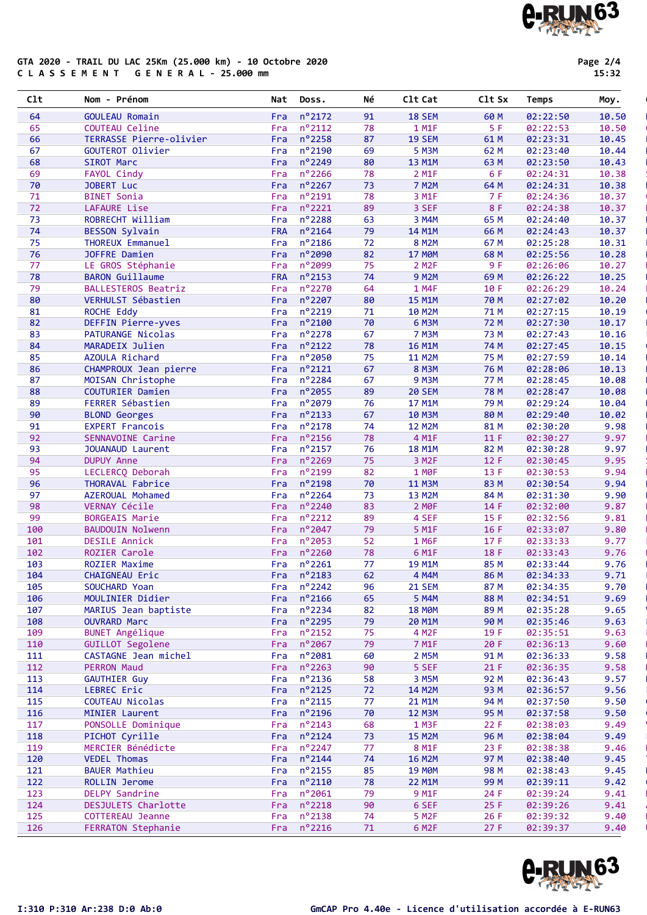#### GTA 2020 - TRAIL DU LAC 25Km (25.000 km) - 10 Octobre 2020 C L A S S E M E N T G E N E R A L - 25.000 mm

Page 2/4 15:32

| C1t | Nom - Prénom             | Nat        | Doss.                | Νé | Clt Cat            | Clt Sx      | Temps    | Moy.  |
|-----|--------------------------|------------|----------------------|----|--------------------|-------------|----------|-------|
| 64  | <b>GOULEAU Romain</b>    | Fra        | $n^o$ 2172           | 91 | <b>18 SEM</b>      | 60 M        | 02:22:50 | 10.50 |
| 65  | COUTEAU Celine           | Fra        | $n^o$ 2112           | 78 | 1 M1F              | 5 F         | 02:22:53 | 10.50 |
| 66  | TERRASSE Pierre-olivier  | Fra        | n°2258               | 87 | <b>19 SEM</b>      | 61 M        | 02:23:31 | 10.45 |
| 67  | GOUTEROT Olivier         | Fra        | nº2190               | 69 | <b>5 M3M</b>       | 62 M        | 02:23:40 | 10.44 |
| 68  | SIROT Marc               | Fra        | nº2249               | 80 | 13 M1M             | 63 M        | 02:23:50 | 10.43 |
| 69  | FAYOL Cindy              | Fra        | nº2266               | 78 | 2 M1F              | 6 F         | 02:24:31 | 10.38 |
| 70  | JOBERT Luc               | Fra        | n°2267               | 73 | 7 M2M              | 64 M        | 02:24:31 | 10.38 |
| 71  | <b>BINET Sonia</b>       | Fra        | n°2191               | 78 | 3 M1F              | 7 F         | 02:24:36 | 10.37 |
| 72  | LAFAURE Lise             | Fra        | $n^{\circ}$ 2221     | 89 | 3 SEF              | 8 F         | 02:24:38 | 10.37 |
| 73  | ROBRECHT William         | Fra        | nº2288               | 63 | 3 M4M              | 65 M        | 02:24:40 | 10.37 |
| 74  | <b>BESSON Sylvain</b>    | <b>FRA</b> | n°2164               | 79 | 14 M1M             | 66 M        | 02:24:43 | 10.37 |
| 75  | THOREUX Emmanuel         | Fra        | $n^o$ 2186           | 72 | <b>8 M2M</b>       | 67 M        | 02:25:28 | 10.31 |
| 76  | JOFFRE Damien            | Fra        | nº2090               | 82 | <b>17 MOM</b>      | 68 M        | 02:25:56 | 10.28 |
| 77  | LE GROS Stéphanie        | Fra        | n°2099               | 75 | 2 M <sub>2</sub> F | 9F          | 02:26:06 | 10.27 |
| 78  | <b>BARON Guillaume</b>   | <b>FRA</b> | n°2153               | 74 | <b>9 M2M</b>       | 69 M        | 02:26:22 | 10.25 |
| 79  | BALLESTEROS Beatriz      | Fra        | n°2270               | 64 | 1 M4F              | 10 F        | 02:26:29 | 10.24 |
| 80  | VERHULST Sébastien       | Fra        | nº2207               | 80 | <b>15 M1M</b>      | 70 M        | 02:27:02 | 10.20 |
| 81  | ROCHE Eddy               | Fra        | nº2219               | 71 | 10 M2M             | 71 M        | 02:27:15 | 10.19 |
| 82  | DEFFIN Pierre-yves       | Fra        | n°2100               | 70 | 6 M3M              | 72 M        | 02:27:30 | 10.17 |
| 83  | <b>PATURANGE Nicolas</b> | Fra        | n°2278               | 67 | <b>7 M3M</b>       | 73 M        | 02:27:43 | 10.16 |
| 84  | MARADEIX Julien          | Fra        | $n^{\circ}2122$      | 78 | <b>16 M1M</b>      | 74 M        | 02:27:45 | 10.15 |
| 85  | AZOULA Richard           | Fra        | nº2050               | 75 | <b>11 M2M</b>      | 75 M        | 02:27:59 | 10.14 |
| 86  | CHAMPROUX Jean pierre    | Fra        | $n^{\circ}2121$      | 67 | <b>8 M3M</b>       | 76 M        | 02:28:06 | 10.13 |
| 87  | MOISAN Christophe        | Fra        | n°2284               | 67 | <b>9 M3M</b>       | 77 M        | 02:28:45 | 10.08 |
| 88  | COUTURIER Damien         | Fra        | n°2055               | 89 | <b>20 SEM</b>      | <b>78 M</b> | 02:28:47 | 10.08 |
| 89  | FERRER Sébastien         | Fra        | n°2079               | 76 | 17 M1M             | 79 M        | 02:29:24 | 10.04 |
| 90  | <b>BLOND Georges</b>     | Fra        | $n^{\circ}$ 2133     | 67 | <b>10 M3M</b>      | 80 M        | 02:29:40 | 10.02 |
| 91  | <b>EXPERT Francois</b>   | Fra        | n°2178               | 74 | <b>12 M2M</b>      | 81 M        | 02:30:20 | 9.98  |
| 92  | SENNAVOINE Carine        | Fra        | n°2156               | 78 | 4 M1F              | 11F         | 02:30:27 | 9.97  |
| 93  | JOUANAUD Laurent         | Fra        | $n^{\circ}$ 2157     | 76 | <b>18 M1M</b>      | 82 M        | 02:30:28 | 9.97  |
| 94  | <b>DUPUY Anne</b>        | Fra        | nº2269               | 75 | 3 M <sub>2F</sub>  | 12F         | 02:30:45 | 9.95  |
| 95  | LECLERCQ Deborah         | Fra        | n°2199               | 82 | 1 MOF              | 13 F        | 02:30:53 | 9.94  |
| 96  | THORAVAL Fabrice         | Fra        | n°2198               | 70 | <b>11 M3M</b>      | 83 M        | 02:30:54 | 9.94  |
| 97  | AZEROUAL Mohamed         | Fra        | nº2264               | 73 | 13 M2M             | 84 M        | 02:31:30 | 9.90  |
| 98  | VERNAY Cécile            | Fra        | nº2240               | 83 | 2 MOF              | 14 F        | 02:32:00 | 9.87  |
| 99  | <b>BORGEAIS Marie</b>    | Fra        | $n^{\circ}$ 2212     | 89 | 4 SEF              | 15 F        | 02:32:56 | 9.81  |
| 100 | BAUDOUIN Nolwenn         | Fra        | n°2047               | 79 | 5 M1F              | 16 F        | 02:33:07 | 9.80  |
| 101 | <b>DESILE Annick</b>     | Fra        | n°2053               | 52 | 1 M6F              | 17 F        | 02:33:33 | 9.77  |
| 102 | ROZIER Carole            | Fra        | nº2260               | 78 | 6 M1F              | 18 F        | 02:33:43 | 9.76  |
| 103 | <b>ROZIER Maxime</b>     | Fra        | $n^{\circ}$ 2261     | 77 | 19 M1M             | 85 M        | 02:33:44 | 9.76  |
| 104 | CHAIGNEAU Eric           |            | Fra $n^{\circ}$ 2183 | 62 | 4 M4M              | 86 M        | 02:34:33 | 9.71  |
| 105 | SOUCHARD Yoan            |            | Fra $n^{\circ}2242$  | 96 | <b>21 SEM</b>      | 87 M        | 02:34:35 | 9.70  |
| 106 | MOULINIER Didier         |            | Fra $n^{\circ}$ 2166 | 65 | 5 M4M              | 88 M        | 02:34:51 | 9.69  |
| 107 | MARIUS Jean baptiste     | Fra        | $n^o$ 2234           | 82 | <b>18 MØM</b>      | 89 M        | 02:35:28 | 9.65  |
| 108 | <b>OUVRARD Marc</b>      | Fra        | n°2295               | 79 | 20 M1M             | 90 M        | 02:35:46 | 9.63  |
| 109 | <b>BUNET Angélique</b>   | Fra        | $n^o$ 2152           | 75 | 4 M <sub>2</sub> F | 19 F        | 02:35:51 | 9.63  |
| 110 | GUILLOT Segolene         | Fra        | $n^{\circ}$ 2067     | 79 | 7 M1F              | 20 F        | 02:36:13 | 9.60  |
| 111 | CASTAGNE Jean michel     | Fra        | n°2081               | 60 | 2 M5M              | 91 M        | 02:36:33 | 9.58  |
| 112 | <b>PERRON Maud</b>       | Fra        | $n^{\circ}$ 2263     | 90 | 5 SEF              | 21 F        | 02:36:35 | 9.58  |
| 113 | <b>GAUTHIER Guy</b>      | Fra        | $n^o$ 2136           | 58 | 3 M5M              | 92 M        | 02:36:43 | 9.57  |
| 114 | LEBREC Eric              | Fra        | $n^{\circ}$ 2125     | 72 | 14 M2M             | 93 M        | 02:36:57 | 9.56  |
| 115 | COUTEAU Nicolas          | Fra        | $n^o$ 2115           | 77 | 21 M1M             | 94 M        | 02:37:50 | 9.50  |
| 116 | MINIER Laurent           | Fra        | nº2196               | 70 | <b>12 M3M</b>      | 95 M        | 02:37:58 | 9.50  |
|     |                          |            |                      |    |                    |             |          |       |
| 117 | PONSOLLE Dominique       | Fra        | $n^o$ 2143           | 68 | 1 M3F              | 22F         | 02:38:03 | 9.49  |
| 118 | PICHOT Cyrille           | Fra        | $n^{\circ}$ 2124     | 73 | <b>15 M2M</b>      | 96 M        | 02:38:04 | 9.49  |
| 119 | MERCIER Bénédicte        | Fra        | $n^o$ 2247           | 77 | 8 M1F              | 23F         | 02:38:38 | 9.46  |
| 120 | <b>VEDEL Thomas</b>      | Fra        | $n^o$ 2144           | 74 | <b>16 M2M</b>      | 97 M        | 02:38:40 | 9.45  |
| 121 | <b>BAUER Mathieu</b>     | Fra        | $n^{\circ}$ 2155     | 85 | <b>19 MØM</b>      | 98 M        | 02:38:43 | 9.45  |
| 122 | ROLLIN Jerome            | Fra        | $n^{\circ}2110$      | 78 | 22 M1M             | 99 M        | 02:39:11 | 9.42  |
| 123 | <b>DELPY Sandrine</b>    | Fra        | $n^o$ 2061           | 79 | 9 M <sub>1</sub> F | 24 F        | 02:39:24 | 9.41  |
| 124 | DESJULETS Charlotte      | Fra        | $n^{\circ}$ 2218     | 90 | 6 SEF              | 25 F        | 02:39:26 | 9.41  |
| 125 | COTTEREAU Jeanne         | Fra        | n°2138               | 74 | 5 M <sub>2F</sub>  | 26F         | 02:39:32 | 9.40  |
| 126 | FERRATON Stephanie       |            | Fra $n^{\circ}2216$  | 71 | 6 M <sub>2</sub> F | 27 F        | 02:39:37 | 9.40  |

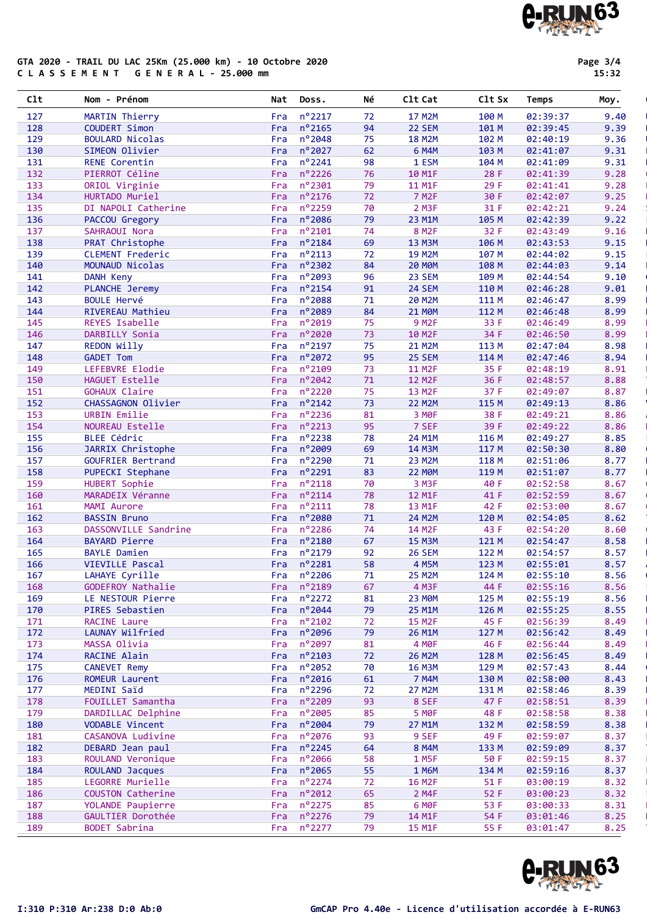### **A-RUN63**

#### GTA 2020 - TRAIL DU LAC 25Km (25.000 km) - 10 Octobre 2020 C L A S S E M E N T G E N E R A L - 25.000 mm

Page 3/4 15:32

| C1t        | Nom - Prénom                                | Nat        | Doss.                | Νé       | C1t Cat            | C1t Sx        | Temps                | Moy.         |
|------------|---------------------------------------------|------------|----------------------|----------|--------------------|---------------|----------------------|--------------|
| 127        | MARTIN Thierry                              | Fra        | n°2217               | 72       | <b>17 M2M</b>      | 100 M         | 02:39:37             | 9.40         |
| 128        | COUDERT Simon                               | Fra        | n°2165               | 94       | 22 SEM             | 101 M         | 02:39:45             | 9.39         |
| 129        | <b>BOULARD Nicolas</b>                      | Fra        | $n^{\circ}$ 2048     | 75       | <b>18 M2M</b>      | 102 M         | 02:40:19             | 9.36         |
| 130        | SIMEON Olivier                              | Fra        | nº2027               | 62       | 6 M4M              | 103 M         | 02:41:07             | 9.31         |
| 131        | <b>RENE Corentin</b>                        | Fra        | n°2241               | 98       | 1 ESM              | 104 M         | 02:41:09             | 9.31         |
| 132        | PIERROT Céline                              | Fra        | n°2226               | 76       | 10 M1F             | 28 F          | 02:41:39             | 9.28         |
| 133        | ORIOL Virginie                              | Fra        | n°2301               | 79       | 11 M1F             | 29 F          | 02:41:41             | 9.28         |
| 134        | HURTADO Muriel                              | Fra        | n°2176               | 72       | 7 M <sub>2</sub> F | 30 F          | 02:42:07             | 9.25         |
| 135        | DI NAPOLI Catherine                         | Fra        | n°2259               | 70       | 2 M3F              | 31 F          | 02:42:21             | 9.24         |
| 136        | PACCOU Gregory                              | Fra        | nº2086               | 79       | 23 M1M             | 105 M         | 02:42:39             | 9.22         |
| 137        | SAHRAOUI Nora                               | Fra        | $n^{\circ}$ 2101     | 74       | 8 M <sub>2F</sub>  | 32 F          | 02:43:49             | 9.16         |
| 138        | PRAT Christophe                             | Fra        | n°2184               | 69       | <b>13 M3M</b>      | 106 M         | 02:43:53             | 9.15         |
| 139        | CLEMENT Frederic                            | Fra        | $n^o$ 2113           | 72       | <b>19 M2M</b>      | 107 M         | 02:44:02             | 9.15         |
| 140        | MOUNAUD Nicolas                             | Fra        | nº2302               | 84       | <b>20 MOM</b>      | 108 M         | 02:44:03             | 9.14         |
| 141        | <b>DANH Keny</b>                            | Fra        | n°2093               | 96       | 23 SEM             | 109 M         | 02:44:54             | 9.10         |
| 142        | PLANCHE Jeremy                              | Fra        | n°2154               | 91       | 24 SEM             | 110 M         | 02:46:28             | 9.01         |
| 143        | <b>BOULE Hervé</b>                          | Fra        | n°2088               | 71       | 20 M2M             | 111 M         | 02:46:47             | 8.99         |
| 144        | RIVEREAU Mathieu                            | Fra        | n°2089               | 84       | <b>21 MOM</b>      | 112 M         | 02:46:48             | 8.99         |
| 145        | REYES Isabelle                              | Fra        | n°2019               | 75       | <b>9 M2F</b>       | 33 F          | 02:46:49             | 8.99         |
| 146        | DARBILLY Sonia                              | Fra        | nº2020               | 73       | 10 M <sub>2F</sub> | 34 F          | 02:46:50             | 8.99         |
| 147        | REDON Willy                                 | Fra        | n°2197               | 75       | 21 M2M             | 113 M         | 02:47:04             | 8.98         |
| 148        | <b>GADET Tom</b>                            | Fra        | nº2072               | 95       | 25 SEM             | 114 M         | 02:47:46             | 8.94         |
| 149        | LEFEBVRE Elodie                             | Fra        | n°2109               | 73       | <b>11 M2F</b>      | 35 F          | 02:48:19             | 8.91         |
| 150        | HAGUET Estelle                              | Fra        | nº2042               | 71       | <b>12 M2F</b>      | 36 F          | 02:48:57             | 8.88         |
| 151        | <b>GOHAUX Claire</b>                        | Fra        | nº2220               | 75       | 13 M2F             | 37 F          | 02:49:07             | 8.87         |
| 152        | CHASSAGNON Olivier                          | Fra        | n°2142               | 73       | <b>22 M2M</b>      | 115 M         | 02:49:13             | 8.86         |
| 153        | URBIN Emilie                                | Fra        | nº2236               | 81       | 3 MOF              | 38 F          | 02:49:21             | 8.86         |
| 154        | NOUREAU Estelle                             | Fra        | n°2213               | 95       | 7 SEF              | 39 F          | 02:49:22             | 8.86         |
| 155        | <b>BLEE Cédric</b>                          | Fra        | n°2238               | 78       | 24 M1M             | 116 M         | 02:49:27             | 8.85         |
| 156        | JARRIX Christophe                           | Fra        | n°2009               | 69       | 14 M3M             | 117 M         | 02:50:30             | 8.80         |
| 157        | <b>GOUFRIER Bertrand</b>                    | Fra        | n°2290               | 71       | 23 M2M             | 118 M         | 02:51:06             | 8.77         |
| 158        | PUPECKI Stephane                            | Fra        | n°2291               | 83       | <b>22 MOM</b>      | 119 M         | 02:51:07             | 8.77         |
| 159        | <b>HUBERT Sophie</b>                        | Fra        | $n^o$ 2118           | 70       | 3 M <sub>3F</sub>  | 40 F          | 02:52:58             | 8.67         |
| 160        | MARADEIX Véranne                            | Fra        | $n^o$ 2114           | 78       | 12 M1F             | 41 F          | 02:52:59             | 8.67         |
| 161        | MAMI Aurore                                 | Fra        | $n^o$ 2111<br>n°2080 | 78       | 13 M1F             | 42 F          | 02:53:00<br>02:54:05 | 8.67         |
| 162        | <b>BASSIN Bruno</b><br>DASSONVILLE Sandrine | Fra        | $n^{\circ}$ 2286     | 71<br>74 | 24 M2M<br>14 M2F   | 120 M<br>43 F | 02:54:20             | 8.62<br>8.60 |
| 163<br>164 | <b>BAYARD Pierre</b>                        | Fra<br>Fra | n°2180               | 67       | <b>15 M3M</b>      | 121 M         | 02:54:47             |              |
| 165        | <b>BAYLE Damien</b>                         | Fra        | n°2179               | 92       | <b>26 SEM</b>      | 122 M         | 02:54:57             | 8.58<br>8.57 |
|            | VIEVILLE Pascal                             | Fra        | $n^{\circ}$ 2281     | 58       | 4 M5M              | 123 M         | 02:55:01             | 8.57         |
| 166<br>167 | LAHAYE Cyrille                              | Fra        | $n^{\circ}$ 2206     | 71       | <b>25 M2M</b>      | 124 M         | 02:55:10             | 8.56         |
| 168        | GODEFROY Nathalie                           | Fra        | $n^o$ 2189           | 67       | 4 M3F              | 44 F          | 02:55:16             | 8.56         |
| 169        | LE NESTOUR Pierre                           | Fra        | $n^{\circ}$ 2272     | 81       | <b>23 MØM</b>      | 125 M         | 02:55:19             | 8.56         |
| 170        | PIRES Sebastien                             | Fra        | $n^{\circ}$ 2044     | 79       | 25 M1M             | 126 M         | 02:55:25             | 8.55         |
| 171        | RACINE Laure                                | Fra        | $n^{\circ}$ 2102     | 72       | <b>15 M2F</b>      | 45 F          | 02:56:39             | 8.49         |
| 172        | LAUNAY Wilfried                             | Fra        | nº2096               | 79       | 26 M1M             | 127 M         | 02:56:42             | 8.49         |
| 173        | MASSA Olivia                                | Fra        | nº2097               | 81       | 4 M <sub>OF</sub>  | 46 F          | 02:56:44             | 8.49         |
| 174        | RACINE Alain                                | Fra        | $n^{\circ}$ 2103     | 72       | 26 M2M             | 128 M         | 02:56:45             | 8.49         |
| 175        | <b>CANEVET Remy</b>                         | Fra        | $n^{\circ}$ 2052     | 70       | <b>16 M3M</b>      | 129 M         | 02:57:43             | 8.44         |
| 176        | ROMEUR Laurent                              | Fra        | nº2016               | 61       | 7 M4M              | 130 M         | 02:58:00             | 8.43         |
| 177        | MEDINI Said                                 | Fra        | $n^{\circ}$ 2296     | 72       | <b>27 M2M</b>      | 131 M         | 02:58:46             | 8.39         |
| 178        | FOUILLET Samantha                           | Fra        | n°2209               | 93       | 8 SEF              | 47 F          | 02:58:51             | 8.39         |
| 179        | DARDILLAC Delphine                          | Fra        | n°2005               | 85       | 5 MOF              | 48 F          | 02:58:58             | 8.38         |
| 180        | <b>VODABLE Vincent</b>                      | Fra        | nº2004               | 79       | 27 M1M             | 132 M         | 02:58:59             | 8.38         |
| 181        | CASANOVA Ludivine                           | Fra        | nº2076               | 93       | 9 SEF              | 49 F          | 02:59:07             | 8.37         |
| 182        | DEBARD Jean paul                            | Fra        | $n^{\circ}$ 2245     | 64       | 8 M4M              | 133 M         | 02:59:09             | 8.37         |
| 183        | ROULAND Veronique                           | Fra        | $n^{\circ}$ 2066     | 58       | 1 M5F              | 50 F          | 02:59:15             | 8.37         |
| 184        | ROULAND Jacques                             | Fra        | n°2065               | 55       | 1 M6M              | 134 M         | 02:59:16             | 8.37         |
|            |                                             |            |                      |          |                    |               |                      |              |



185 LEGORRE Murielle Fra n°2274 72 16 M2F 51 F 03:00:19 8.32

189 BODET Sabrina 189 Fra nº2277 79 15 M1F 55 F 03:01:47 8.25

185 LEGORRE Murielle 1988 Fra n°2274 72 16 M2F 51 F 03:00:19 8.32<br>186 COUSTON Catherine 1988 Fra n°2012 65 2 M4F 52 F 03:00:23 8.32<br>187 YOLANDE Paupierre 1988 Fra n°2275 85 6 M0F 53 F 03:00:33 8.31

188 GAULTIER Dorothée Fra n°2276 79 14 M1F 54 F 03:01:46 8.25 Non Licencié

187 YOLANDE Paupierre 187 Fra n°2275 85 6 M0F 53 F 03:00:33 8.31<br>1971 GAULTIER Dorothée 18.25 Fra n°2276 79 14 M1F 54 F 03:01:46 8.25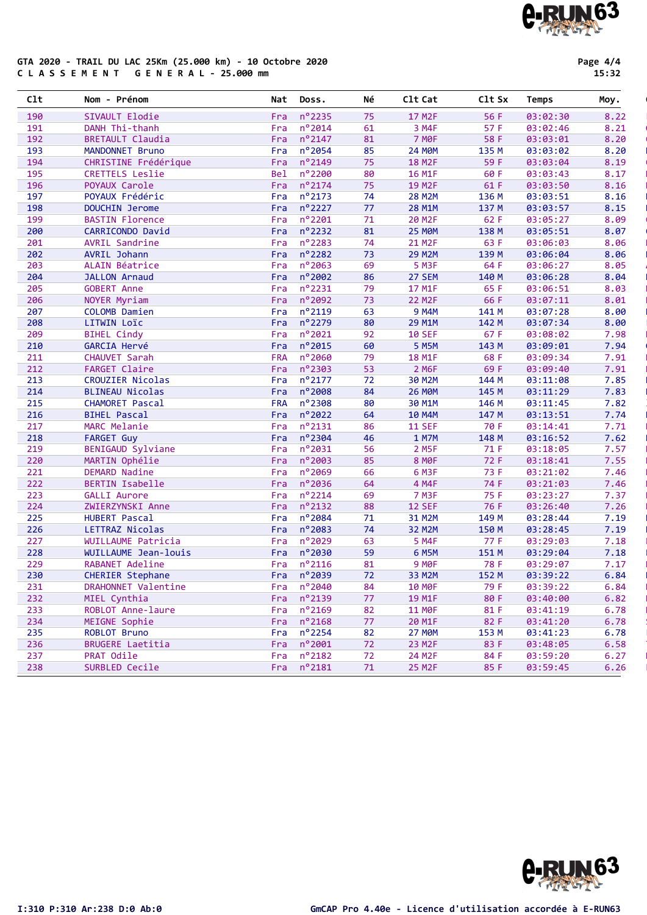#### GTA 2020 - TRAIL DU LAC 25Km (25.000 km) - 10 Octobre 2020 C L A S S E M E N T G E N E R A L - 25.000 mm

Page 4/4 15:32

| n°2235<br>8.22<br>190<br>SIVAULT Elodie<br>75<br>17 M <sub>2F</sub><br>56 F<br>03:02:30<br>Fra<br>$n^{\circ}$ 2014<br>3 M4F<br>57 F<br>8.21<br>191<br>DANH Thi-thanh<br>61<br>03:02:46<br>Fra<br><b>7 MOF</b><br>192<br>$n^{\circ}$ 2147<br>58 F<br>8.20<br><b>BRETAULT Claudia</b><br>81<br>03:03:01<br>Fra<br>n°2054<br>193<br>85<br><b>24 MØM</b><br>135 M<br>8.20<br>MANDONNET Bruno<br>Fra<br>03:03:02<br>n°2149<br>59 F<br>194<br>CHRISTINE Frédérique<br>75<br><b>18 M2F</b><br>03:03:04<br>8.19<br>Fra<br>nº2200<br>80<br>8.17<br>195<br>CRETTELS Leslie<br><b>Bel</b><br>16 M1F<br>60 F<br>03:03:43<br>$n^o$ 2174<br>8.16<br>75<br>19 M2F<br>61 F<br>196<br>POYAUX Carole<br>03:03:50<br>Fra<br>$n^o$ 2173<br>8.16<br>197<br>POYAUX Frédéric<br>74<br><b>28 M2M</b><br>136 M<br>Fra<br>03:03:51<br>nº2227<br>8.15<br>198<br>DOUCHIN Jerome<br>77<br>28 M1M<br>137 M<br>Fra<br>03:03:57<br>nº2201<br>62 F<br>8.09<br>199<br><b>BASTIN Florence</b><br>71<br>20 M <sub>2F</sub><br>Fra<br>03:05:27<br>n°2232<br><b>25 MØM</b><br>8.07<br>200<br>CARRICONDO David<br>81<br>138 M<br>03:05:51<br>Fra<br>$n^o$ 2283<br>63 F<br>8.06<br>201<br>AVRIL Sandrine<br>Fra<br>74<br>21 M2F<br>03:06:03<br>nº2282<br>202<br>AVRIL Johann<br><b>29 M2M</b><br>139 M<br>03:06:04<br>8.06<br>Fra<br>73<br>nº2063<br>69<br>5 M3F<br>64 F<br>8.05<br>203<br>ALAIN Béatrice<br>Fra<br>03:06:27<br>nº2002<br>27 SEM<br>8.04<br>204<br><b>JALLON Arnaud</b><br>86<br>140 M<br>03:06:28<br>Fra<br>n°2231<br>8.03<br>205<br><b>GOBERT Anne</b><br>79<br>17 M1F<br>65 F<br>Fra<br>03:06:51<br>n°2092<br>66 F<br>8.01<br>206<br>NOYER Myriam<br>73<br><b>22 M2F</b><br>03:07:11<br>Fra<br>n°2119<br>9 M4M<br>8.00<br>207<br>COLOMB Damien<br>Fra<br>63<br>141 M<br>03:07:28<br>n°2279<br>80<br>29 M1M<br>8.00<br>208<br>LITWIN Loïc<br>142 M<br>03:07:34<br>Fra<br>$n^{\circ}$ 2021<br><b>10 SEF</b><br>209<br><b>BIHEL Cindy</b><br>Fra<br>92<br>67 F<br>03:08:02<br>7.98<br>n°2015<br>210<br>GARCIA Hervé<br>60<br>5 M5M<br>143 M<br>03:09:01<br>7.94<br>Fra<br>nº2060<br><b>18 M1F</b><br>68 F<br>7.91<br>211<br>CHAUVET Sarah<br><b>FRA</b><br>79<br>03:09:34<br>$n^{\circ}$ 2303<br>2 M6F<br>7.91<br><b>FARGET Claire</b><br>53<br>69 F<br>212<br>03:09:40<br>Fra<br>$n^o$ 2177<br>7.85<br>30 M2M<br>213<br>CROUZIER Nicolas<br>72<br>144 M<br>03:11:08<br>Fra |
|-----------------------------------------------------------------------------------------------------------------------------------------------------------------------------------------------------------------------------------------------------------------------------------------------------------------------------------------------------------------------------------------------------------------------------------------------------------------------------------------------------------------------------------------------------------------------------------------------------------------------------------------------------------------------------------------------------------------------------------------------------------------------------------------------------------------------------------------------------------------------------------------------------------------------------------------------------------------------------------------------------------------------------------------------------------------------------------------------------------------------------------------------------------------------------------------------------------------------------------------------------------------------------------------------------------------------------------------------------------------------------------------------------------------------------------------------------------------------------------------------------------------------------------------------------------------------------------------------------------------------------------------------------------------------------------------------------------------------------------------------------------------------------------------------------------------------------------------------------------------------------------------------------------------------------------------------------------------------------------------------------------------------------------------------------------------------------------------------------------------------------------------------------------------------------------------------------------------------------------------------------------------------------------------------------------------------------------------------------|
|                                                                                                                                                                                                                                                                                                                                                                                                                                                                                                                                                                                                                                                                                                                                                                                                                                                                                                                                                                                                                                                                                                                                                                                                                                                                                                                                                                                                                                                                                                                                                                                                                                                                                                                                                                                                                                                                                                                                                                                                                                                                                                                                                                                                                                                                                                                                                     |
|                                                                                                                                                                                                                                                                                                                                                                                                                                                                                                                                                                                                                                                                                                                                                                                                                                                                                                                                                                                                                                                                                                                                                                                                                                                                                                                                                                                                                                                                                                                                                                                                                                                                                                                                                                                                                                                                                                                                                                                                                                                                                                                                                                                                                                                                                                                                                     |
|                                                                                                                                                                                                                                                                                                                                                                                                                                                                                                                                                                                                                                                                                                                                                                                                                                                                                                                                                                                                                                                                                                                                                                                                                                                                                                                                                                                                                                                                                                                                                                                                                                                                                                                                                                                                                                                                                                                                                                                                                                                                                                                                                                                                                                                                                                                                                     |
|                                                                                                                                                                                                                                                                                                                                                                                                                                                                                                                                                                                                                                                                                                                                                                                                                                                                                                                                                                                                                                                                                                                                                                                                                                                                                                                                                                                                                                                                                                                                                                                                                                                                                                                                                                                                                                                                                                                                                                                                                                                                                                                                                                                                                                                                                                                                                     |
|                                                                                                                                                                                                                                                                                                                                                                                                                                                                                                                                                                                                                                                                                                                                                                                                                                                                                                                                                                                                                                                                                                                                                                                                                                                                                                                                                                                                                                                                                                                                                                                                                                                                                                                                                                                                                                                                                                                                                                                                                                                                                                                                                                                                                                                                                                                                                     |
|                                                                                                                                                                                                                                                                                                                                                                                                                                                                                                                                                                                                                                                                                                                                                                                                                                                                                                                                                                                                                                                                                                                                                                                                                                                                                                                                                                                                                                                                                                                                                                                                                                                                                                                                                                                                                                                                                                                                                                                                                                                                                                                                                                                                                                                                                                                                                     |
|                                                                                                                                                                                                                                                                                                                                                                                                                                                                                                                                                                                                                                                                                                                                                                                                                                                                                                                                                                                                                                                                                                                                                                                                                                                                                                                                                                                                                                                                                                                                                                                                                                                                                                                                                                                                                                                                                                                                                                                                                                                                                                                                                                                                                                                                                                                                                     |
|                                                                                                                                                                                                                                                                                                                                                                                                                                                                                                                                                                                                                                                                                                                                                                                                                                                                                                                                                                                                                                                                                                                                                                                                                                                                                                                                                                                                                                                                                                                                                                                                                                                                                                                                                                                                                                                                                                                                                                                                                                                                                                                                                                                                                                                                                                                                                     |
|                                                                                                                                                                                                                                                                                                                                                                                                                                                                                                                                                                                                                                                                                                                                                                                                                                                                                                                                                                                                                                                                                                                                                                                                                                                                                                                                                                                                                                                                                                                                                                                                                                                                                                                                                                                                                                                                                                                                                                                                                                                                                                                                                                                                                                                                                                                                                     |
|                                                                                                                                                                                                                                                                                                                                                                                                                                                                                                                                                                                                                                                                                                                                                                                                                                                                                                                                                                                                                                                                                                                                                                                                                                                                                                                                                                                                                                                                                                                                                                                                                                                                                                                                                                                                                                                                                                                                                                                                                                                                                                                                                                                                                                                                                                                                                     |
|                                                                                                                                                                                                                                                                                                                                                                                                                                                                                                                                                                                                                                                                                                                                                                                                                                                                                                                                                                                                                                                                                                                                                                                                                                                                                                                                                                                                                                                                                                                                                                                                                                                                                                                                                                                                                                                                                                                                                                                                                                                                                                                                                                                                                                                                                                                                                     |
|                                                                                                                                                                                                                                                                                                                                                                                                                                                                                                                                                                                                                                                                                                                                                                                                                                                                                                                                                                                                                                                                                                                                                                                                                                                                                                                                                                                                                                                                                                                                                                                                                                                                                                                                                                                                                                                                                                                                                                                                                                                                                                                                                                                                                                                                                                                                                     |
|                                                                                                                                                                                                                                                                                                                                                                                                                                                                                                                                                                                                                                                                                                                                                                                                                                                                                                                                                                                                                                                                                                                                                                                                                                                                                                                                                                                                                                                                                                                                                                                                                                                                                                                                                                                                                                                                                                                                                                                                                                                                                                                                                                                                                                                                                                                                                     |
|                                                                                                                                                                                                                                                                                                                                                                                                                                                                                                                                                                                                                                                                                                                                                                                                                                                                                                                                                                                                                                                                                                                                                                                                                                                                                                                                                                                                                                                                                                                                                                                                                                                                                                                                                                                                                                                                                                                                                                                                                                                                                                                                                                                                                                                                                                                                                     |
|                                                                                                                                                                                                                                                                                                                                                                                                                                                                                                                                                                                                                                                                                                                                                                                                                                                                                                                                                                                                                                                                                                                                                                                                                                                                                                                                                                                                                                                                                                                                                                                                                                                                                                                                                                                                                                                                                                                                                                                                                                                                                                                                                                                                                                                                                                                                                     |
|                                                                                                                                                                                                                                                                                                                                                                                                                                                                                                                                                                                                                                                                                                                                                                                                                                                                                                                                                                                                                                                                                                                                                                                                                                                                                                                                                                                                                                                                                                                                                                                                                                                                                                                                                                                                                                                                                                                                                                                                                                                                                                                                                                                                                                                                                                                                                     |
|                                                                                                                                                                                                                                                                                                                                                                                                                                                                                                                                                                                                                                                                                                                                                                                                                                                                                                                                                                                                                                                                                                                                                                                                                                                                                                                                                                                                                                                                                                                                                                                                                                                                                                                                                                                                                                                                                                                                                                                                                                                                                                                                                                                                                                                                                                                                                     |
|                                                                                                                                                                                                                                                                                                                                                                                                                                                                                                                                                                                                                                                                                                                                                                                                                                                                                                                                                                                                                                                                                                                                                                                                                                                                                                                                                                                                                                                                                                                                                                                                                                                                                                                                                                                                                                                                                                                                                                                                                                                                                                                                                                                                                                                                                                                                                     |
|                                                                                                                                                                                                                                                                                                                                                                                                                                                                                                                                                                                                                                                                                                                                                                                                                                                                                                                                                                                                                                                                                                                                                                                                                                                                                                                                                                                                                                                                                                                                                                                                                                                                                                                                                                                                                                                                                                                                                                                                                                                                                                                                                                                                                                                                                                                                                     |
|                                                                                                                                                                                                                                                                                                                                                                                                                                                                                                                                                                                                                                                                                                                                                                                                                                                                                                                                                                                                                                                                                                                                                                                                                                                                                                                                                                                                                                                                                                                                                                                                                                                                                                                                                                                                                                                                                                                                                                                                                                                                                                                                                                                                                                                                                                                                                     |
|                                                                                                                                                                                                                                                                                                                                                                                                                                                                                                                                                                                                                                                                                                                                                                                                                                                                                                                                                                                                                                                                                                                                                                                                                                                                                                                                                                                                                                                                                                                                                                                                                                                                                                                                                                                                                                                                                                                                                                                                                                                                                                                                                                                                                                                                                                                                                     |
|                                                                                                                                                                                                                                                                                                                                                                                                                                                                                                                                                                                                                                                                                                                                                                                                                                                                                                                                                                                                                                                                                                                                                                                                                                                                                                                                                                                                                                                                                                                                                                                                                                                                                                                                                                                                                                                                                                                                                                                                                                                                                                                                                                                                                                                                                                                                                     |
|                                                                                                                                                                                                                                                                                                                                                                                                                                                                                                                                                                                                                                                                                                                                                                                                                                                                                                                                                                                                                                                                                                                                                                                                                                                                                                                                                                                                                                                                                                                                                                                                                                                                                                                                                                                                                                                                                                                                                                                                                                                                                                                                                                                                                                                                                                                                                     |
|                                                                                                                                                                                                                                                                                                                                                                                                                                                                                                                                                                                                                                                                                                                                                                                                                                                                                                                                                                                                                                                                                                                                                                                                                                                                                                                                                                                                                                                                                                                                                                                                                                                                                                                                                                                                                                                                                                                                                                                                                                                                                                                                                                                                                                                                                                                                                     |
| n°2008<br><b>26 MØM</b><br>7.83<br>214<br>BLINEAU Nicolas<br>Fra<br>84<br>145 M<br>03:11:29                                                                                                                                                                                                                                                                                                                                                                                                                                                                                                                                                                                                                                                                                                                                                                                                                                                                                                                                                                                                                                                                                                                                                                                                                                                                                                                                                                                                                                                                                                                                                                                                                                                                                                                                                                                                                                                                                                                                                                                                                                                                                                                                                                                                                                                         |
| nº2308<br>7.82<br>215<br>CHAMORET Pascal<br><b>FRA</b><br>80<br>30 M1M<br>146 M<br>03:11:45                                                                                                                                                                                                                                                                                                                                                                                                                                                                                                                                                                                                                                                                                                                                                                                                                                                                                                                                                                                                                                                                                                                                                                                                                                                                                                                                                                                                                                                                                                                                                                                                                                                                                                                                                                                                                                                                                                                                                                                                                                                                                                                                                                                                                                                         |
| nº2022<br>7.74<br>216<br><b>BIHEL Pascal</b><br>64<br>10 M4M<br>147 M<br>03:13:51<br>Fra                                                                                                                                                                                                                                                                                                                                                                                                                                                                                                                                                                                                                                                                                                                                                                                                                                                                                                                                                                                                                                                                                                                                                                                                                                                                                                                                                                                                                                                                                                                                                                                                                                                                                                                                                                                                                                                                                                                                                                                                                                                                                                                                                                                                                                                            |
| $n^o$ 2131<br>70 F<br>7.71<br>217<br>MARC Melanie<br>86<br><b>11 SEF</b><br>Fra<br>03:14:41                                                                                                                                                                                                                                                                                                                                                                                                                                                                                                                                                                                                                                                                                                                                                                                                                                                                                                                                                                                                                                                                                                                                                                                                                                                                                                                                                                                                                                                                                                                                                                                                                                                                                                                                                                                                                                                                                                                                                                                                                                                                                                                                                                                                                                                         |
| nº2304<br>7.62<br>218<br><b>FARGET Guy</b><br>Fra<br>46<br>1 M7M<br>148 M<br>03:16:52                                                                                                                                                                                                                                                                                                                                                                                                                                                                                                                                                                                                                                                                                                                                                                                                                                                                                                                                                                                                                                                                                                                                                                                                                                                                                                                                                                                                                                                                                                                                                                                                                                                                                                                                                                                                                                                                                                                                                                                                                                                                                                                                                                                                                                                               |
| n°2031<br>2 M5F<br>71 F<br>219<br>BENIGAUD Sylviane<br>56<br>03:18:05<br>7.57<br>Fra                                                                                                                                                                                                                                                                                                                                                                                                                                                                                                                                                                                                                                                                                                                                                                                                                                                                                                                                                                                                                                                                                                                                                                                                                                                                                                                                                                                                                                                                                                                                                                                                                                                                                                                                                                                                                                                                                                                                                                                                                                                                                                                                                                                                                                                                |
| nº2003<br>85<br><b>8 MOF</b><br>72 F<br>7.55<br>220<br>MARTIN Ophélie<br>Fra<br>03:18:41                                                                                                                                                                                                                                                                                                                                                                                                                                                                                                                                                                                                                                                                                                                                                                                                                                                                                                                                                                                                                                                                                                                                                                                                                                                                                                                                                                                                                                                                                                                                                                                                                                                                                                                                                                                                                                                                                                                                                                                                                                                                                                                                                                                                                                                            |
| n°2069<br>6 M3F<br>7.46<br>221<br><b>DEMARD Nadine</b><br>66<br>73 F<br>03:21:02<br>Fra                                                                                                                                                                                                                                                                                                                                                                                                                                                                                                                                                                                                                                                                                                                                                                                                                                                                                                                                                                                                                                                                                                                                                                                                                                                                                                                                                                                                                                                                                                                                                                                                                                                                                                                                                                                                                                                                                                                                                                                                                                                                                                                                                                                                                                                             |
| 222<br>nº2036<br>4 M4F<br>7.46<br>BERTIN Isabelle<br>64<br>74 F<br>Fra<br>03:21:03                                                                                                                                                                                                                                                                                                                                                                                                                                                                                                                                                                                                                                                                                                                                                                                                                                                                                                                                                                                                                                                                                                                                                                                                                                                                                                                                                                                                                                                                                                                                                                                                                                                                                                                                                                                                                                                                                                                                                                                                                                                                                                                                                                                                                                                                  |
| nº2214<br>75 F<br>7.37<br>223<br><b>GALLI Aurore</b><br>69<br>7 M3F<br>03:23:27<br>Fra                                                                                                                                                                                                                                                                                                                                                                                                                                                                                                                                                                                                                                                                                                                                                                                                                                                                                                                                                                                                                                                                                                                                                                                                                                                                                                                                                                                                                                                                                                                                                                                                                                                                                                                                                                                                                                                                                                                                                                                                                                                                                                                                                                                                                                                              |
| $n^o$ 2132<br>88<br><b>12 SEF</b><br>76 F<br>7.26<br>224<br>ZWIERZYNSKI Anne<br>Fra<br>03:26:40                                                                                                                                                                                                                                                                                                                                                                                                                                                                                                                                                                                                                                                                                                                                                                                                                                                                                                                                                                                                                                                                                                                                                                                                                                                                                                                                                                                                                                                                                                                                                                                                                                                                                                                                                                                                                                                                                                                                                                                                                                                                                                                                                                                                                                                     |
| n°2084<br>225<br>HUBERT Pascal<br>71<br>31 M2M<br>149 M<br>03:28:44<br>7.19<br>Fra                                                                                                                                                                                                                                                                                                                                                                                                                                                                                                                                                                                                                                                                                                                                                                                                                                                                                                                                                                                                                                                                                                                                                                                                                                                                                                                                                                                                                                                                                                                                                                                                                                                                                                                                                                                                                                                                                                                                                                                                                                                                                                                                                                                                                                                                  |
| n°2083<br>7.19<br>226<br>LETTRAZ Nicolas<br>74<br>32 M2M<br>150 M<br>03:28:45<br>Fra                                                                                                                                                                                                                                                                                                                                                                                                                                                                                                                                                                                                                                                                                                                                                                                                                                                                                                                                                                                                                                                                                                                                                                                                                                                                                                                                                                                                                                                                                                                                                                                                                                                                                                                                                                                                                                                                                                                                                                                                                                                                                                                                                                                                                                                                |
| n°2029<br>77 F<br>227<br>WUILLAUME Patricia<br>5 M4F<br>03:29:03<br>7.18<br>Fra<br>63                                                                                                                                                                                                                                                                                                                                                                                                                                                                                                                                                                                                                                                                                                                                                                                                                                                                                                                                                                                                                                                                                                                                                                                                                                                                                                                                                                                                                                                                                                                                                                                                                                                                                                                                                                                                                                                                                                                                                                                                                                                                                                                                                                                                                                                               |
| nº2030<br>7.18<br>228<br>WUILLAUME Jean-louis<br>59<br>6 M5M<br>151 M<br>03:29:04<br>Fra                                                                                                                                                                                                                                                                                                                                                                                                                                                                                                                                                                                                                                                                                                                                                                                                                                                                                                                                                                                                                                                                                                                                                                                                                                                                                                                                                                                                                                                                                                                                                                                                                                                                                                                                                                                                                                                                                                                                                                                                                                                                                                                                                                                                                                                            |
| 229<br>$n^o$ 2116<br>9 M <sub>OF</sub><br>78 F<br>7.17<br>RABANET Adeline<br>81<br>03:29:07<br>Fra                                                                                                                                                                                                                                                                                                                                                                                                                                                                                                                                                                                                                                                                                                                                                                                                                                                                                                                                                                                                                                                                                                                                                                                                                                                                                                                                                                                                                                                                                                                                                                                                                                                                                                                                                                                                                                                                                                                                                                                                                                                                                                                                                                                                                                                  |
| 230<br>Fra nº2039<br>152 M<br>6.84<br>CHERIER Stephane<br>72<br>33 M2M<br>03:39:22                                                                                                                                                                                                                                                                                                                                                                                                                                                                                                                                                                                                                                                                                                                                                                                                                                                                                                                                                                                                                                                                                                                                                                                                                                                                                                                                                                                                                                                                                                                                                                                                                                                                                                                                                                                                                                                                                                                                                                                                                                                                                                                                                                                                                                                                  |
| DRAHONNET Valentine<br>Fra $n^{\circ}2040$<br>6.84<br>231<br><b>10 MOF</b><br>79 F<br>03:39:22<br>84                                                                                                                                                                                                                                                                                                                                                                                                                                                                                                                                                                                                                                                                                                                                                                                                                                                                                                                                                                                                                                                                                                                                                                                                                                                                                                                                                                                                                                                                                                                                                                                                                                                                                                                                                                                                                                                                                                                                                                                                                                                                                                                                                                                                                                                |
| 232<br>Fra nº2139<br>MIEL Cynthia<br>19 M1F<br>80 F<br>03:40:00<br>6.82<br>77                                                                                                                                                                                                                                                                                                                                                                                                                                                                                                                                                                                                                                                                                                                                                                                                                                                                                                                                                                                                                                                                                                                                                                                                                                                                                                                                                                                                                                                                                                                                                                                                                                                                                                                                                                                                                                                                                                                                                                                                                                                                                                                                                                                                                                                                       |
| $n^o$ 2169<br>233<br>ROBLOT Anne-laure<br>82<br><b>11 MOF</b><br>81 F<br>03:41:19<br>6.78<br>Fra                                                                                                                                                                                                                                                                                                                                                                                                                                                                                                                                                                                                                                                                                                                                                                                                                                                                                                                                                                                                                                                                                                                                                                                                                                                                                                                                                                                                                                                                                                                                                                                                                                                                                                                                                                                                                                                                                                                                                                                                                                                                                                                                                                                                                                                    |
| $n^o$ 2168<br>234<br>MEIGNE Sophie<br>77<br>20 M1F<br>82 F<br>6.78<br>Fra<br>03:41:20                                                                                                                                                                                                                                                                                                                                                                                                                                                                                                                                                                                                                                                                                                                                                                                                                                                                                                                                                                                                                                                                                                                                                                                                                                                                                                                                                                                                                                                                                                                                                                                                                                                                                                                                                                                                                                                                                                                                                                                                                                                                                                                                                                                                                                                               |
| $n^{\circ}$ 2254<br>235<br>ROBLOT Bruno<br>6.78<br>Fra<br>82<br><b>27 MOM</b><br>153 M<br>03:41:23                                                                                                                                                                                                                                                                                                                                                                                                                                                                                                                                                                                                                                                                                                                                                                                                                                                                                                                                                                                                                                                                                                                                                                                                                                                                                                                                                                                                                                                                                                                                                                                                                                                                                                                                                                                                                                                                                                                                                                                                                                                                                                                                                                                                                                                  |
| 236<br>$n^{\circ}$ 2001<br><b>BRUGERE Laetitia</b><br>72<br>23 M2F<br>83 F<br>6.58<br>Fra<br>03:48:05                                                                                                                                                                                                                                                                                                                                                                                                                                                                                                                                                                                                                                                                                                                                                                                                                                                                                                                                                                                                                                                                                                                                                                                                                                                                                                                                                                                                                                                                                                                                                                                                                                                                                                                                                                                                                                                                                                                                                                                                                                                                                                                                                                                                                                               |
| $n^o$ 2182<br>237<br>PRAT Odile<br>24 M2F<br>6.27<br>Fra<br>72<br>84 F<br>03:59:20                                                                                                                                                                                                                                                                                                                                                                                                                                                                                                                                                                                                                                                                                                                                                                                                                                                                                                                                                                                                                                                                                                                                                                                                                                                                                                                                                                                                                                                                                                                                                                                                                                                                                                                                                                                                                                                                                                                                                                                                                                                                                                                                                                                                                                                                  |
| Fra $n^{\circ}$ 2181<br>238<br>SURBLED Cecile<br>71<br><b>25 M2F</b><br>85 F<br>6.26<br>03:59:45                                                                                                                                                                                                                                                                                                                                                                                                                                                                                                                                                                                                                                                                                                                                                                                                                                                                                                                                                                                                                                                                                                                                                                                                                                                                                                                                                                                                                                                                                                                                                                                                                                                                                                                                                                                                                                                                                                                                                                                                                                                                                                                                                                                                                                                    |

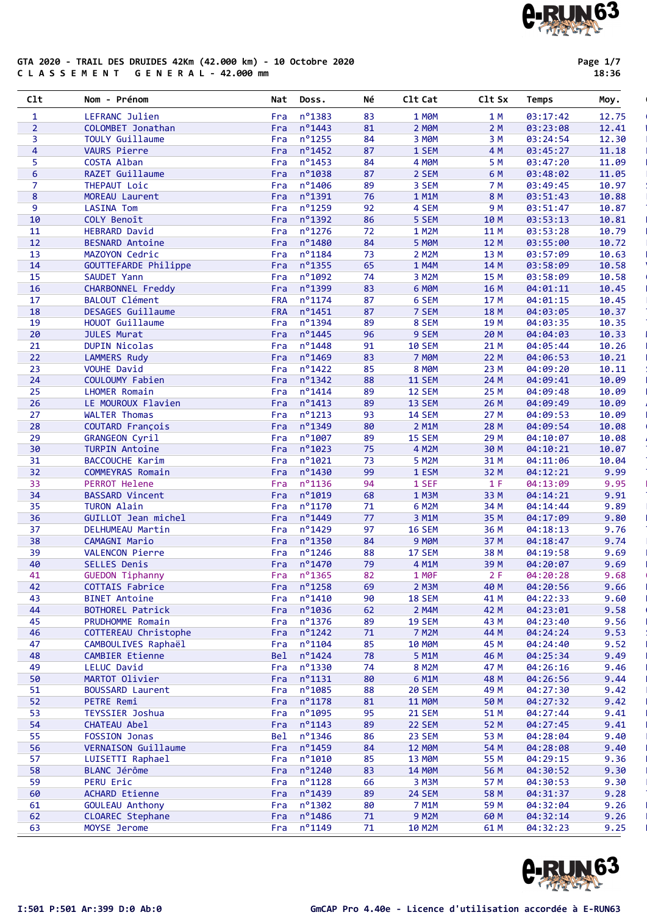#### GTA 2020 - TRAIL DES DRUIDES 42Km (42.000 km) - 10 Octobre 2020 C L A S S E M E N T G E N E R A L - 42.000 mm

Page 1/7 18:36

| 1               | LEFRANC Julien           | Fra        | n°1383               | 83 | 1 MOM         | 1 M  | 03:17:42 | 12.75 |
|-----------------|--------------------------|------------|----------------------|----|---------------|------|----------|-------|
| $\overline{2}$  | COLOMBET Jonathan        | Fra        | $n^{\circ}$ 1443     | 81 | 2 MOM         | 2 M  | 03:23:08 | 12.41 |
| 3               | <b>TOULY Guillaume</b>   | Fra        | nº1255               | 84 | 3 MOM         | 3 M  | 03:24:54 | 12.30 |
| 4               | <b>VAURS Pierre</b>      | Fra        | $n^o$ 1452           | 87 | 1 SEM         | 4 M  | 03:45:27 | 11.18 |
|                 |                          |            |                      |    |               |      |          |       |
| 5               | COSTA Alban              | Fra        | $n^o$ 1453           | 84 | 4 MOM         | 5 M  | 03:47:20 | 11.09 |
| 6               | RAZET Guillaume          | Fra        | n°1038               | 87 | 2 SEM         | 6 M  | 03:48:02 | 11.05 |
| $\overline{7}$  | THEPAUT Loic             | Fra        | nº1406               | 89 | 3 SEM         | 7 M  | 03:49:45 | 10.97 |
| 8               | MOREAU Laurent           | Fra        | $n^o$ 1391           | 76 | 1 M1M         | 8 M  | 03:51:43 | 10.88 |
| 9               | <b>LASINA Tom</b>        | Fra        | nº1259               | 92 | 4 SEM         | 9 M  | 03:51:47 | 10.87 |
| 10              | COLY Benoît              | Fra        | nº1392               | 86 | 5 SEM         | 10 M | 03:53:13 | 10.81 |
| 11              | <b>HEBRARD David</b>     | Fra        | nº1276               | 72 | 1 M2M         | 11 M | 03:53:28 | 10.79 |
| 12              | <b>BESNARD Antoine</b>   | Fra        | n°1480               | 84 | 5 MOM         | 12 M | 03:55:00 | 10.72 |
| 13              | MAZOYON Cedric           | Fra        | $n^o$ 1184           | 73 | 2 M2M         | 13 M | 03:57:09 | 10.63 |
| 14              | GOUTTEFARDE Philippe     | Fra        | n°1355               | 65 | 1 M4M         | 14 M | 03:58:09 | 10.58 |
| 15              | SAUDET Yann              | Fra        | nº1092               | 74 | 3 M2M         | 15 M | 03:58:09 | 10.58 |
| 16              | CHARBONNEL Freddy        | Fra        | n°1399               | 83 | 6 MOM         | 16 M | 04:01:11 | 10.45 |
| 17              | <b>BALOUT Clément</b>    | <b>FRA</b> | $n^o$ 1174           | 87 | 6 SEM         | 17 M | 04:01:15 | 10.45 |
| 18              | <b>DESAGES Guillaume</b> | <b>FRA</b> | $n^o$ 1451           | 87 | 7 SEM         | 18 M | 04:03:05 | 10.37 |
| 19              | HOUOT Guillaume          | Fra        | nº1394               | 89 | 8 SEM         | 19 M | 04:03:35 | 10.35 |
| 20              | <b>JULES Murat</b>       | Fra        | $n^{\circ}$ 1445     | 96 | 9 SEM         | 20 M | 04:04:03 | 10.33 |
| 21              | <b>DUPIN Nicolas</b>     | Fra        | nº1448               | 91 | <b>10 SEM</b> | 21 M | 04:05:44 | 10.26 |
| 22              |                          |            | nº1469               |    |               |      |          |       |
|                 | <b>LAMMERS Rudy</b>      | Fra        |                      | 83 | <b>7 MOM</b>  | 22 M | 04:06:53 | 10.21 |
| 23              | <b>VOUHE David</b>       | Fra        | $n^o$ 1422           | 85 | 8 MOM         | 23 M | 04:09:20 | 10.11 |
| 24              | COULOUMY Fabien          | Fra        | $n^o$ 1342           | 88 | <b>11 SEM</b> | 24 M | 04:09:41 | 10.09 |
| 25              | <b>LHOMER Romain</b>     | Fra        | $n^{\circ}$ 1414     | 89 | 12 SEM        | 25 M | 04:09:48 | 10.09 |
| 26              | LE MOUROUX Flavien       | Fra        | $n^o$ 1413           | 89 | 13 SEM        | 26 M | 04:09:49 | 10.09 |
| 27              | <b>WALTER Thomas</b>     | Fra        | $n^{\circ}$ 1213     | 93 | <b>14 SEM</b> | 27 M | 04:09:53 | 10.09 |
| 28              | COUTARD François         | Fra        | $n^{\circ}$ 1349     | 80 | 2 M1M         | 28 M | 04:09:54 | 10.08 |
| 29              | <b>GRANGEON Cyril</b>    | Fra        | $n^{\circ}$ 1007     | 89 | <b>15 SEM</b> | 29 M | 04:10:07 | 10.08 |
| 30              | <b>TURPIN Antoine</b>    | Fra        | $n^{\circ}$ 1023     | 75 | 4 M2M         | 30 M | 04:10:21 | 10.07 |
| 31              | BACCOUCHE Karim          | Fra        | n°1021               | 73 | 5 M2M         | 31 M | 04:11:06 | 10.04 |
| 32 <sub>2</sub> | COMMEYRAS Romain         | Fra        | nº1430               | 99 | 1 ESM         | 32 M | 04:12:21 | 9.99  |
| 33              | PERROT Helene            | Fra        | $n^o$ 1136           | 94 | 1 SEF         | 1 F  | 04:13:09 | 9.95  |
| 34              | <b>BASSARD Vincent</b>   | Fra        | nº1019               | 68 | 1 M3M         | 33 M | 04:14:21 | 9.91  |
| 35              | <b>TURON Alain</b>       | Fra        | nº1170               | 71 | 6 M2M         | 34 M | 04:14:44 | 9.89  |
| 36              | GUILLOT Jean michel      | Fra        | n°1449               | 77 | 3 M1M         | 35 M | 04:17:09 | 9.80  |
| 37              | DELHUMEAU Martin         | Fra        | nº1429               | 97 | <b>16 SEM</b> | 36 M | 04:18:13 | 9.76  |
| 38              | CAMAGNI Mario            | Fra        | nº1350               | 84 | 9 MOM         | 37 M | 04:18:47 | 9.74  |
| 39              | VALENCON Pierre          | Fra        | $n^{\circ}$ 1246     | 88 | 17 SEM        | 38 M | 04:19:58 | 9.69  |
| 40              |                          |            | nº1470               | 79 |               |      |          |       |
|                 | SELLES Denis             | Fra        |                      |    | 4 M1M         | 39 M | 04:20:07 | 9.69  |
| 41              | <b>GUEDON Tiphanny</b>   | Fra        | nº1365               | 82 | 1 MOF         | 2F   | 04:20:28 | 9.68  |
| 42              | COTTAIS Fabrice          |            | Fra $n^{\circ}$ 1258 | 69 | 2 M3M         | 40 M | 04:20:56 | 9.66  |
| 43              | <b>BINET Antoine</b>     |            | Fra $n^{\circ}1410$  | 90 | <b>18 SEM</b> | 41 M | 04:22:33 | 9.60  |
| 44              | BOTHOREL Patrick         |            | Fra nº1036           | 62 | 2 M4M         | 42 M | 04:23:01 | 9.58  |
| 45              | PRUDHOMME Romain         | Fra        | $n^o$ 1376           | 89 | <b>19 SEM</b> | 43 M | 04:23:40 | 9.56  |
| 46              | COTTEREAU Christophe     | Fra        | $n^o$ 1242           | 71 | 7 M2M         | 44 M | 04:24:24 | 9.53  |
| 47              | CAMBOULIVES Raphaël      | Fra        | $n^o$ 1104           | 85 | <b>10 MOM</b> | 45 M | 04:24:40 | 9.52  |
| 48              | <b>CAMBIER Etienne</b>   | Bel        | $n^{\circ}$ 1424     | 78 | 5 M1M         | 46 M | 04:25:34 | 9.49  |
| 49              | LELUC David              | Fra        | nº1330               | 74 | 8 M2M         | 47 M | 04:26:16 | 9.46  |
| 50              | MARTOT Olivier           | Fra        | $n^o$ 1131           | 80 | 6 M1M         | 48 M | 04:26:56 | 9.44  |
| 51              | <b>BOUSSARD Laurent</b>  | Fra        | nº1085               | 88 | <b>20 SEM</b> | 49 M | 04:27:30 | 9.42  |
| 52              | PETRE Remi               | Fra        | $n^o$ 1178           | 81 | <b>11 MØM</b> | 50 M | 04:27:32 | 9.42  |
| 53              | <b>TEYSSIER Joshua</b>   | Fra        | n°1095               | 95 | <b>21 SEM</b> | 51 M | 04:27:44 | 9.41  |
| 54              | CHATEAU Abel             | Fra        | $n^o$ 1143           | 89 | 22 SEM        | 52 M | 04:27:45 | 9.41  |
| 55              | FOSSION Jonas            | Bel        | $n^o$ 1346           | 86 | 23 SEM        | 53 M | 04:28:04 | 9.40  |
|                 |                          |            |                      |    |               |      |          |       |
| 56              | VERNAISON Guillaume      | Fra        | nº1459               | 84 | <b>12 MOM</b> | 54 M | 04:28:08 | 9.40  |
| 57              | LUISETTI Raphael         | Fra        | $n^{\circ}$ 1010     | 85 | <b>13 MOM</b> | 55 M | 04:29:15 | 9.36  |
| 58              | BLANC Jérôme             | Fra        | nº1240               | 83 | <b>14 MOM</b> | 56 M | 04:30:52 | 9.30  |
| 59              | PERU Eric                | Fra        | $n^o$ 1128           | 66 | 3 M3M         | 57 M | 04:30:53 | 9.30  |
| 60              | <b>ACHARD Etienne</b>    | Fra        | nº1439               | 89 | <b>24 SEM</b> | 58 M | 04:31:37 | 9.28  |
| 61              | <b>GOULEAU Anthony</b>   | Fra        | nº1302               | 80 | 7 M1M         | 59 M | 04:32:04 | 9.26  |
| 62              | CLOAREC Stephane         | Fra        | nº1486               | 71 | 9 M2M         | 60 M | 04:32:14 | 9.26  |
| 63              | MOYSE Jerome             | Fra        | $n^{\circ}$ 1149     | 71 | 10 M2M        | 61 M | 04:32:23 | 9.25  |
|                 |                          |            |                      |    |               |      |          |       |

Clt Nom - Prénom Nat Doss. Né Clt Cat Clt Sx Temps Moy. '



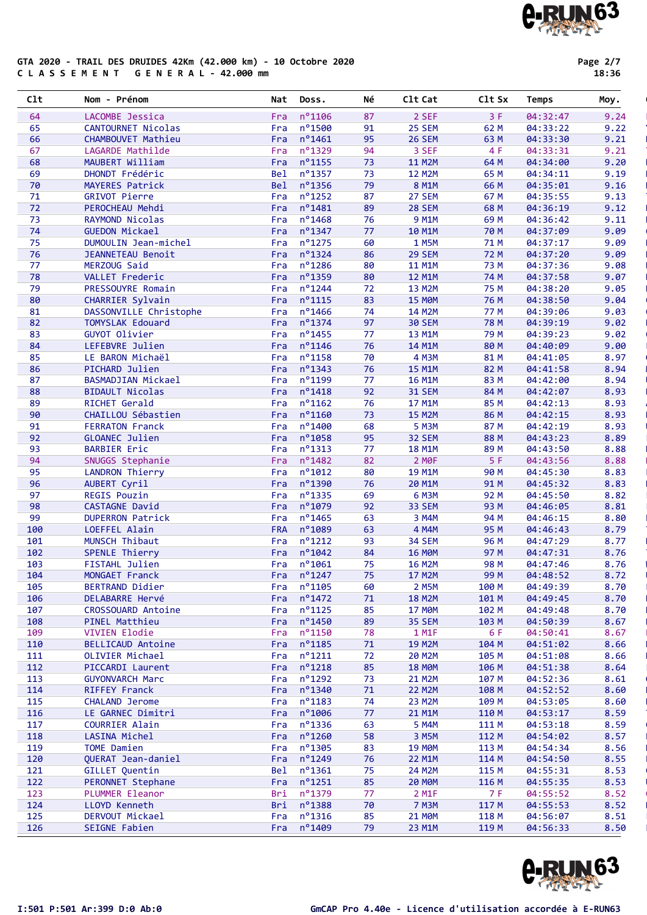### Page 2/7

e-RUN63

#### GTA 2020 - TRAIL DES DRUIDES 42Km (42.000 km) - 10 Octobre 2020 C L A S S E M E N T G E N E R A L - 42.000 mm

| C1t      | Nom - Prénom                          | Nat        | Doss.                          | Νé       | C1t Cat            | C <sub>1</sub> t S <sub>x</sub> | Temps                | Moy.         |
|----------|---------------------------------------|------------|--------------------------------|----------|--------------------|---------------------------------|----------------------|--------------|
| 64       | LACOMBE Jessica                       | Fra        | $n^{\circ}$ 1106               | 87       | 2 SEF              | 3F                              | 04:32:47             | 9.24         |
| 65       | CANTOURNET Nicolas                    | Fra        | n°1500                         | 91       | 25 SEM             | 62 M                            | 04:33:22             | 9.22         |
| 66       | CHAMBOUVET Mathieu                    | Fra        | $n^o$ 1461                     | 95       | <b>26 SEM</b>      | 63 M                            | 04:33:30             | 9.21         |
| 67       | LAGARDE Mathilde                      | Fra        | nº1329                         | 94       | 3 SEF              | 4 F                             | 04:33:31             | 9.21         |
| 68       | MAUBERT William                       | Fra        | $n^o$ 1155                     | 73       | <b>11 M2M</b>      | 64 M                            | 04:34:00             | 9.20         |
| 69       | DHONDT Frédéric                       | Bel        | nº1357                         | 73       | <b>12 M2M</b>      | 65 M                            | 04:34:11             | 9.19         |
| 70       | MAYERES Patrick                       | Bel        | nº1356                         | 79       | 8 M1M              | 66 M                            | 04:35:01             | 9.16         |
| 71       | <b>GRIVOT Pierre</b>                  | Fra        | $n^o$ 1252                     | 87       | 27 SEM             | 67 M                            | 04:35:55             | 9.13         |
| 72       | PEROCHEAU Mehdi                       | Fra        | nº1481                         | 89       | 28 SEM             | 68 M                            | 04:36:19             | 9.12         |
| 73       | RAYMOND Nicolas                       | Fra        | nº1468                         | 76       | <b>9 M1M</b>       | 69 M                            | 04:36:42             | 9.11         |
| 74       | <b>GUEDON Mickael</b>                 | Fra        | $n^o$ 1347                     | 77       | 10 M1M             | 70 M                            | 04:37:09             | 9.09         |
| 75       | DUMOULIN Jean-michel                  | Fra        | n°1275                         | 60       | 1 M5M              | 71 M                            | 04:37:17             | 9.09         |
| 76       | JEANNETEAU Benoit                     | Fra        | $n^o$ 1324                     | 86       | <b>29 SEM</b>      | 72 M                            | 04:37:20             | 9.09         |
| 77       | MERZOUG Said                          | Fra        | nº1286                         | 80       | <b>11 M1M</b>      | 73 M                            | 04:37:36             | 9.08         |
| 78       | VALLET Frederic                       | Fra        | nº1359                         | 80       | 12 M1M             | 74 M                            | 04:37:58             | 9.07         |
| 79       | PRESSOUYRE Romain                     | Fra        | $n^o$ 1244                     | 72       | 13 M2M             | 75 M                            | 04:38:20             | 9.05         |
| 80       | CHARRIER Sylvain                      | Fra        | $n^{\circ}1115$                | 83       | <b>15 MOM</b>      | 76 M                            | 04:38:50             | 9.04         |
| 81       | DASSONVILLE Christophe                | Fra        | nº1466                         | 74       | 14 M2M             | 77 M                            | 04:39:06             | 9.03         |
| 82       | TOMYSLAK Edouard                      | Fra        | nº1374                         | 97       | <b>30 SEM</b>      | 78 M                            | 04:39:19             | 9.02         |
| 83       | GUYOT Olivier                         | Fra        | n°1455                         | 77       | 13 M1M             | 79 M                            | 04:39:23             | 9.02         |
| 84       | LEFEBVRE Julien                       | Fra        | $n^{\circ}$ 1146               | 76       | 14 M1M             | 80 M                            | 04:40:09             | 9.00         |
| 85       | LE BARON Michaël                      | Fra        | $n^o$ 1158                     | 70       | 4 M3M              | 81 M                            | 04:41:05             | 8.97         |
| 86       | PICHARD Julien                        | Fra        | nº1343                         | 76       | <b>15 M1M</b>      | 82 M                            | 04:41:58             | 8.94         |
| 87       | BASMADJIAN Mickael                    | Fra        | n°1199                         | 77       | 16 M1M             | 83 M                            | 04:42:00             | 8.94         |
| 88       | <b>BIDAULT Nicolas</b>                | Fra        | $n^{\circ}$ 1418               | 92       | <b>31 SEM</b>      | 84 M                            | 04:42:07             | 8.93         |
| 89<br>90 | RICHET Gerald<br>CHAILLOU Sébastien   | Fra        | $n^o$ 1162<br>$n^{\circ}$ 1160 | 76<br>73 | 17 M1M             | 85 M                            | 04:42:13             | 8.93         |
| 91       | <b>FERRATON Franck</b>                | Fra        | nº1400                         |          | <b>15 M2M</b>      | 86 M<br>87 M                    | 04:42:15             | 8.93<br>8.93 |
| 92       |                                       | Fra        | n°1058                         | 68<br>95 | 5 M3M<br>32 SEM    | 88 M                            | 04:42:19             | 8.89         |
| 93       | GLOANEC Julien<br><b>BARBIER Eric</b> | Fra<br>Fra | $n^o$ 1313                     | 77       | <b>18 M1M</b>      | 89 M                            | 04:43:23<br>04:43:50 | 8.88         |
| 94       |                                       | Fra        | nº1482                         | 82       | 2 MOF              | 5F                              | 04:43:56             | 8.88         |
| 95       | SNUGGS Stephanie<br>LANDRON Thierry   | Fra        | $n^{\circ}1012$                | 80       | 19 M1M             | 90 M                            | 04:45:30             | 8.83         |
| 96       | AUBERT Cyril                          | Fra        | nº1390                         | 76       | 20 M1M             | 91 M                            | 04:45:32             | 8.83         |
| 97       | <b>REGIS Pouzin</b>                   | Fra        | n°1335                         | 69       | 6 M3M              | 92 M                            | 04:45:50             | 8.82         |
| 98       | CASTAGNE David                        | Fra        | n°1079                         | 92       | 33 SEM             | 93 M                            | 04:46:05             | 8.81         |
| 99       | <b>DUPERRON Patrick</b>               | Fra        | $n^o$ 1465                     | 63       | 3 M4M              | 94 M                            | 04:46:15             | 8.80         |
| 100      | LOEFFEL Alain                         | <b>FRA</b> | nº1089                         | 63       | 4 M4M              | 95 M                            | 04:46:43             | 8.79         |
| 101      | MUNSCH Thibaut                        | Fra        | $n^{\circ}$ 1212               | 93       | <b>34 SEM</b>      | 96 M                            | 04:47:29             | 8.77         |
| 102      | SPENLE Thierry                        | Fra        | $n^{\circ}1042$                | 84       | <b>16 MØM</b>      | 97 M                            | 04:47:31             | 8.76         |
| 103      | FISTAHL Julien                        | Fra        | $n^{\circ}$ 1061               | 75       | <b>16 M2M</b>      | 98 M                            | 04:47:46             | 8.76         |
| 104      | MONGAET Franck                        |            | Fra $n^{\circ}$ 1247           | 75       | 17 M2M             | 99 M                            | 04:48:52             | 8.72         |
| 105      | BERTRAND Didier                       | Fra        | $n^{\circ}$ 1105               | 60       | 2 M5M              | 100 M                           | 04:49:39             | 8.70         |
| 106      | DELABARRE Hervé                       | Fra        | $n^{\circ}$ 1472               | 71       | <b>18 M2M</b>      | 101 M                           | 04:49:45             | 8.70         |
| 107      | CROSSOUARD Antoine                    | Fra        | $n^{\circ}$ 1125               | 85       | <b>17 MOM</b>      | 102 M                           | 04:49:48             | 8.70         |
| 108      | PINEL Matthieu                        | Fra        | $n^{\circ}$ 1450               | 89       | 35 SEM             | 103 M                           | 04:50:39             | 8.67         |
| 109      | VIVIEN Elodie                         | Fra        | n°1150                         | 78       | 1 M1F              | 6 F                             | 04:50:41             | 8.67         |
| 110      | <b>BELLICAUD Antoine</b>              | Fra        | $n^{\circ}$ 1185               | 71       | <b>19 M2M</b>      | 104 M                           | 04:51:02             | 8.66         |
| 111      | OLIVIER Michael                       | Fra        | $n^{\circ}1211$                | 72       | <b>20 M2M</b>      | 105 M                           | 04:51:08             | 8.66         |
| 112      | PICCARDI Laurent                      | Fra        | $n^{\circ}$ 1218               | 85       | <b>18 MØM</b>      | 106 M                           | 04:51:38             | 8.64         |
| 113      | <b>GUYONVARCH Marc</b>                | Fra        | $n^o$ 1292                     | 73       | <b>21 M2M</b>      | 107 M                           | 04:52:36             | 8.61         |
| 114      | RIFFEY Franck                         | Fra        | $n^{\circ}$ 1340               | 71       | <b>22 M2M</b>      | 108 M                           | 04:52:52             | 8.60         |
| 115      | CHALAND Jerome                        | Fra        | $n^o$ 1183                     | 74       | 23 M2M             | 109 M                           | 04:53:05             | 8.60         |
| 116      | LE GARNEC Dimitri                     | Fra        | n°1006                         | 77       | 21 M1M             | 110 M                           | 04:53:17             | 8.59         |
| 117      | COURRIER Alain                        | Fra        | $n^o$ 1336                     | 63       | 5 M4M              | 111 M                           | 04:53:18             | 8.59         |
| 118      | LASINA Michel                         | Fra        | $n^{\circ}$ 1260               | 58       | 3 M5M              | 112 M                           | 04:54:02             | 8.57         |
| 119      | TOME Damien                           | Fra        | $n^o$ 1305                     | 83       | <b>19 MØM</b>      | 113 M                           | 04:54:34             | 8.56         |
| 120      | QUERAT Jean-daniel                    | Fra        | nº1249                         | 76       | 22 M1M             | 114 M                           | 04:54:50             | 8.55         |
| 121      | GILLET Quentin                        | Bel        | $n^o$ 1361                     | 75       | 24 M2M             | 115 M                           | 04:55:31             | 8.53         |
| 122      | PERONNET Stephane                     | Fra        | $n^{\circ}$ 1251               | 85       | <b>20 MOM</b>      | 116 M                           | 04:55:35             | 8.53         |
| 123      | PLUMMER Eleanor                       | Bri        | nº1379                         | 77       | 2 M <sub>1</sub> F | 7 F                             | 04:55:52             | 8.52         |
| 124      | LLOYD Kenneth                         | Bri        | $n^o$ 1388                     | 70       | <b>7 M3M</b>       | 117 M                           | 04:55:53             | 8.52         |
| 125      | DERVOUT Mickael                       | Fra        | $n^o$ 1316                     | 85       | <b>21 MOM</b>      | 118 M                           | 04:56:07             | 8.51         |
| 126      | SEIGNE Fabien                         | Fra        | nº1409                         | 79       | 23 M1M             | 119 M                           | 04:56:33             | 8.50         |

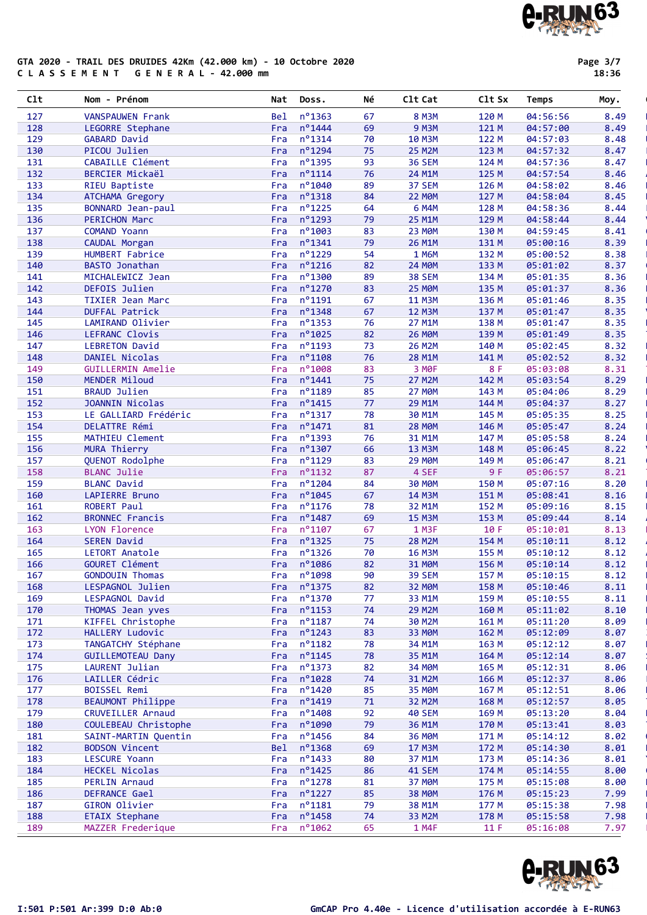### GTA 2020 - TRAIL DES DRUIDES 42Km (42.000 km) - 10 Octobre 2020 C L A S S E M E N T G E N E R A L - 42.000 mm

Page 3/7 18:36

| 127 | <b>VANSPAUWEN Frank</b>  | nº1363<br>Bel           | 67 | <b>8 M3M</b>  | 120 M | 04:56:56 | 8.49 |
|-----|--------------------------|-------------------------|----|---------------|-------|----------|------|
| 128 | LEGORRE Stephane         | $n^{\circ}$ 1444<br>Fra | 69 | <b>9 M3M</b>  | 121 M | 04:57:00 | 8.49 |
| 129 | <b>GABARD David</b>      | $n^o$ 1314<br>Fra       | 70 | <b>10 M3M</b> | 122 M | 04:57:03 | 8.48 |
| 130 | PICOU Julien             | $n^o$ 1294<br>Fra       | 75 | <b>25 M2M</b> | 123 M | 04:57:32 | 8.47 |
| 131 | <b>CABAILLE Clément</b>  | $n^o$ 1395<br>Fra       | 93 | <b>36 SEM</b> | 124 M | 04:57:36 | 8.47 |
| 132 | <b>BERCIER Mickaël</b>   | $n^o$ 1114<br>Fra       | 76 | 24 M1M        | 125 M | 04:57:54 | 8.46 |
| 133 | RIEU Baptiste            | $n^{\circ}$ 1040<br>Fra | 89 | 37 SEM        | 126 M | 04:58:02 | 8.46 |
| 134 | ATCHAMA Gregory          | $n^o$ 1318<br>Fra       | 84 | 22 MOM        | 127 M | 04:58:04 | 8.45 |
| 135 | BONNARD Jean-paul        | $n^o$ 1225<br>Fra       | 64 | 6 M4M         | 128 M | 04:58:36 | 8.44 |
| 136 | <b>PERICHON Marc</b>     | $n^{\circ}$ 1293<br>Fra | 79 | 25 M1M        | 129 M | 04:58:44 | 8.44 |
|     |                          |                         |    |               |       |          |      |
| 137 | COMAND Yoann             | $n^{\circ}$ 1003<br>Fra | 83 | <b>23 MØM</b> | 130 M | 04:59:45 | 8.41 |
| 138 | CAUDAL Morgan            | $n^o$ 1341<br>Fra       | 79 | 26 M1M        | 131 M | 05:00:16 | 8.39 |
| 139 | HUMBERT Fabrice          | $n^o$ 1229<br>Fra       | 54 | 1 M6M         | 132 M | 05:00:52 | 8.38 |
| 140 | <b>BASTO Jonathan</b>    | $n^o$ 1216<br>Fra       | 82 | <b>24 MØM</b> | 133 M | 05:01:02 | 8.37 |
| 141 | MICHALEWICZ Jean         | nº1300<br>Fra           | 89 | 38 SEM        | 134 M | 05:01:35 | 8.36 |
| 142 | DEFOIS Julien            | $n^o$ 1270<br>Fra       | 83 | <b>25 MØM</b> | 135 M | 05:01:37 | 8.36 |
| 143 | <b>TIXIER Jean Marc</b>  | $n^o$ 1191<br>Fra       | 67 | <b>11 M3M</b> | 136 M | 05:01:46 | 8.35 |
| 144 | <b>DUFFAL Patrick</b>    | Fra $n^{\circ}$ 1348    | 67 | <b>12 M3M</b> | 137 M | 05:01:47 | 8.35 |
| 145 | LAMIRAND Olivier         | $n^o$ 1353<br>Fra       | 76 | 27 M1M        | 138 M | 05:01:47 | 8.35 |
| 146 | LEFRANC Clovis           | $n^{\circ}$ 1025<br>Fra | 82 | <b>26 MØM</b> | 139 M | 05:01:49 | 8.35 |
| 147 | <b>LEBRETON David</b>    | $n^o$ 1193<br>Fra       | 73 | 26 M2M        | 140 M | 05:02:45 | 8.32 |
| 148 | DANIEL Nicolas           | $n^o$ 1108<br>Fra       | 76 | 28 M1M        | 141 M | 05:02:52 | 8.32 |
| 149 | <b>GUILLERMIN Amelie</b> | nº1008<br>Fra           | 83 | 3 MOF         | 8 F   | 05:03:08 | 8.31 |
| 150 | MENDER Miloud            | $n^{\circ}$ 1441<br>Fra | 75 | <b>27 M2M</b> | 142 M | 05:03:54 | 8.29 |
| 151 | <b>BRAUD Julien</b>      | $n^o$ 1189<br>Fra       | 85 | <b>27 MØM</b> | 143 M | 05:04:06 | 8.29 |
| 152 | <b>JOANNIN Nicolas</b>   | Fra $n^{\circ}$ 1415    | 77 | 29 M1M        | 144 M | 05:04:37 | 8.27 |
| 153 | LE GALLIARD Frédéric     | $n^o$ 1317<br>Fra       | 78 | 30 M1M        | 145 M | 05:05:35 | 8.25 |
| 154 | DELATTRE Rémi            | $n^{\circ}$ 1471<br>Fra | 81 | <b>28 MØM</b> | 146 M | 05:05:47 | 8.24 |
| 155 | MATHIEU Clement          | $n^o$ 1393<br>Fra       | 76 | 31 M1M        | 147 M | 05:05:58 | 8.24 |
| 156 | MURA Thierry             | $n^o$ 1307<br>Fra       | 66 | 13 M3M        | 148 M | 05:06:45 | 8.22 |
| 157 | QUENOT Rodolphe          | n°1129<br>Fra           | 83 | <b>29 MØM</b> | 149 M | 05:06:47 | 8.21 |
| 158 | <b>BLANC Julie</b>       | $n^o$ 1132<br>Fra       | 87 | 4 SEF         | 9F    | 05:06:57 | 8.21 |
| 159 | <b>BLANC David</b>       | $n^o$ 1204<br>Fra       | 84 | <b>30 MØM</b> | 150 M | 05:07:16 | 8.20 |
|     |                          | $n^{\circ}$ 1045<br>Fra | 67 |               |       |          | 8.16 |
| 160 | LAPIERRE Bruno           |                         |    | 14 M3M        | 151 M | 05:08:41 |      |
| 161 | ROBERT Paul              | $n^o$ 1176<br>Fra       | 78 | 32 M1M        | 152 M | 05:09:16 | 8.15 |
| 162 | <b>BRONNEC Francis</b>   | $n^{\circ}$ 1487<br>Fra | 69 | <b>15 M3M</b> | 153 M | 05:09:44 | 8.14 |
| 163 | LYON Florence            | $n^{\circ}$ 1107<br>Fra | 67 | 1 M3F         | 10 F  | 05:10:01 | 8.13 |
| 164 | <b>SEREN David</b>       | $n^o$ 1325<br>Fra       | 75 | <b>28 M2M</b> | 154 M | 05:10:11 | 8.12 |
| 165 | LETORT Anatole           | $n^o$ 1326<br>Fra       | 70 | <b>16 M3M</b> | 155 M | 05:10:12 | 8.12 |
| 166 | GOURET Clément           | $n^o$ 1086<br>Fra       | 82 | 31 MOM        | 156 M | 05:10:14 | 8.12 |
| 167 | <b>GONDOUIN Thomas</b>   | n°1098<br>Fra           | 90 | <b>39 SEM</b> | 157 M | 05:10:15 | 8.12 |
| 168 | LESPAGNOL Julien         | Fra nº1375              | 82 | <b>32 MOM</b> | 158 M | 05:10:46 | 8.11 |
| 169 | LESPAGNOL David          | Fra nº1370              | 77 | 33 M1M        | 159 M | 05:10:55 | 8.11 |
| 170 | THOMAS Jean yves         | $n^o$ 1153<br>Fra       | 74 | <b>29 M2M</b> | 160 M | 05:11:02 | 8.10 |
| 171 | KIFFEL Christophe        | $n^o$ 1187<br>Fra       | 74 | 30 M2M        | 161 M | 05:11:20 | 8.09 |
| 172 | HALLERY Ludovic          | $n^o$ 1243<br>Fra       | 83 | 33 MOM        | 162 M | 05:12:09 | 8.07 |
| 173 | TANGATCHY Stéphane       | $n^o$ 1182<br>Fra       | 78 | 34 M1M        | 163 M | 05:12:12 | 8.07 |
| 174 | <b>GUILLEMOTEAU Dany</b> | $n^o$ 1145<br>Fra       | 78 | 35 M1M        | 164 M | 05:12:14 | 8.07 |
| 175 | LAURENT Julian           | $n^o$ 1373<br>Fra       | 82 | 34 MOM        | 165 M | 05:12:31 | 8.06 |
| 176 | LAILLER Cédric           | $n^{\circ}$ 1028<br>Fra | 74 | 31 M2M        | 166 M | 05:12:37 | 8.06 |
| 177 | BOISSEL Remi             | $n^o$ 1420<br>Fra       | 85 | 35 MOM        | 167 M | 05:12:51 | 8.06 |
| 178 | BEAUMONT Philippe        | $n^o$ 1419<br>Fra       | 71 | 32 M2M        | 168 M | 05:12:57 | 8.05 |
| 179 | CRUVEILLER Arnaud        | $n^{\circ}$ 1408<br>Fra | 92 | <b>40 SEM</b> | 169 M | 05:13:20 | 8.04 |
| 180 | COULEBEAU Christophe     | n°1090<br>Fra           | 79 | 36 M1M        | 170 M | 05:13:41 | 8.03 |
| 181 | SAINT-MARTIN Quentin     | $n^o$ 1456<br>Fra       | 84 | 36 MOM        | 171 M | 05:14:12 | 8.02 |
| 182 | <b>BODSON Vincent</b>    | $n^{\circ}$ 1368<br>Bel | 69 | <b>17 M3M</b> | 172 M | 05:14:30 | 8.01 |
| 183 | LESCURE Yoann            | $n^{\circ}$ 1433<br>Fra | 80 | 37 M1M        | 173 M | 05:14:36 | 8.01 |
| 184 | HECKEL Nicolas           | $n^o$ 1425<br>Fra       | 86 | <b>41 SEM</b> | 174 M | 05:14:55 | 8.00 |
|     |                          |                         |    |               |       |          |      |
| 185 | PERLIN Arnaud            | $n^{\circ}$ 1278<br>Fra | 81 | 37 MOM        | 175 M | 05:15:08 | 8.00 |
| 186 | DEFRANCE Gael            | $n^{\circ}$ 1227<br>Fra | 85 | <b>38 MØM</b> | 176 M | 05:15:23 | 7.99 |
| 187 | GIRON Olivier            | $n^o$ 1181<br>Fra       | 79 | 38 M1M        | 177 M | 05:15:38 | 7.98 |
| 188 | <b>ETAIX Stephane</b>    | $n^{\circ}$ 1458<br>Fra | 74 | 33 M2M        | 178 M | 05:15:58 | 7.98 |
| 189 | MAZZER Frederique        | $n^o$ 1062<br>Fra       | 65 | 1 M4F         | 11 F  | 05:16:08 | 7.97 |

Clt Nom - Prénom Nat Doss. Né Clt Cat Clt Sx Temps Moy. '



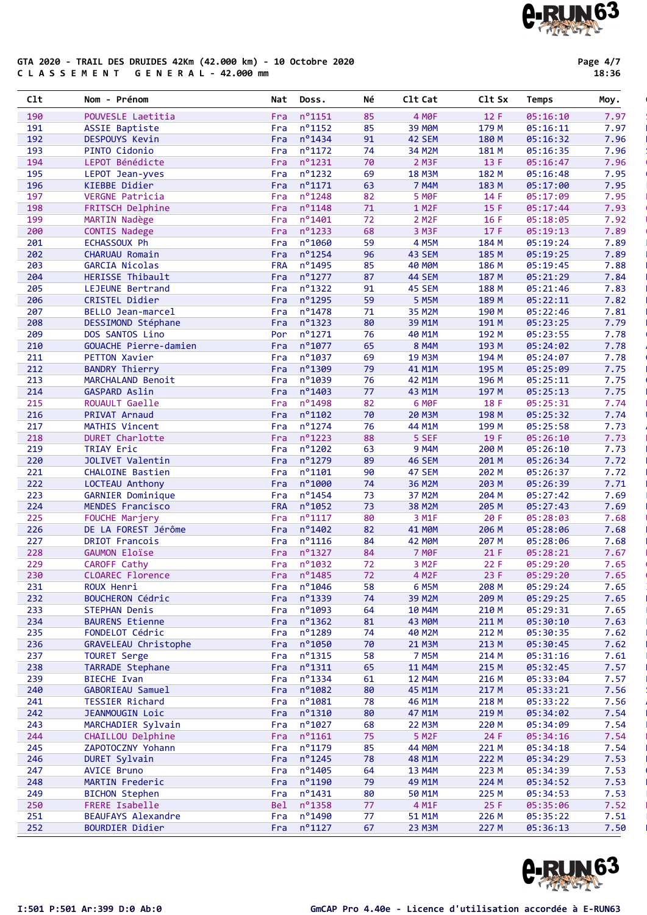#### GTA 2020 - TRAIL DES DRUIDES 42Km (42.000 km) - 10 Octobre 2020 C L A S S E M E N T G E N E R A L - 42.000 mm

Page 4/7

| Clt        | Nom - Prénom                                  | Nat               | Doss.                                | Νé       | C1t Cat                                 | C1t Sx         | Temps                | Moy.         |
|------------|-----------------------------------------------|-------------------|--------------------------------------|----------|-----------------------------------------|----------------|----------------------|--------------|
| 190        | POUVESLE Laetitia                             | Fra               | n°1151                               | 85       | 4 MOF                                   | 12 F           | 05:16:10             | 7.97         |
| 191        | <b>ASSIE Baptiste</b>                         | Fra               | $n^o$ 1152                           | 85       | 39 M <sub>OM</sub>                      | 179 M          | 05:16:11             | 7.97         |
| 192        | DESPOUYS Kevin                                | Fra               | $n^{\circ}$ 1434                     | 91       | 42 SEM                                  | 180 M          | 05:16:32             | 7.96         |
| 193        | PINTO Cidonio                                 | Fra               | $n^{\circ}$ 1172                     | 74       | 34 M2M                                  | 181 M          | 05:16:35             | 7.96         |
| 194        | LEPOT Bénédicte                               | Fra               | $n^o$ 1231                           | 70       | 2 M3F                                   | 13 F           | 05:16:47             | 7.96         |
| 195        | LEPOT Jean-yves                               | Fra               | $n^{\circ}$ 1232                     | 69       | <b>18 M3M</b>                           | 182 M          | 05:16:48             | 7.95         |
| 196        | KIEBBE Didier                                 | Fra               | $n^{\circ}1171$                      | 63       | 7 M4M                                   | 183 M          | 05:17:00             | 7.95         |
| 197        | VERGNE Patricia                               | Fra               | $n^{\circ}$ 1248                     | 82       | 5 MOF                                   | 14 F           | 05:17:09             | 7.95         |
| 198        | FRITSCH Delphine                              | Fra               | $n^o$ 1148                           | 71       | 1 M <sub>2</sub> F                      | 15 F           | 05:17:44             | 7.93         |
| 199        | MARTIN Nadège                                 | Fra               | $n^{\circ}$ 1401                     | 72       | 2 M <sub>2</sub> F                      | 16 F           | 05:18:05             | 7.92         |
| 200        | <b>CONTIS Nadege</b>                          | Fra               | $n^o$ 1233                           | 68       | 3 M3F                                   | 17 F           | 05:19:13             | 7.89         |
| 201        | ECHASSOUX Ph                                  | Fra               | $n^{\circ}$ 1060                     | 59       | 4 M5M                                   | 184 M          | 05:19:24             | 7.89         |
| 202        | CHARUAU Romain                                | Fra               | nº1254                               | 96       | 43 SEM                                  | 185 M          | 05:19:25             | 7.89         |
| 203        | <b>GARCIA Nicolas</b>                         | <b>FRA</b>        | $n^{\circ}$ 1495                     | 85       | <b>40 MOM</b>                           | 186 M          | 05:19:45             | 7.88         |
| 204        | HERISSE Thibault                              | Fra               | $n^{\circ}$ 1277<br>$n^o$ 1322       | 87       | <b>44 SEM</b>                           | 187 M          | 05:21:29             | 7.84<br>7.83 |
| 205<br>206 | LEJEUNE Bertrand                              | Fra               | n°1295                               | 91<br>59 | 45 SEM<br>5 M5M                         | 188 M          | 05:21:46             |              |
| 207        | CRISTEL Didier<br>BELLO Jean-marcel           | Fra<br>Fra        | nº1478                               | 71       | 35 M2M                                  | 189 M<br>190 M | 05:22:11<br>05:22:46 | 7.82<br>7.81 |
| 208        | DESSIMOND Stéphane                            | Fra               | $n^{\circ}$ 1323                     | 80       | 39 M1M                                  | 191 M          | 05:23:25             | 7.79         |
| 209        | DOS SANTOS Lino                               | Por               | $n^o$ 1271                           | 76       | 40 M1M                                  | 192 M          | 05:23:55             | 7.78         |
| 210        | GOUACHE Pierre-damien                         | Fra               | $n^o$ 1077                           | 65       | 8 M4M                                   | 193 M          | 05:24:02             | 7.78         |
| 211        | <b>PETTON Xavier</b>                          | Fra               | $n^{\circ}$ 1037                     | 69       | <b>19 M3M</b>                           | 194 M          | 05:24:07             | 7.78         |
| 212        | <b>BANDRY Thierry</b>                         | Fra               | nº1309                               | 79       | 41 M1M                                  | 195 M          | 05:25:09             | 7.75         |
| 213        | MARCHALAND Benoit                             | Fra               | nº1039                               | 76       | 42 M1M                                  | 196 M          | 05:25:11             | 7.75         |
| 214        | <b>GASPARD Aslin</b>                          | Fra               | nº1403                               | 77       | 43 M1M                                  | 197 M          | 05:25:13             | 7.75         |
| 215        | ROUAULT Gaelle                                | Fra               | nº1498                               | 82       | 6 MOF                                   | 18 F           | 05:25:31             | 7.74         |
| 216        | PRIVAT Arnaud                                 | Fra               | $n^{\circ}$ 1102                     | 70       | 20 M3M                                  | 198 M          | 05:25:32             | 7.74         |
| 217        | MATHIS Vincent                                | Fra               | $n^{\circ}$ 1274                     | 76       | 44 M1M                                  | 199 M          | 05:25:58             | 7.73         |
| 218        | <b>DURET Charlotte</b>                        | Fra               | $n^o$ 1223                           | 88       | 5 SEF                                   | 19 F           | 05:26:10             | 7.73         |
| 219        | TRIAY Eric                                    | Fra               | $n^{\circ}$ 1202                     | 63       | 9 M4M                                   | 200 M          | 05:26:10             | 7.73         |
| 220        | <b>JOLIVET Valentin</b>                       | Fra               | $n^{\circ}$ 1279                     | 89       | <b>46 SEM</b>                           | 201 M          | 05:26:34             | 7.72         |
| 221        | CHALOINE Bastien                              | Fra               | $n^{\circ}$ 1101                     | 90       | <b>47 SEM</b>                           | 202 M          | 05:26:37             | 7.72         |
| 222        | LOCTEAU Anthony                               | Fra               | $n^{\circ}$ 1000                     | 74       | 36 M2M                                  | 203 M          | 05:26:39             | 7.71         |
| 223        | <b>GARNIER Dominique</b>                      | Fra               | $n^{\circ}$ 1454                     | 73       | 37 M2M                                  | 204 M          | 05:27:42             | 7.69         |
| 224        | MENDES Francisco                              | <b>FRA</b>        | nº1052                               | 73       | 38 M2M                                  | 205 M          | 05:27:43             | 7.69         |
| 225        | FOUCHE Marjery                                | Fra               | $n^{\circ}1117$                      | 80       | 3 M1F                                   | 20 F           | 05:28:03             | 7.68         |
| 226        | DE LA FOREST Jérôme                           | Fra               | $n^{\circ}$ 1402                     | 82       | 41 MOM                                  | 206 M          | 05:28:06             | 7.68         |
| 227<br>228 | <b>DRIOT Francois</b><br><b>GAUMON Eloïse</b> | Fra<br>Fra        | $n^{\circ}$ 1116<br>$n^{\circ}$ 1327 | 84<br>84 | 42 M <sub>OM</sub><br>7 M <sub>OF</sub> | 207 M<br>21 F  | 05:28:06             | 7.68         |
| 229        | CAROFF Cathy                                  |                   | Fra $n^{\circ}1032$                  | 72       | 3 M <sub>2</sub> F                      | 22 F           | 05:28:21<br>05:29:20 | 7.67<br>7.65 |
| 230        | CLOAREC Florence                              |                   | Fra nº1485                           | 72       | 4 M <sub>2</sub> F                      | 23 F           | 05:29:20             | 7.65         |
| 231        | ROUX Henri                                    | Fra               | $n^{\circ}$ 1046                     | 58       | 6 M5M                                   | 208 M          | 05:29:24             | 7.65         |
| 232        | BOUCHERON Cédric                              | Fra               | nº1339                               | 74       | 39 M2M                                  | 209 M          | 05:29:25             | 7.65         |
| 233        | STEPHAN Denis                                 | Fra               | nº1093                               | 64       | 10 M4M                                  | 210 M          | 05:29:31             | 7.65         |
| 234        | <b>BAURENS Etienne</b>                        | Fra               | $n^{\circ}$ 1362                     | 81       | <b>43 MOM</b>                           | 211 M          | 05:30:10             | 7.63         |
| 235        | FONDELOT Cédric                               | Fra               | $n^o$ 1289                           | 74       | 40 M2M                                  | 212 M          | 05:30:35             | 7.62         |
| 236        | GRAVELEAU Christophe                          | Fra               | nº1050                               | 70       | 21 M3M                                  | 213 M          | 05:30:45             | 7.62         |
| 237        | <b>TOURET Serge</b>                           | Fra               | $n^o$ 1315                           | 58       | <b>7 M5M</b>                            | 214 M          | 05:31:16             | 7.61         |
| 238        | TARRADE Stephane                              | Fra               | $n^{\circ}$ 1311                     | 65       | <b>11 M4M</b>                           | 215 M          | 05:32:45             | 7.57         |
| 239        | <b>BIECHE Ivan</b>                            | Fra               | $n^o$ 1334                           | 61       | <b>12 M4M</b>                           | 216 M          | 05:33:04             | 7.57         |
| 240        | GABORIEAU Samuel                              | Fra               | $n^{\circ}$ 1082                     | 80       | 45 M1M                                  | 217 M          | 05:33:21             | 7.56         |
| 241        | TESSIER Richard                               | Fra               | $n^{\circ}$ 1081                     | 78       | 46 M1M                                  | 218 M          | 05:33:22             | 7.56         |
| 242        | JEANMOUGIN Loic                               | Fra               | $n^{\circ}$ 1310                     | 80       | 47 M1M                                  | 219 M          | 05:34:02             | 7.54         |
| 243        | MARCHADIER Sylvain                            | Fra               | $n^{\circ}$ 1027                     | 68       | <b>22 M3M</b>                           | 220 M          | 05:34:09             | 7.54         |
| 244        | CHAILLOU Delphine                             | Fra               | $n^{\circ}$ 1161                     | 75       | 5 M <sub>2</sub> F                      | 24 F           | 05:34:16             | 7.54         |
| 245        | ZAPOTOCZNY Yohann                             | Fra               | $n^{\circ}$ 1179                     | 85       | 44 MOM                                  | 221 M          | 05:34:18             | 7.54         |
| 246        | DURET Sylvain                                 | Fra               | $n^{\circ}$ 1245                     | 78       | 48 M1M                                  | 222 M          | 05:34:29             | 7.53         |
| 247        | <b>AVICE Bruno</b>                            | Fra               | nº1405                               | 64       | 13 M4M                                  | 223 M          | 05:34:39             | 7.53         |
| 248        | MARTIN Frederic                               | Fra               | $n^{\circ}$ 1190                     | 79       | 49 M1M                                  | 224 M          | 05:34:52             | 7.53         |
| 249        | <b>BICHON Stephen</b>                         | Fra               | $n^{\circ}$ 1431                     | 80       | 50 M1M                                  | 225 M          | 05:34:53             | 7.53         |
| 250<br>251 | FRERE Isabelle<br><b>BEAUFAYS Alexandre</b>   | <b>Bel</b><br>Fra | $n^o$ 1358<br>nº1490                 | 77<br>77 | 4 M1F<br>51 M1M                         | 25 F<br>226 M  | 05:35:06<br>05:35:22 | 7.52<br>7.51 |
| 252        | <b>BOURDIER Didier</b>                        | Fra               | $n^o$ 1127                           | 67       | 23 M3M                                  | 227 M          | 05:36:13             | 7.50         |
|            |                                               |                   |                                      |          |                                         |                |                      |              |

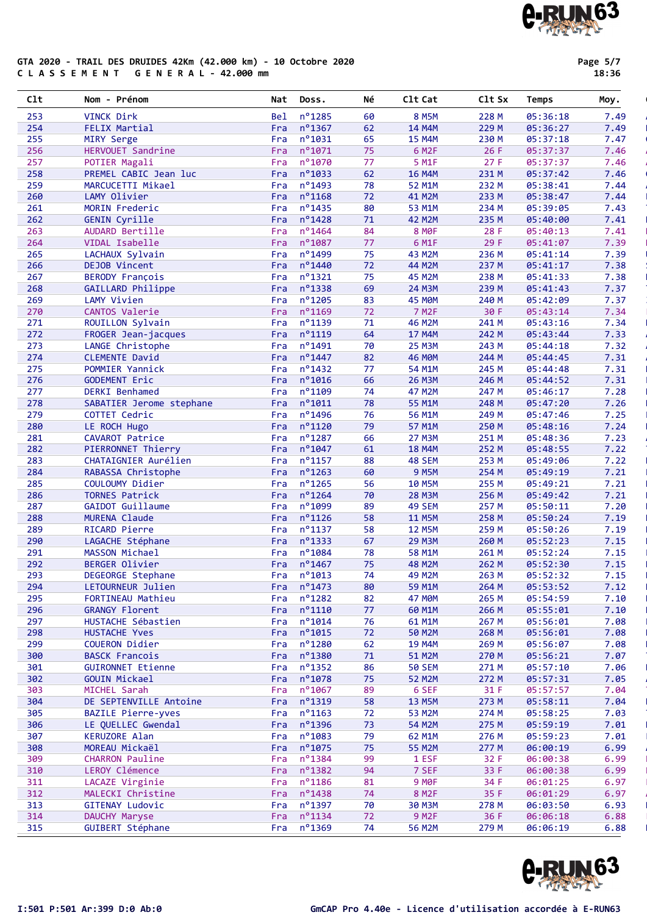#### GTA 2020 - TRAIL DES DRUIDES 42Km (42.000 km) - 10 Octobre 2020 C L A S S E M E N T G E N E R A L - 42.000 mm

Page 5/7

|  | J |  |  |
|--|---|--|--|

| C1t        | - Prénom<br>Nom                          | Nat        | Doss.                          | Νé       | C1t Cat                 | Clt Sx         | Temps                | Moy.         |
|------------|------------------------------------------|------------|--------------------------------|----------|-------------------------|----------------|----------------------|--------------|
| 253        | VINCK Dirk                               | <b>Bel</b> | nº1285                         | 60       | <b>8 M5M</b>            | 228 M          | 05:36:18             | 7.49         |
| 254        | FELIX Martial                            | Fra        | $n^{\circ}$ 1367               | 62       | 14 M4M                  | 229 M          | 05:36:27             | 7.49         |
| 255        | MIRY Serge                               | Fra        | $n^{\circ}1031$                | 65       | <b>15 M4M</b>           | 230 M          | 05:37:18             | 7.47         |
| 256        | HERVOUET Sandrine                        | Fra        | n°1071                         | 75       | 6 M <sub>2</sub> F      | 26F            | 05:37:37             | 7.46         |
| 257        | POTIER Magali                            | Fra        | n°1070                         | 77       | 5 M <sub>1</sub> F      | 27 F           | 05:37:37             | 7.46         |
| 258        | PREMEL CABIC Jean luc                    | Fra        | n°1033                         | 62       | <b>16 M4M</b>           | 231 M          | 05:37:42             | 7.46         |
| 259        | MARCUCETTI Mikael                        | Fra        | n°1493                         | 78       | 52 M1M                  | 232 M          | 05:38:41             | 7.44         |
| 260        | LAMY Olivier                             | Fra        | n°1168                         | 72       | 41 M2M                  | 233 M          | 05:38:47             | 7.44         |
| 261        | MORIN Frederic                           | Fra        | n°1435                         | 80       | 53 M1M                  | 234 M          | 05:39:05             | 7.43         |
| 262        | <b>GENIN Cyrille</b>                     | Fra        | nº1428                         | 71       | 42 M2M                  | 235 M          | 05:40:00             | 7.41         |
| 263        | AUDARD Bertille                          | Fra        | nº1464                         | 84       | <b>8 MOF</b>            | 28 F           | 05:40:13             | 7.41         |
| 264        | VIDAL Isabelle                           | Fra        | n°1087                         | 77       | 6 M1F                   | 29 F           | 05:41:07             | 7.39         |
| 265        | LACHAUX Sylvain                          | Fra        | n°1499                         | 75       | 43 M2M                  | 236 M          | 05:41:14             | 7.39         |
| 266<br>267 | DEJOB Vincent<br><b>BERODY François</b>  | Fra        | n°1440<br>$n^o$ 1321           | 72<br>75 | 44 M2M<br>45 M2M        | 237 M<br>238 M | 05:41:17<br>05:41:33 | 7.38<br>7.38 |
| 268        | GAILLARD Philippe                        | Fra<br>Fra | n°1338                         | 69       | 24 M3M                  | 239 M          | 05:41:43             | 7.37         |
| 269        | LAMY Vivien                              | Fra        | n°1205                         | 83       | 45 M <sub>OM</sub>      | 240 M          | 05:42:09             | 7.37         |
| 270        | CANTOS Valerie                           | Fra        | nº1169                         | 72       | <b>7 M2F</b>            | 30 F           | 05:43:14             | 7.34         |
| 271        | ROUILLON Sylvain                         | Fra        | n°1139                         | 71       | 46 M2M                  | 241 M          | 05:43:16             | 7.34         |
| 272        | FROGER Jean-jacques                      | Fra        | n°1119                         | 64       | 17 M4M                  | 242 M          | 05:43:44             | 7.33         |
| 273        | LANGE Christophe                         | Fra        | n°1491                         | 70       | <b>25 M3M</b>           | 243 M          | 05:44:18             | 7.32         |
| 274        | CLEMENTE David                           | Fra        | n°1447                         | 82       | <b>46 MØM</b>           | 244 M          | 05:44:45             | 7.31         |
| 275        | POMMIER Yannick                          | Fra        | nº1432                         | 77       | 54 M1M                  | 245 M          | 05:44:48             | 7.31         |
| 276        | <b>GODEMENT Eric</b>                     | Fra        | nº1016                         | 66       | <b>26 M3M</b>           | 246 M          | 05:44:52             | 7.31         |
| 277        | DERKI Benhamed                           | Fra        | n°1109                         | 74       | 47 M2M                  | 247 M          | 05:46:17             | 7.28         |
| 278        | SABATIER Jerome stephane                 | Fra        | $n^{\circ}1011$                | 78       | 55 M1M                  | 248 M          | 05:47:20             | 7.26         |
| 279        | COTTET Cedric                            | Fra        | nº1496                         | 76       | 56 M1M                  | 249 M          | 05:47:46             | 7.25         |
| 280        | LE ROCH Hugo                             | Fra        | $n^o$ 1120                     | 79       | 57 M1M                  | 250 M          | 05:48:16             | 7.24         |
| 281        | CAVAROT Patrice                          | Fra        | n°1287                         | 66       | 27 M3M                  | 251 M          | 05:48:36             | 7.23         |
| 282        | PIERRONNET Thierry                       | Fra        | n°1047                         | 61       | <b>18 M4M</b>           | 252 M          | 05:48:55             | 7.22         |
| 283        | CHATAIGNIER Aurélien                     | Fra        | nº1157                         | 88       | 48 SEM                  | 253 M          | 05:49:06             | 7.22         |
| 284        | RABASSA Christophe                       | Fra        | $n^{\circ}$ 1263               | 60       | <b>9 M5M</b>            | 254 M          | 05:49:19             | 7.21         |
| 285        | COULOUMY Didier                          | Fra        | n°1265                         | 56       | <b>10 M5M</b>           | 255 M          | 05:49:21             | 7.21         |
| 286        | <b>TORNES Patrick</b>                    | Fra        | n°1264                         | 70       | <b>28 M3M</b>           | 256 M          | 05:49:42             | 7.21         |
| 287        | GAIDOT Guillaume<br><b>MURENA Claude</b> | Fra        | nº1099                         | 89       | <b>49 SEM</b>           | 257 M          | 05:50:11             | 7.20         |
| 288        |                                          | Fra        | $n^{\circ}$ 1126<br>$n^o$ 1137 | 58       | <b>11 M5M</b>           | 258 M          | 05:50:24             | 7.19         |
| 289<br>290 | RICARD Pierre<br>LAGACHE Stéphane        | Fra<br>Fra | $n^o$ 1333                     | 58<br>67 | <b>12 M5M</b><br>29 M3M | 259 M<br>260 M | 05:50:26<br>05:52:23 | 7.19<br>7.15 |
| 291        | MASSON Michael                           | Fra        | nº1084                         | 78       | 58 M1M                  | 261 M          | 05:52:24             | 7.15         |
| 292        | <b>BERGER Olivier</b>                    | Fra        | n°1467                         | 75       | 48 M2M                  | 262 M          | 05:52:30             | 7.15         |
| 293        | DEGEORGE Stephane                        | Fra        | $n^{\circ}1013$                | 74       | 49 M <sub>2</sub> M     | 263 M          | 05:52:32             | 7.15         |
| 294        | LETOURNEUR Julien                        |            | Fra $n^{\circ}$ 1473           | 80       | 59 M1M                  | 264 M          | 05:53:52             | 7.12         |
| 295        | FORTINEAU Mathieu                        | Fra        | $n^{\circ}$ 1282               | 82       | 47 MOM                  | 265 M          | 05:54:59             | 7.10         |
| 296        | <b>GRANGY Florent</b>                    | Fra        | $n^{\circ}1110$                | 77       | 60 M1M                  | 266 M          | 05:55:01             | 7.10         |
| 297        | HUSTACHE Sébastien                       | Fra        | $n^o$ 1014                     | 76       | 61 M1M                  | 267 M          | 05:56:01             | 7.08         |
| 298        | HUSTACHE Yves                            | Fra        | n°1015                         | 72       | <b>50 M2M</b>           | 268 M          | 05:56:01             | 7.08         |
| 299        | COUERON Didier                           | Fra        | $n^{\circ}$ 1280               | 62       | <b>19 M4M</b>           | 269 M          | 05:56:07             | 7.08         |
| 300        | <b>BASCK Francois</b>                    | Fra        | $n^o$ 1380                     | 71       | 51 M2M                  | 270 M          | 05:56:21             | 7.07         |
| 301        | <b>GUIRONNET Etienne</b>                 | Fra        | $n^o$ 1352                     | 86       | <b>50 SEM</b>           | 271 M          | 05:57:10             | 7.06         |
| 302        | <b>GOUIN Mickael</b>                     | Fra        | $n^{\circ}$ 1078               | 75       | <b>52 M2M</b>           | 272 M          | 05:57:31             | 7.05         |
| 303        | MICHEL Sarah                             | Fra        | $n^{\circ}$ 1067               | 89       | 6 SEF                   | 31 F           | 05:57:57             | 7.04         |
| 304        | DE SEPTENVILLE Antoine                   | Fra        | n°1319                         | 58       | <b>13 M5M</b>           | 273 M          | 05:58:11             | 7.04         |
| 305        | <b>BAZILE Pierre-yves</b>                | Fra        | $n^o$ 1163                     | 72       | 53 M2M                  | 274 M          | 05:58:25             | 7.03         |
| 306        | LE QUELLEC Gwendal                       | Fra        | n°1396                         | 73       | <b>54 M2M</b>           | 275 M          | 05:59:19             | 7.01         |
| 307        | KERUZORE Alan                            | Fra        | nº1083                         | 79       | 62 M1M                  | 276 M          | 05:59:23             | 7.01         |
| 308        | MOREAU Mickaël                           | Fra        | $n^{\circ}$ 1075               | 75       | <b>55 M2M</b>           | 277 M          | 06:00:19             | 6.99         |
| 309        | <b>CHARRON Pauline</b>                   | Fra        | $n^o$ 1384                     | 99       | 1 ESF                   | 32 F           | 06:00:38             | 6.99         |
| 310        | LEROY Clémence                           | Fra        | nº1382                         | 94       | 7 SEF                   | 33 F           | 06:00:38             | 6.99         |
| 311        | LACAZE Virginie                          | Fra        | $n^o$ 1186                     | 81       | 9 M <sub>OF</sub>       | 34 F           | 06:01:25             | 6.97         |
| 312        | MALECKI Christine                        | Fra        | $n^o$ 1438                     | 74       | 8 M <sub>2</sub> F      | 35 F           | 06:01:29             | 6.97         |
| 313        | GITENAY Ludovic                          | Fra        | $n^o$ 1397                     | 70       | <b>30 M3M</b>           | 278 M          | 06:03:50             | 6.93         |
| 314        | DAUCHY Maryse                            | Fra        | $n^o$ 1134                     | 72       | 9 M <sub>2</sub> F      | 36 F           | 06:06:18             | 6.88         |
| 315        | GUIBERT Stéphane                         |            | Fra nº1369                     | 74       | 56 M2M                  | 279 M          | 06:06:19             | 6.88         |



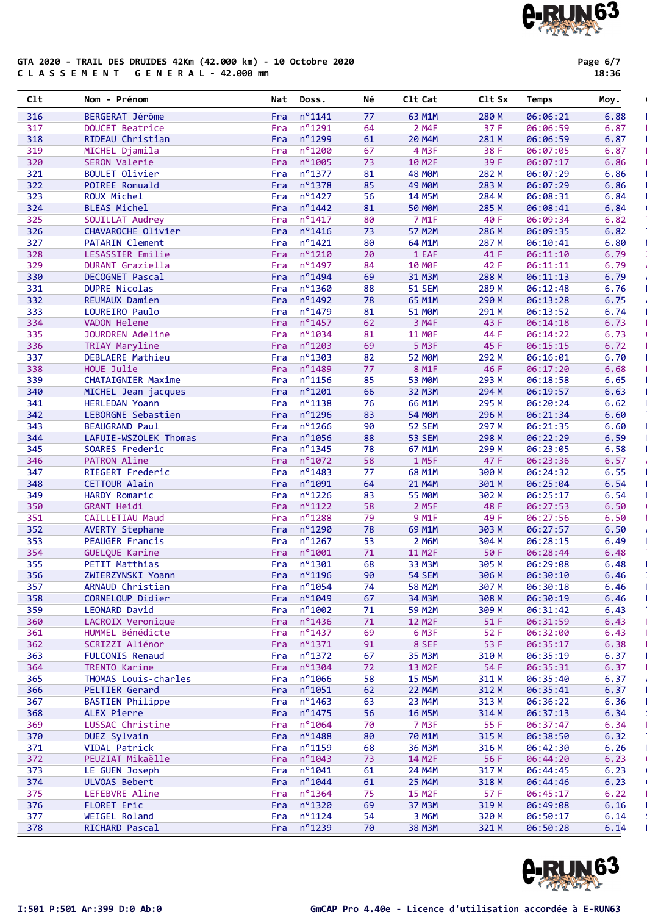#### GTA 2020 - TRAIL DES DRUIDES 42Km (42.000 km) - 10 Octobre 2020 C L A S S E M E N T G E N E R A L - 42.000 mm

Page 6/7

18:36

| C1t        | Nom - Prénom                                 | Nat        | Doss.               | Νé       | C1t Cat                 | C1t Sx         | Temps                | Moy.         |
|------------|----------------------------------------------|------------|---------------------|----------|-------------------------|----------------|----------------------|--------------|
| 316        | BERGERAT Jérôme                              | Fra        | $n^{\circ}$ 1141    | 77       | 63 M1M                  | 280 M          | 06:06:21             | 6.88         |
| 317        | DOUCET Beatrice                              | Fra        | nº1291              | 64       | 2 M4F                   | 37 F           | 06:06:59             | 6.87         |
| 318        | RIDEAU Christian                             | Fra        | nº1299              | 61       | <b>20 M4M</b>           | 281 M          | 06:06:59             | 6.87         |
| 319        | MICHEL Djamila                               | Fra        | $n^{\circ}$ 1200    | 67       | 4 M3F                   | 38 F           | 06:07:05             | 6.87         |
| 320        | SERON Valerie                                | Fra        | n°1005              | 73       | 10 M <sub>2F</sub>      | 39 F           | 06:07:17             | 6.86         |
| 321        | <b>BOULET Olivier</b>                        | Fra        | n°1377              | 81       | <b>48 MOM</b>           | 282 M          | 06:07:29             | 6.86         |
| 322        | POIREE Romuald                               | Fra        | n°1378              | 85       | <b>49 MØM</b>           | 283 M          | 06:07:29             | 6.86         |
| 323        | ROUX Michel                                  | Fra        | nº1427              | 56       | <b>14 M5M</b>           | 284 M          | 06:08:31             | 6.84         |
| 324        | <b>BLEAS Michel</b>                          | Fra        | n°1442              | 81       | <b>50 MOM</b>           | 285 M          | 06:08:41             | 6.84         |
| 325        | SOUILLAT Audrey                              | Fra        | n°1417              | 80       | 7 M1F                   | 40 F           | 06:09:34             | 6.82         |
| 326        | CHAVAROCHE Olivier                           | Fra        | $n^{\circ}$ 1416    | 73       | <b>57 M2M</b>           | 286 M          | 06:09:35             | 6.82         |
| 327        | <b>PATARIN Clement</b>                       | Fra        | $n^{\circ}$ 1421    | 80       | 64 M1M                  | 287 M          | 06:10:41             | 6.80         |
| 328        | LESASSIER Emilie                             | Fra        | n°1210              | 20       | 1 EAF                   | 41 F           | 06:11:10             | 6.79         |
| 329        | DURANT Graziella                             | Fra        | n°1497              | 84       | <b>10 MOF</b>           | 42 F           | 06:11:11             | 6.79         |
| 330        | DECOGNET Pascal                              | Fra        | nº1494              | 69       | 31 M3M                  | 288 M          | 06:11:13             | 6.79         |
| 331        | <b>DUPRE Nicolas</b>                         | Fra        | nº1360              | 88       | <b>51 SEM</b>           | 289 M          | 06:12:48             | 6.76         |
| 332        | REUMAUX Damien                               | Fra        | n°1492              | 78       | 65 M1M                  | 290 M          | 06:13:28             | 6.75         |
| 333        | LOUREIRO Paulo                               | Fra        | nº1479              | 81       | <b>51 MOM</b>           | 291 M          | 06:13:52             | 6.74         |
| 334        | VADON Helene                                 | Fra        | n°1457              | 62       | 3 M4F                   | 43 F           | 06:14:18             | 6.73         |
| 335        | <b>JOURDREN Adeline</b>                      | Fra        | nº1034              | 81       | <b>11 MOF</b>           | 44 F           | 06:14:22             | 6.73         |
| 336        | TRIAY Maryline                               | Fra        | nº1203              | 69       | <b>5 M3F</b>            | 45 F           | 06:15:15             | 6.72         |
| 337        | DEBLAERE Mathieu                             | Fra        | nº1303              | 82       | <b>52 MØM</b>           | 292 M          | 06:16:01             | 6.70         |
| 338        | HOUE Julie                                   | Fra        | n°1489              | 77       | 8 M1F                   | 46 F           | 06:17:20             | 6.68         |
| 339        | <b>CHATAIGNIER Maxime</b>                    | Fra        | n°1156<br>n°1201    | 85       | <b>53 MOM</b>           | 293 M<br>294 M | 06:18:58<br>06:19:57 | 6.65<br>6.63 |
| 340<br>341 | MICHEL Jean jacques<br><b>HERLEDAN Yoann</b> | Fra<br>Fra | $n^o$ 1138          | 66<br>76 | <b>32 M3M</b><br>66 M1M | 295 M          | 06:20:24             | 6.62         |
| 342        | LEBORGNE Sebastien                           | Fra        | n°1296              | 83       | <b>54 MØM</b>           | 296 M          | 06:21:34             | 6.60         |
| 343        | <b>BEAUGRAND Paul</b>                        | Fra        | nº1266              | 90       | <b>52 SEM</b>           | 297 M          | 06:21:35             | 6.60         |
| 344        | LAFUIE-WSZOLEK Thomas                        | Fra        | n°1056              | 88       | <b>53 SEM</b>           | 298 M          | 06:22:29             | 6.59         |
| 345        | SOARES Frederic                              | Fra        | nº1345              | 78       | 67 M1M                  | 299 M          | 06:23:05             | 6.58         |
| 346        | <b>PATRON Aline</b>                          | Fra        | nº1072              | 58       | 1 M5F                   | 47 F           | 06:23:36             | 6.57         |
| 347        | RIEGERT Frederic                             | Fra        | n°1483              | 77       | 68 M1M                  | 300 M          | 06:24:32             | 6.55         |
| 348        | <b>CETTOUR Alain</b>                         | Fra        | n°1091              | 64       | 21 M4M                  | 301 M          | 06:25:04             | 6.54         |
| 349        | HARDY Romaric                                | Fra        | nº1226              | 83       | <b>55 MOM</b>           | 302 M          | 06:25:17             | 6.54         |
| 350        | <b>GRANT Heidi</b>                           | Fra        | $n^{\circ}$ 1122    | 58       | 2 M5F                   | 48 F           | 06:27:53             | 6.50         |
| 351        | CAILLETIAU Maud                              | Fra        | n°1288              | 79       | 9 M <sub>1F</sub>       | 49 F           | 06:27:56             | 6.50         |
| 352        | <b>AVERTY Stephane</b>                       | Fra        | n°1290              | 78       | 69 M1M                  | 303 M          | 06:27:57             | 6.50         |
| 353        | <b>PEAUGER Francis</b>                       | Fra        | nº1267              | 53       | 2 M6M                   | 304 M          | 06:28:15             | 6.49         |
| 354        | GUELQUE Karine                               | Fra        | nº1001              | 71       | 11 M2F                  | 50 F           | 06:28:44             | 6.48         |
| 355        | PETIT Matthias                               | Fra        | $n^o$ 1301          | 68       | 33 M3M                  | 305 M          | 06:29:08             | 6.48         |
| 356        | ZWIERZYNSKI Yoann                            |            | Fra $n^{\circ}1196$ | 90       | <b>54 SEM</b>           | 306 M          | 06:30:10             | 6.46         |
| 357        | ARNAUD Christian                             |            | Fra $n^{\circ}1054$ | 74       | <b>58 M2M</b>           | 307 M          | 06:30:18             | 6.46         |
| 358        | CORNELOUP Didier                             |            | Fra $n^{\circ}1049$ | 67       | 34 M3M                  | 308 M          | 06:30:19             | 6.46         |
| 359        | LEONARD David                                | Fra        | nº1002              | 71       | <b>59 M2M</b>           | 309 M          | 06:31:42             | 6.43         |
| 360        | LACROIX Veronique                            | Fra        | $n^{\circ}$ 1436    | 71       | <b>12 M2F</b>           | 51 F           | 06:31:59             | 6.43         |
| 361        | HUMMEL Bénédicte                             | Fra        | $n^{\circ}$ 1437    | 69       | 6 M <sub>3</sub> F      | 52 F           | 06:32:00             | 6.43         |
| 362        | SCRIZZI Aliénor                              |            | Fra nº1371          | 91       | 8 SEF                   | 53 F           | 06:35:17             | 6.38         |
| 363        | <b>FULCONIS Renaud</b>                       | Fra        | $n^o$ 1372          | 67       | 35 M3M                  | 310 M          | 06:35:19             | 6.37         |
| 364        | TRENTO Karine                                | Fra        | $n^o$ 1304          | 72       | 13 M2F                  | 54 F           | 06:35:31             | 6.37         |
| 365        | THOMAS Louis-charles                         | Fra        | $n^{\circ}$ 1066    | 58       | <b>15 M5M</b>           | 311 M          | 06:35:40             | 6.37         |
| 366        | <b>PELTIER Gerard</b>                        | Fra        | nº1051              | 62       | 22 M4M                  | 312 M          | 06:35:41             | 6.37         |
| 367        | <b>BASTIEN Philippe</b>                      | Fra        | $n^o$ 1463          | 63       | 23 M4M                  | 313 M          | 06:36:22             | 6.36         |
| 368        | ALEX Pierre                                  | Fra        | $n^{\circ}$ 1475    | 56       | <b>16 M5M</b>           | 314 M          | 06:37:13             | 6.34         |
| 369        | LUSSAC Christine                             | Fra        | $n^{\circ}$ 1064    | 70       | <b>7 M3F</b>            | 55 F           | 06:37:47             | 6.34         |
| 370        | DUEZ Sylvain                                 | Fra        | $n^{\circ}$ 1488    | 80       | 70 M1M                  | 315 M          | 06:38:50             | 6.32         |
| 371        | VIDAL Patrick                                | Fra        | n°1159              | 68       | 36 M3M                  | 316 M          | 06:42:30             | 6.26         |
| 372        | PEUZIAT Mikaëlle                             | Fra        | $n^{\circ}$ 1043    | 73       | 14 M2F                  | 56 F           | 06:44:20             | 6.23         |
| 373        | LE GUEN Joseph                               | Fra        | $n^{\circ}$ 1041    | 61       | 24 M4M                  | 317 M          | 06:44:45             | 6.23         |
| 374        | ULVOAS Bebert                                | Fra        | $n^{\circ}1044$     | 61       | <b>25 M4M</b>           | 318 M          | 06:44:46             | 6.23         |
| 375        | LEFEBVRE Aline                               | Fra        | $n^o$ 1364          | 75       | <b>15 M2F</b>           | 57 F           | 06:45:17             | 6.22         |
| 376        | FLORET Eric                                  | Fra        | $n^o$ 1320          | 69       | <b>37 M3M</b>           | 319 M          | 06:49:08             | 6.16         |
| 377        | WEIGEL Roland                                | Fra        | $n^{\circ}$ 1124    | 54       | 3 M6M                   | 320 M          | 06:50:17             | 6.14         |
| 378        | RICHARD Pascal                               | Fra        | $n^o$ 1239          | 70       | 38 M3M                  | 321 M          | 06:50:28             | 6.14         |

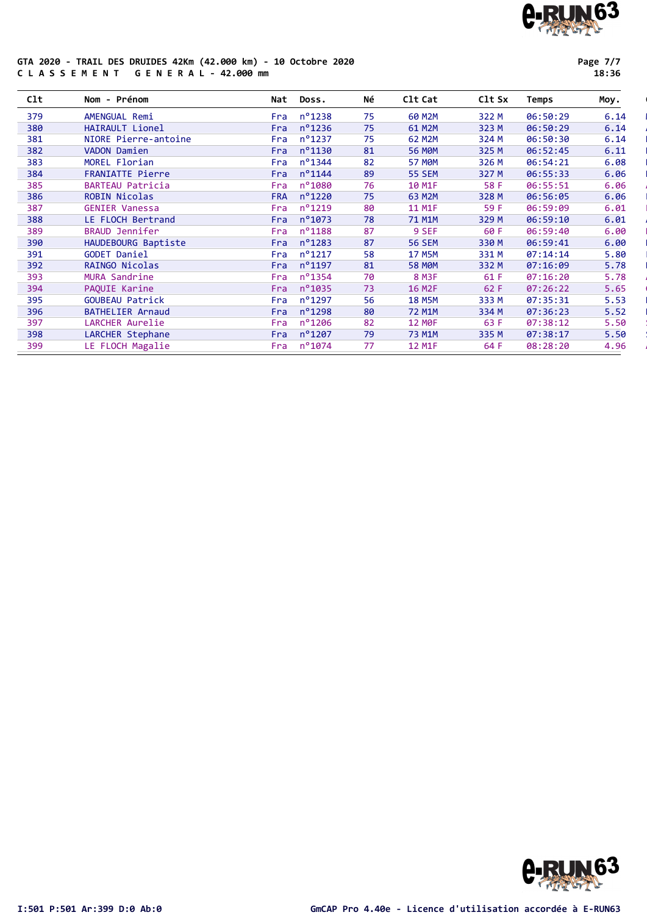#### GTA 2020 - TRAIL DES DRUIDES 42Km (42.000 km) - 10 Octobre 2020 C L A S S E M E N T G E N E R A L - 42.000 mm

Page 7/7

|  | . .<br>×<br>۰, | r. |  |
|--|----------------|----|--|

| C1t | Nom - Prénom            | Nat        | Doss.            | Νé | C1t Cat       | C1t Sx | Temps    | Moy. |
|-----|-------------------------|------------|------------------|----|---------------|--------|----------|------|
| 379 | AMENGUAL Remi           | Fra        | n°1238           | 75 | 60 M2M        | 322 M  | 06:50:29 | 6.14 |
| 380 | HAIRAULT Lionel         | Fra        | n°1236           | 75 | 61 M2M        | 323 M  | 06:50:29 | 6.14 |
| 381 | NIORE Pierre-antoine    | Fra        | $n^{\circ}$ 1237 | 75 | 62 M2M        | 324 M  | 06:50:30 | 6.14 |
| 382 | VADON Damien            | Fra        | n°1130           | 81 | <b>56 MOM</b> | 325 M  | 06:52:45 | 6.11 |
| 383 | MOREL Florian           | Fra        | n°1344           | 82 | <b>57 MOM</b> | 326 M  | 06:54:21 | 6.08 |
| 384 | FRANIATTE Pierre        | Fra        | $n^o$ 1144       | 89 | <b>55 SEM</b> | 327 M  | 06:55:33 | 6.06 |
| 385 | <b>BARTEAU Patricia</b> | Fra        | $n^{\circ}$ 1080 | 76 | 10 M1F        | 58 F   | 06:55:51 | 6.06 |
| 386 | <b>ROBIN Nicolas</b>    | <b>FRA</b> | $n^{\circ}$ 1220 | 75 | 63 M2M        | 328 M  | 06:56:05 | 6.06 |
| 387 | <b>GENIER Vanessa</b>   | Fra        | n°1219           | 80 | 11 M1F        | 59 F   | 06:59:09 | 6.01 |
| 388 | LE FLOCH Bertrand       | <b>Fra</b> | $n^{\circ}$ 1073 | 78 | 71 M1M        | 329 M  | 06:59:10 | 6.01 |
| 389 | <b>BRAUD Jennifer</b>   | Fra        | $n^{\circ}$ 1188 | 87 | 9 SEF         | 60 F   | 06:59:40 | 6.00 |
| 390 | HAUDEBOURG Baptiste     | Fra        | n°1283           | 87 | <b>56 SEM</b> | 330 M  | 06:59:41 | 6.00 |
| 391 | <b>GODET Daniel</b>     | Fra        | $n^{\circ}$ 1217 | 58 | <b>17 M5M</b> | 331 M  | 07:14:14 | 5.80 |
| 392 | RAINGO Nicolas          | Fra        | n°1197           | 81 | <b>58 MOM</b> | 332 M  | 07:16:09 | 5.78 |
| 393 | MURA Sandrine           | Fra        | n°1354           | 70 | <b>8 M3F</b>  | 61 F   | 07:16:20 | 5.78 |
| 394 | PAQUIE Karine           | Fra        | n°1035           | 73 | <b>16 M2F</b> | 62 F   | 07:26:22 | 5.65 |
| 395 | <b>GOUBEAU Patrick</b>  | Fra        | n°1297           | 56 | <b>18 M5M</b> | 333 M  | 07:35:31 | 5.53 |
| 396 | <b>BATHELIER Arnaud</b> | Fra        | n°1298           | 80 | 72 M1M        | 334 M  | 07:36:23 | 5.52 |
| 397 | LARCHER Aurelie         | Fra        | $n^{\circ}$ 1206 | 82 | <b>12 MOF</b> | 63 F   | 07:38:12 | 5.50 |
| 398 | LARCHER Stephane        | <b>Fra</b> | n°1207           | 79 | 73 M1M        | 335 M  | 07:38:17 | 5.50 |
| 399 | LE FLOCH Magalie        | Fra        | n°1074           | 77 | 12 M1F        | 64 F   | 08:28:20 | 4.96 |

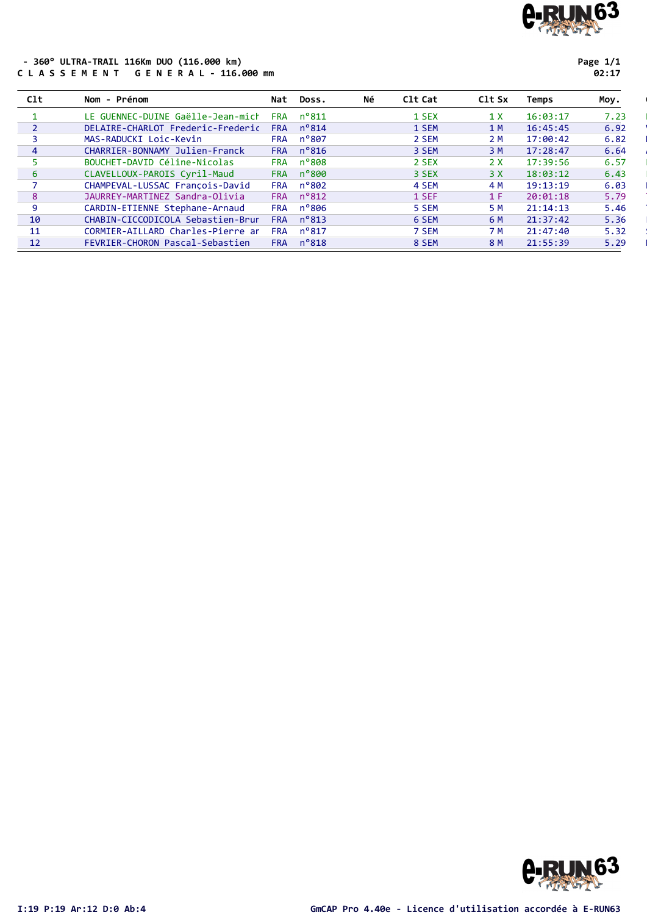

#### - 360° ULTRA-TRAIL 116Km DUO (116.000 km) C L A S S E M E N T G E N E R A L - 116.000 mm

Page 1/1

| ٠ | ۰, |  |
|---|----|--|
|---|----|--|

| C1t            | Nom - Prénom                      | Nat        | Doss.          | Νé | C1t Cat | C <sub>1</sub> t S <sub>x</sub> | Temps    | Moy. |
|----------------|-----------------------------------|------------|----------------|----|---------|---------------------------------|----------|------|
|                | LE GUENNEC-DUINE Gaëlle-Jean-mich | <b>FRA</b> | $n^{\circ}811$ |    | 1 SEX   | 1 X                             | 16:03:17 | 7.23 |
|                | DELAIRE-CHARLOT Frederic-Frederic | <b>FRA</b> | $n^{\circ}814$ |    | 1 SEM   | 1 M                             | 16:45:45 | 6.92 |
|                | MAS-RADUCKI Loic-Kevin            | <b>FRA</b> | n°807          |    | 2 SEM   | 2 M                             | 17:00:42 | 6.82 |
| $\overline{4}$ | CHARRIER-BONNAMY Julien-Franck    | <b>FRA</b> | $n^{\circ}816$ |    | 3 SEM   | 3 M                             | 17:28:47 | 6.64 |
|                | BOUCHET-DAVID Céline-Nicolas      | <b>FRA</b> | $n^{\circ}808$ |    | 2 SEX   | 2 X                             | 17:39:56 | 6.57 |
| 6              | CLAVELLOUX-PAROIS Cyril-Maud      | <b>FRA</b> | $n^{\circ}800$ |    | 3 SEX   | 3 X                             | 18:03:12 | 6.43 |
|                | CHAMPEVAL-LUSSAC Francois-David   | <b>FRA</b> | $n^{\circ}802$ |    | 4 SEM   | 4 M                             | 19:13:19 | 6.03 |
| 8              | JAURREY-MARTINEZ Sandra-Olivia    | <b>FRA</b> | $n^{\circ}812$ |    | 1 SEF   | 1 F                             | 20:01:18 | 5.79 |
| 9              | CARDIN-ETIENNE Stephane-Arnaud    | <b>FRA</b> | $n^{\circ}806$ |    | 5 SEM   | 5 M                             | 21:14:13 | 5.46 |
| 10             | CHABIN-CICCODICOLA Sebastien-Brun | <b>FRA</b> | $n^{\circ}813$ |    | 6 SEM   | 6 M                             | 21:37:42 | 5.36 |
| 11             | CORMIER-AILLARD Charles-Pierre an | <b>FRA</b> | $n^{\circ}817$ |    | 7 SEM   | 7 M                             | 21:47:40 | 5.32 |
| 12             | FEVRIER-CHORON Pascal-Sebastien   | <b>FRA</b> | $n^{\circ}818$ |    | 8 SEM   | 8 M                             | 21:55:39 | 5.29 |

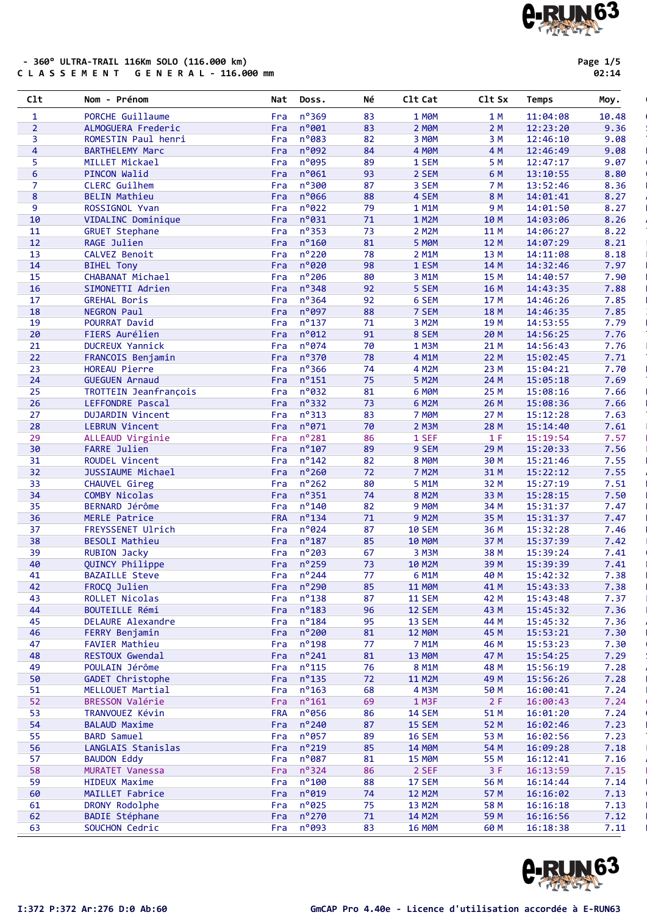### - 360° ULTRA-TRAIL 116Km SOLO (116.000 km)<br>C L A S S E M E N T G E N E R A L - 116.000 mm

|  | Page 1/5 |
|--|----------|
|  | 02:14    |

| C1t                     | Nom - Prénom                       | Nat        | Doss.                      | Νé       | C1t Cat                 | C1t Sx       | Temps                | Moy.         |
|-------------------------|------------------------------------|------------|----------------------------|----------|-------------------------|--------------|----------------------|--------------|
| $\mathbf{1}$            | PORCHE Guillaume                   | Fra        | n°369                      | 83       | <b>1 MOM</b>            | 1 M          | 11:04:08             | 10.48        |
| $\overline{2}$          | ALMOGUERA Frederic                 | Fra        | n°001                      | 83       | 2 MOM                   | 2 M          | 12:23:20             | 9.36         |
| 3                       | ROMESTIN Paul henri                | Fra        | n°083                      | 82       | 3 MOM                   | 3 M          | 12:46:10             | 9.08         |
| $\overline{\mathbf{4}}$ | <b>BARTHELEMY Marc</b>             | Fra        | n°092                      | 84       | <b>4 MOM</b>            | 4 M          | 12:46:49             | 9.08         |
| 5                       | MILLET Mickael                     | Fra        | n°095                      | 89       | 1 SEM                   | 5 M          | 12:47:17             | 9.07         |
| $6\phantom{a}$          | <b>PINCON Walid</b>                | Fra        | n°061                      | 93       | 2 SEM                   | 6 M          | 13:10:55             | 8.80         |
| $\overline{7}$          | CLERC Guilhem                      | Fra        | n°300                      | 87       | 3 SEM                   | 7 M          | 13:52:46             | 8.36         |
| 8                       | <b>BELIN Mathieu</b>               | Fra        | n°066                      | 88       | 4 SEM                   | 8 M          | 14:01:41             | 8.27         |
| $\overline{9}$          | ROSSIGNOL Yvan                     | Fra        | $n^o$ 022                  | 79       | 1 M1M                   | 9 M          | 14:01:50             | 8.27         |
| 10                      | VIDALINC Dominique                 | Fra        | $n^o$ 031                  | 71       | 1 M2M                   | 10 M         | 14:03:06             | 8.26         |
| ${\bf 11}$              | <b>GRUET Stephane</b>              | Fra        | $n^o$ 353                  | 73       | 2 M2M                   | 11 M         | 14:06:27             | 8.22         |
| 12                      | RAGE Julien                        | Fra        | $n^{\circ}$ 160            | 81       | <b>5 MOM</b>            | 12 M         | 14:07:29             | 8.21         |
| 13                      | CALVEZ Benoit                      | Fra        | $n^{\circ}$ 220            | 78       | 2 M1M                   | 13 M         | 14:11:08             | 8.18         |
| 14                      | <b>BIHEL Tony</b>                  | Fra        | n°020                      | 98       | 1 ESM                   | 14 M         | 14:32:46             | 7.97         |
| 15                      | CHABANAT Michael                   | Fra        | $n^o$ 206                  | 80       | 3 M1M                   | 15 M         | 14:40:57             | 7.90         |
| 16                      | SIMONETTI Adrien                   | Fra        | $n^o$ 348                  | 92       | 5 SEM                   | 16 M         | 14:43:35             | 7.88         |
| 17                      | <b>GREHAL Boris</b>                | Fra        | $n^{\circ}364$             | 92       | 6 SEM                   | 17 M         | 14:46:26             | 7.85         |
| 18                      | NEGRON Paul                        | Fra        | $n^o$ 097                  | 88       | 7 SEM                   | 18 M         | 14:46:35             | 7.85         |
| 19                      | POURRAT David                      | Fra        | $n^o$ 137<br>$n^o$ 012     | 71       | 3 M2M                   | 19 M         | 14:53:55             | 7.79         |
| 20<br>21                | FIERS Aurélien                     | Fra<br>Fra | $n^o$ 074                  | 91<br>70 | 8 SEM<br>1 M3M          | 20 M         | 14:56:25<br>14:56:43 | 7.76<br>7.76 |
| 22                      | <b>DUCREUX Yannick</b>             | Fra        | $n^o$ 370                  | 78       | 4 M1M                   | 21 M<br>22 M |                      | 7.71         |
| 23                      | FRANCOIS Benjamin<br>HOREAU Pierre | Fra        | $n^{\circ}$ 366            | 74       | 4 M2M                   | 23 M         | 15:02:45<br>15:04:21 | 7.70         |
| 24                      | <b>GUEGUEN Arnaud</b>              | Fra        | $n^o$ 151                  | 75       | 5 M2M                   | 24 M         | 15:05:18             | 7.69         |
| 25                      | TROTTEIN Jeanfrançois              | Fra        | n°032                      | 81       | 6 MOM                   | 25 M         | 15:08:16             | 7.66         |
| 26                      | LEFFONDRE Pascal                   | Fra        | $n^o$ 332                  | 73       | 6 M2M                   | 26 M         | 15:08:36             | 7.66         |
| 27                      | <b>DUJARDIN Vincent</b>            | Fra        | $n^o$ 313                  | 83       | 7 MOM                   | 27 M         | 15:12:28             | 7.63         |
| 28                      | <b>LEBRUN Vincent</b>              | Fra        | $n^o$ 071                  | 70       | 2 M3M                   | 28 M         | 15:14:40             | 7.61         |
| 29                      | ALLEAUD Virginie                   | Fra        | $n^o$ 281                  | 86       | 1 SEF                   | 1 F          | 15:19:54             | 7.57         |
| 30                      | <b>FARRE Julien</b>                | Fra        | $n^{\circ}107$             | 89       | 9 SEM                   | 29 M         | 15:20:33             | 7.56         |
| 31                      | ROUDEL Vincent                     | Fra        | $n^o$ 142                  | 82       | 8 MOM                   | 30 M         | 15:21:46             | 7.55         |
| 32                      | JUSSIAUME Michael                  | Fra        | $n^o$ 260                  | 72       | <b>7 M2M</b>            | 31 M         | 15:22:12             | 7.55         |
| 33                      | CHAUVEL Gireg                      | Fra        | $n^o$ 262                  | 80       | 5 M1M                   | 32 M         | 15:27:19             | 7.51         |
| 34                      | COMBY Nicolas                      | Fra        | $n^{\circ}351$             | 74       | <b>8 M2M</b>            | 33 M         | 15:28:15             | 7.50         |
| 35                      | BERNARD Jérôme                     | Fra        | $n^{\circ}$ 140            | 82       | 9 MOM                   | 34 M         | 15:31:37             | 7.47         |
| 36                      | MERLE Patrice                      | <b>FRA</b> | $n^o$ 134                  | 71       | <b>9 M2M</b>            | 35 M         | 15:31:37             | 7.47         |
| 37                      | FREYSSENET Ulrich                  | Fra        | $n^{\circ}024$             | 87       | <b>10 SEM</b>           | 36 M         | 15:32:28             | 7.46         |
| 38                      | <b>BESOLI Mathieu</b>              | Fra        | $n^{\circ}$ 187            | 85       | <b>10 MOM</b>           | 37 M         | 15:37:39             | 7.42         |
| 39                      | <b>RUBION Jacky</b>                | Fra        | $n^{\circ}$ 203            | 67       | 3 M3M                   | 38 M         | 15:39:24             | 7.41         |
| 40                      | QUINCY Philippe                    | Fra        | $n^{\circ}$ 259            | 73       | 10 M2M                  | 39 M         | 15:39:39             | 7.41         |
| 41                      | <b>BAZAILLE Steve</b>              | Fra        | $n^{\circ}$ 244            | 77       | 6 M1M                   | 40 M         | 15:42:32             | 7.38         |
| 42                      | FROCQ Julien                       | Fra        | $n^{\circ}$ 290            | 85       | <b>11 MØM</b>           | 41 M         | 15:43:33             | 7.38         |
| 43                      | ROLLET Nicolas                     | Fra        | $n^o$ 138                  | 87       | <b>11 SEM</b>           | 42 M         | 15:43:48             | 7.37         |
| 44                      | BOUTEILLE Rémi                     | Fra        | $n^o$ 183                  | 96       | 12 SEM                  | 43 M         | 15:45:32             | 7.36         |
| 45                      | <b>DELAURE Alexandre</b>           | Fra        | $n^o$ 184                  | 95       | 13 SEM                  | 44 M         | 15:45:32             | 7.36         |
| 46                      | FERRY Benjamin                     | Fra        | $n^{\circ}$ 200            | 81       | <b>12 MOM</b>           | 45 M         | 15:53:21             | 7.30         |
| 47                      | <b>FAVIER Mathieu</b>              | Fra        | $n^o$ 198                  | 77       | 7 M1M                   | 46 M         | 15:53:23             | 7.30         |
| 48                      | RESTOUX Gwendal                    | Fra        | $n^o$ 241                  | 81       | <b>13 MØM</b>           | 47 M         | 15:54:25             | 7.29         |
| 49                      | POULAIN Jérôme                     | Fra        | $n^o$ 115                  | 76       | 8 M1M                   | 48 M         | 15:56:19             | 7.28         |
| 50                      | <b>GADET Christophe</b>            | Fra        | $n^o$ 135                  | 72       | <b>11 M2M</b>           | 49 M         | 15:56:26             | 7.28         |
| 51                      | MELLOUET Martial                   | Fra        | $n^o$ 163                  | 68       | 4 M3M                   | 50 M         | 16:00:41             | 7.24         |
| 52                      | BRESSON Valérie                    | Fra        | $n^{\circ}161$             | 69       | 1 M3F                   | 2 F          | 16:00:43             | 7.24         |
| 53                      | TRANVOUEZ Kévin                    | <b>FRA</b> | n°056                      | 86       | <b>14 SEM</b>           | 51 M         | 16:01:20             | 7.24         |
| 54                      | <b>BALAUD Maxime</b>               | Fra        | $n^o$ 240                  | 87       | 15 SEM                  | 52 M         | 16:02:46             | 7.23         |
| 55                      | <b>BARD Samuel</b>                 | Fra        | $n^{\circ}$ 057            | 89       | <b>16 SEM</b>           | 53 M         | 16:02:56             | 7.23         |
| 56                      | LANGLAIS Stanislas                 | Fra        | $n^o$ 219                  | 85       | <b>14 MOM</b>           | 54 M         | 16:09:28             | 7.18         |
| 57                      | <b>BAUDON Eddy</b>                 | Fra        | $n^o$ 087                  | 81       | <b>15 MOM</b>           | 55 M         | 16:12:41             | 7.16         |
| 58                      | MURATET Vanessa                    | Fra        | nº324                      | 86       | 2 SEF                   | 3F           | 16:13:59             | 7.15         |
| 59<br>60                | <b>HIDEUX Maxime</b>               | Fra        | $n^{\circ}100$<br>$n^o019$ | 88<br>74 | 17 SEM                  | 56 M         | 16:14:44             | 7.14         |
| 61                      | MAILLET Fabrice<br>DRONY Rodolphe  | Fra<br>Fra | $n^o$ 025                  | 75       | <b>12 M2M</b><br>13 M2M | 57 M<br>58 M | 16:16:02             | 7.13<br>7.13 |
| 62                      | <b>BADIE Stéphane</b>              | Fra        | $n^o$ 270                  | 71       | 14 M2M                  | 59 M         | 16:16:18<br>16:16:56 | 7.12         |
| 63                      | SOUCHON Cedric                     | Fra        | $n^{\circ}093$             | 83       | <b>16 MOM</b>           | 60 M         | 16:18:38             | 7.11         |
|                         |                                    |            |                            |          |                         |              |                      |              |

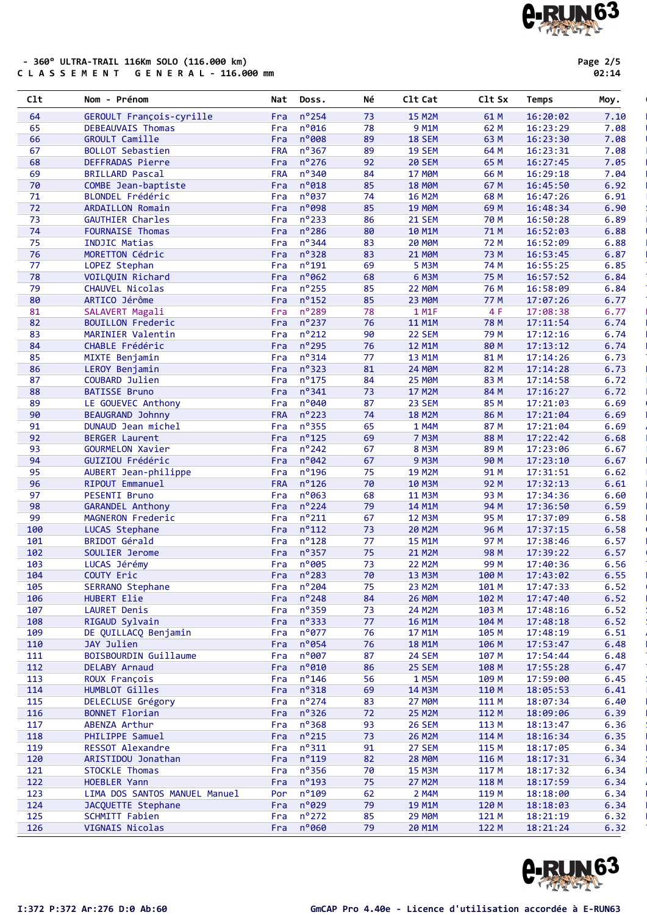|  |  |  |  |  | - 360° ULTRA-TRAIL 116Km SOLO (116.000 km) |  |  |  |  |                               |  |
|--|--|--|--|--|--------------------------------------------|--|--|--|--|-------------------------------|--|
|  |  |  |  |  |                                            |  |  |  |  | CLASSEMENT GENERAL-116.000 mm |  |

| ด2 : : |  | 4 |
|--------|--|---|

| $ct$     | Nom - Prénom                                  | Nat               | Doss.                   | Νé       | C1t Cat                | Clt Sx       | Temps                | Moy.         |
|----------|-----------------------------------------------|-------------------|-------------------------|----------|------------------------|--------------|----------------------|--------------|
| 64       | GEROULT François-cyrille                      | Fra               | $n^{\circ}$ 254         | 73       | <b>15 M2M</b>          | 61 M         | 16:20:02             | 7.10         |
| 65       | DEBEAUVAIS Thomas                             | Fra               | $n^{\circ}$ 016         | 78       | 9 M1M                  | 62 M         | 16:23:29             | 7.08         |
| 66       | <b>GROULT Camille</b>                         | Fra               | n°008                   | 89       | <b>18 SEM</b>          | 63 M         | 16:23:30             | 7.08         |
| 67       | <b>BOLLOT Sebastien</b>                       | <b>FRA</b>        | $n^{\circ}367$          | 89       | <b>19 SEM</b>          | 64 M         | 16:23:31             | 7.08         |
| 68       | DEFFRADAS Pierre                              | Fra               | $n^{\circ}$ 276         | 92       | <b>20 SEM</b>          | 65 M         | 16:27:45             | 7.05         |
| 69       | <b>BRILLARD Pascal</b>                        | <b>FRA</b>        | $n^{\circ}340$          | 84       | <b>17 MØM</b>          | 66 M         | 16:29:18             | 7.04         |
| 70       | COMBE Jean-baptiste                           | Fra               | n°018                   | 85       | <b>18 MØM</b>          | 67 M         | 16:45:50             | 6.92         |
| 71       | BLONDEL Frédéric                              | Fra               | $n^o$ 037               | 74       | <b>16 M2M</b>          | 68 M         | 16:47:26             | 6.91         |
| 72       | ARDAILLON Romain                              | Fra               | n°098                   | 85       | <b>19 MØM</b>          | 69 M         | 16:48:34             | 6.90         |
| 73       | <b>GAUTHIER Charles</b>                       | Fra               | $n^{\circ}$ 233         | 86       | <b>21 SEM</b>          | 70 M         | 16:50:28             | 6.89         |
| 74       | <b>FOURNAISE Thomas</b>                       | Fra               | $n^{\circ}$ 286         | 80       | 10 M1M                 | 71 M         | 16:52:03             | 6.88         |
| 75       | <b>INDJIC Matias</b>                          | Fra               | $n^{\circ}$ 344         | 83       | <b>20 MOM</b>          | 72 M         | 16:52:09             | 6.88         |
| 76       | MORETTON Cédric                               | Fra               | $n^{\circ}328$          | 83       | <b>21 MOM</b>          | 73 M         | 16:53:45             | 6.87         |
| 77       | LOPEZ Stephan                                 | Fra               | $n^{\circ}$ 191         | 69       | 5 M3M                  | 74 M         | 16:55:25             | 6.85         |
| 78       | VOILQUIN Richard                              | Fra               | $n^{\circ}062$          | 68       | 6 M3M                  | 75 M         | 16:57:52             | 6.84         |
| 79       | CHAUVEL Nicolas                               | Fra               | $n^{\circ}$ 255         | 85       | <b>22 MOM</b>          | 76 M         | 16:58:09             | 6.84         |
| 80       | ARTICO Jérôme                                 | Fra               | $n^{\circ}$ 152         | 85       | <b>23 MOM</b>          | 77 M         | 17:07:26             | 6.77         |
| 81       | SALAVERT Magali                               | Fra               | n°289                   | 78       | 1 M1F                  | 4 F          | 17:08:38             | 6.77         |
| 82       | <b>BOUILLON Frederic</b>                      | Fra               | $n^{\circ}$ 237         | 76       | <b>11 M1M</b>          | <b>78 M</b>  | 17:11:54             | 6.74         |
| 83       | MARINIER Valentin                             | Fra               | $n^o$ 212               | 90       | 22 SEM                 | 79 M         | 17:12:16             | 6.74         |
| 84       | CHABLE Frédéric                               | Fra               | $n^{\circ}$ 295         | 76       | 12 M1M                 | 80 M         | 17:13:12             | 6.74         |
| 85       | MIXTE Benjamin                                | Fra               | $n^{\circ}314$          | 77       | 13 M1M                 | 81 M         | 17:14:26             | 6.73         |
| 86       | LEROY Benjamin                                | Fra               | $n^{\circ}323$          | 81       | 24 MOM                 | 82 M         | 17:14:28             | 6.73         |
| 87       | COUBARD Julien                                | Fra               | $n^{\circ}$ 175         | 84       | <b>25 MOM</b>          | 83 M         | 17:14:58             | 6.72         |
| 88       | <b>BATISSE Bruno</b>                          | Fra               | $n^{\circ}341$<br>n°040 | 73       | 17 M2M                 | 84 M         | 17:16:27             | 6.72         |
| 89       | LE GOUEVEC Anthony                            | Fra<br><b>FRA</b> | $n^{\circ}$ 223         | 87<br>74 | 23 SEM                 | 85 M         | 17:21:03             | 6.69         |
| 90<br>91 | <b>BEAUGRAND Johnny</b><br>DUNAUD Jean michel |                   | $n^{\circ}355$          | 65       | <b>18 M2M</b><br>1 M4M | 86 M<br>87 M | 17:21:04<br>17:21:04 | 6.69<br>6.69 |
| 92       | <b>BERGER Laurent</b>                         | Fra               | $n^{\circ}$ 125         | 69       | <b>7 M3M</b>           |              |                      |              |
| 93       | GOURMELON Xavier                              | Fra<br>Fra        | $n^{\circ}$ 242         | 67       | <b>8 M3M</b>           | 88 M<br>89 M | 17:22:42<br>17:23:06 | 6.68<br>6.67 |
| 94       | GUIZIOU Frédéric                              | Fra               | $n^{\circ}042$          | 67       | <b>9 M3M</b>           | 90 M         | 17:23:10             | 6.67         |
| 95       | AUBERT Jean-philippe                          | Fra               | $n^o$ 196               | 75       | <b>19 M2M</b>          | 91 M         | 17:31:51             | 6.62         |
| 96       | RIPOUT Emmanuel                               | <b>FRA</b>        | $n^{\circ}$ 126         | 70       | 10 M3M                 | 92 M         | 17:32:13             | 6.61         |
| 97       | PESENTI Bruno                                 | Fra               | $n^{\circ}063$          | 68       | <b>11 M3M</b>          | 93 M         | 17:34:36             | 6.60         |
| 98       | <b>GARANDEL Anthony</b>                       | Fra               | $n^{\circ}$ 224         | 79       | 14 M1M                 | 94 M         | 17:36:50             | 6.59         |
| 99       | MAGNERON Frederic                             | Fra               | $n^{\circ}211$          | 67       | <b>12 M3M</b>          | 95 M         | 17:37:09             | 6.58         |
| 100      | LUCAS Stephane                                | Fra               | $n^{\circ}112$          | 73       | 20 M2M                 | 96 M         | 17:37:15             | 6.58         |
| 101      | BRIDOT Gérald                                 | Fra               | $n^{\circ}$ 128         | 77       | <b>15 M1M</b>          | 97 M         | 17:38:46             | 6.57         |
| 102      | SOULIER Jerome                                | Fra               | $n^{\circ}357$          | 75       | 21 M2M                 | 98 M         | 17:39:22             | 6.57         |
| 103      | LUCAS Jérémy                                  | Fra               | n°005                   | 73       | <b>22 M2M</b>          | 99 M         | 17:40:36             | 6.56         |
| 104      | COUTY Eric                                    | Fra               | $n^{\circ}283$          | 70       | 13 M3M                 | 100 M        | 17:43:02             | 6.55         |
| 105      | SERRANO Stephane                              | Fra               | $n^{\circ}$ 204         | 75       | 23 M2M                 | 101 M        | 17:47:33             | 6.52         |
| 106      | HUBERT Elie                                   | Fra               | $n^{\circ}$ 248         | 84       | <b>26 MOM</b>          | 102 M        | 17:47:40             | 6.52         |
| 107      | <b>LAURET Denis</b>                           | Fra               | $n^o$ 359               | 73       | 24 M2M                 | 103 M        | 17:48:16             | 6.52         |
| 108      | RIGAUD Sylvain                                | Fra               | $n^{\circ}333$          | 77       | <b>16 M1M</b>          | 104 M        | 17:48:18             | 6.52         |
| 109      | DE QUILLACQ Benjamin                          | Fra               | $n^{\circ}$ 077         | 76       | 17 M1M                 | 105 M        | 17:48:19             | 6.51         |
| 110      | JAY Julien                                    | Fra               | $n^{\circ}$ 054         | 76       | <b>18 M1M</b>          | 106 M        | 17:53:47             | 6.48         |
| 111      | BOISBOURDIN Guillaume                         | Fra               | n°007                   | 87       | <b>24 SEM</b>          | 107 M        | 17:54:44             | 6.48         |
| 112      | DELABY Arnaud                                 | Fra               | $n^{\circ}$ 010         | 86       | 25 SEM                 | 108 M        | 17:55:28             | 6.47         |
| 113      | ROUX François                                 | Fra               | $n^{\circ}$ 146         | 56       | 1 M5M                  | 109 M        | 17:59:00             | 6.45         |
| 114      | HUMBLOT Gilles                                | Fra               | $n^{\circ}318$          | 69       | 14 M3M                 | 110 M        | 18:05:53             | 6.41         |
| 115      | DELECLUSE Grégory                             | Fra               | $n^{\circ}$ 274         | 83       | <b>27 MOM</b>          | 111 M        | 18:07:34             | 6.40         |
| 116      | <b>BONNET Florian</b>                         | Fra               | $n^{\circ}326$          | 72       | <b>25 M2M</b>          | 112 M        | 18:09:06             | 6.39         |
| 117      | ABENZA Arthur                                 | Fra               | $n^o$ 368               | 93       | <b>26 SEM</b>          | 113 M        | 18:13:47             | 6.36         |
| 118      | PHILIPPE Samuel                               | Fra               | $n^{\circ}$ 215         | 73       | 26 M2M                 | 114 M        | 18:16:34             | 6.35         |
| 119      | RESSOT Alexandre                              | Fra               | $n^{\circ}311$          | 91       | 27 SEM                 | 115 M        | 18:17:05             | 6.34         |
| 120      | ARISTIDOU Jonathan                            | Fra               | $n^o$ 119               | 82       | <b>28 MOM</b>          | 116 M        | 18:17:31             | 6.34         |
| 121      | STOCKLE Thomas                                | Fra               | $n^{\circ}356$          | 70       | <b>15 M3M</b>          | 117 M        | 18:17:32             | 6.34         |
| 122      | HOEBLER Yann                                  | Fra               | $n^{\circ}$ 193         | 75       | <b>27 M2M</b>          | 118 M        | 18:17:59             | 6.34         |
| 123      | LIMA DOS SANTOS MANUEL Manuel                 | Por               | $n^{\circ}$ 109         | 62       | 2 M4M                  | 119 M        | 18:18:00             | 6.34         |
| 124      | JACQUETTE Stephane                            | Fra               | $n^{\circ}029$          | 79       | <b>19 M1M</b>          | 120 M        | 18:18:03             | 6.34         |
| 125      | SCHMITT Fabien                                | Fra               | $n^{\circ}$ 272         | 85       | <b>29 MØM</b>          | 121 M        | 18:21:19             | 6.32         |
| 126      | VIGNAIS Nicolas                               |                   | Fra nº060               | 79       | 20 M1M                 | 122 M        | 18:21:24             | 6.32         |



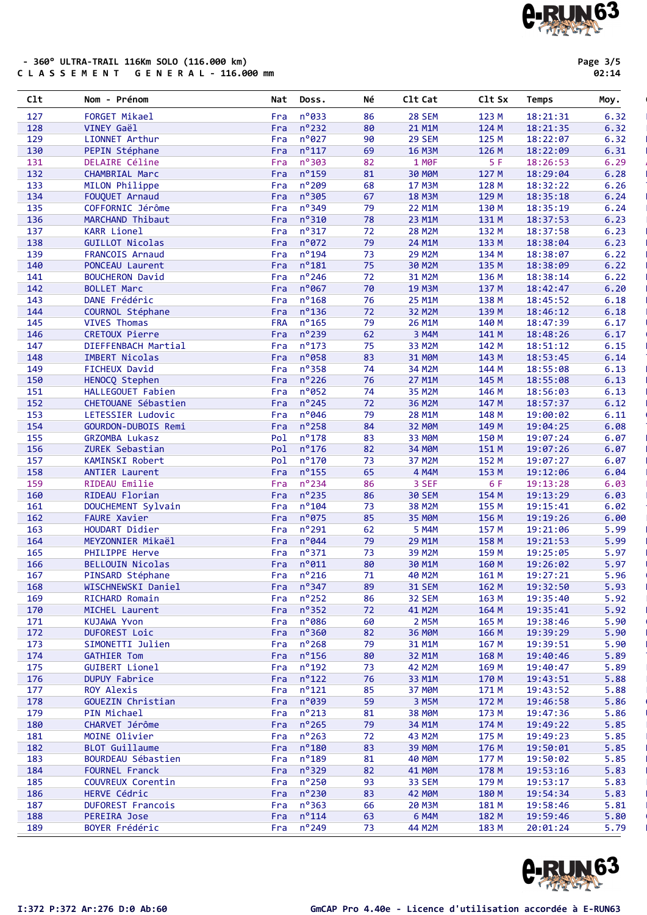### - 360° ULTRA-TRAIL 116Km SOLO (116.000 km) C L A S S E M E N T G E N E R A L - 116.000 mm

**A-RUN63** 

| คว<br>z |  | 4 |
|---------|--|---|

| 129 | LIONNET Arthur           | Fra        | $n^{\circ}027$      | 90 | 29 SEM             | 125 M | 18:22:07 | 6.32 |
|-----|--------------------------|------------|---------------------|----|--------------------|-------|----------|------|
| 130 | PEPIN Stéphane           | Fra        | $n^{\circ}117$      | 69 | <b>16 M3M</b>      | 126 M | 18:22:09 | 6.31 |
| 131 | DELAIRE Céline           | Fra        | $n^{\circ}303$      | 82 | 1 MOF              | 5 F   | 18:26:53 | 6.29 |
| 132 | <b>CHAMBRIAL Marc</b>    | Fra        | $n^o$ 159           | 81 | <b>30 MOM</b>      | 127 M | 18:29:04 | 6.28 |
| 133 | MILON Philippe           | Fra        | $n^{\circ}$ 209     | 68 | <b>17 M3M</b>      | 128 M | 18:32:22 | 6.26 |
|     | FOUQUET Arnaud           |            | $n^{\circ}305$      |    |                    | 129 M |          |      |
| 134 |                          | Fra        |                     | 67 | <b>18 M3M</b>      |       | 18:35:18 | 6.24 |
| 135 | COFFORNIC Jérôme         | Fra        | $n^{\circ}349$      | 79 | 22 M1M             | 130 M | 18:35:19 | 6.24 |
| 136 | MARCHAND Thibaut         | Fra        | $n^{\circ}310$      | 78 | 23 M1M             | 131 M | 18:37:53 | 6.23 |
| 137 | <b>KARR Lionel</b>       | Fra        | $n^{\circ}317$      | 72 | <b>28 M2M</b>      | 132 M | 18:37:58 | 6.23 |
| 138 | <b>GUILLOT Nicolas</b>   | Fra        | $n^{\circ}072$      | 79 | 24 M1M             | 133 M | 18:38:04 | 6.23 |
| 139 | FRANCOIS Arnaud          | Fra        | $n^o$ 194           | 73 | <b>29 M2M</b>      | 134 M | 18:38:07 | 6.22 |
| 140 | PONCEAU Laurent          | Fra        | $n^{\circ}181$      | 75 | 30 M2M             | 135 M | 18:38:09 | 6.22 |
| 141 | <b>BOUCHERON David</b>   | Fra        | $n^{\circ}$ 246     | 72 | 31 M2M             | 136 M | 18:38:14 | 6.22 |
| 142 | <b>BOLLET Marc</b>       | Fra        | $n^{\circ}$ 067     | 70 | 19 M3M             | 137 M | 18:42:47 | 6.20 |
| 143 | DANE Frédéric            | Fra        | $n^{\circ}$ 168     | 76 | 25 M1M             | 138 M | 18:45:52 | 6.18 |
| 144 | COURNOL Stéphane         | Fra        | $n^{\circ}$ 136     | 72 | 32 M2M             | 139 M | 18:46:12 | 6.18 |
| 145 | <b>VIVES Thomas</b>      | <b>FRA</b> | $n^{\circ}$ 165     | 79 | 26 M1M             | 140 M | 18:47:39 | 6.17 |
| 146 | CRETOUX Pierre           | Fra        | $n^{\circ}$ 239     | 62 | 3 M4M              | 141 M | 18:48:26 | 6.17 |
| 147 | DIEFFENBACH Martial      | Fra        | $n^{\circ}$ 173     | 75 | 33 M2M             | 142 M | 18:51:12 | 6.15 |
| 148 | <b>IMBERT Nicolas</b>    | Fra        | $n^o$ 058           | 83 | 31 MOM             | 143 M | 18:53:45 | 6.14 |
|     | <b>FICHEUX David</b>     |            | $n^{\circ}358$      |    |                    |       |          |      |
| 149 |                          | Fra        |                     | 74 | 34 M2M             | 144 M | 18:55:08 | 6.13 |
| 150 | HENOCQ Stephen           | Fra        | $n^{\circ}$ 226     | 76 | 27 M1M             | 145 M | 18:55:08 | 6.13 |
| 151 | HALLEGOUET Fabien        | Fra        | $n^{\circ}052$      | 74 | 35 M2M             | 146 M | 18:56:03 | 6.13 |
| 152 | CHETOUANE Sébastien      | Fra        | $n^{\circ}$ 245     | 72 | 36 M2M             | 147 M | 18:57:37 | 6.12 |
| 153 | LETESSIER Ludovic        | Fra        | $n^{\circ}046$      | 79 | 28 M1M             | 148 M | 19:00:02 | 6.11 |
| 154 | GOURDON-DUBOIS Remi      | Fra        | $n^o$ 258           | 84 | 32 MOM             | 149 M | 19:04:25 | 6.08 |
| 155 | <b>GRZOMBA Lukasz</b>    | Pol        | $n^{\circ}$ 178     | 83 | 33 MOM             | 150 M | 19:07:24 | 6.07 |
| 156 | ZUREK Sebastian          |            | Pol nº176           | 82 | <b>34 MOM</b>      | 151 M | 19:07:26 | 6.07 |
| 157 | KAMINSKI Robert          | Pol        | $n^{\circ}$ 170     | 73 | 37 M2M             | 152 M | 19:07:27 | 6.07 |
| 158 | <b>ANTIER Laurent</b>    | Fra        | $n^{\circ}$ 155     | 65 | 4 M4M              | 153 M | 19:12:06 | 6.04 |
| 159 | RIDEAU Emilie            | Fra        | $n^o$ 234           | 86 | 3 SEF              | 6 F   | 19:13:28 | 6.03 |
| 160 | RIDEAU Florian           | Fra        | $n^{\circ}$ 235     | 86 | <b>30 SEM</b>      | 154 M | 19:13:29 | 6.03 |
| 161 | DOUCHEMENT Sylvain       | Fra        | $n^{\circ}104$      | 73 | 38 M2M             | 155 M | 19:15:41 | 6.02 |
|     | <b>FAURE Xavier</b>      | Fra        | $n^{\circ}075$      | 85 | 35 MOM             | 156 M | 19:19:26 |      |
| 162 |                          |            |                     |    |                    |       |          | 6.00 |
| 163 | HOUDART Didier           | Fra        | $n^{\circ}$ 291     | 62 | 5 M4M              | 157 M | 19:21:06 | 5.99 |
| 164 | MEYZONNIER Mikaël        | Fra        | $n^{\circ}044$      | 79 | 29 M1M             | 158 M | 19:21:53 | 5.99 |
| 165 | PHILIPPE Herve           | Fra        | $n^{\circ}371$      | 73 | 39 M2M             | 159 M | 19:25:05 | 5.97 |
| 166 | BELLOUIN Nicolas         | Fra        | $n^{\circ}011$      | 80 | 30 M1M             | 160 M | 19:26:02 | 5.97 |
| 167 | PINSARD Stéphane         | Fra        | $n^{\circ}216$      | 71 | 40 M2M             | 161 M | 19:27:21 | 5.96 |
| 168 | WISCHNEWSKI Daniel       | Fra        | $n^{\circ}347$      | 89 | <b>31 SEM</b>      | 162 M | 19:32:50 | 5.93 |
| 169 | RICHARD Romain           | Fra        | $n^{\circ}252$      | 86 | 32 SEM             | 163 M | 19:35:40 | 5.92 |
| 170 | MICHEL Laurent           |            | Fra nº352           | 72 | 41 M2M             | 164 M | 19:35:41 | 5.92 |
| 171 | KUJAWA Yvon              |            | Fra nº086           | 60 | 2 M5M              | 165 M | 19:38:46 | 5.90 |
| 172 | <b>DUFOREST Loic</b>     |            | Fra $n^{\circ}360$  | 82 | 36 MOM             | 166 M | 19:39:29 | 5.90 |
| 173 | SIMONETTI Julien         | Fra        | $n^{\circ}$ 268     | 79 | 31 M1M             | 167 M | 19:39:51 | 5.90 |
| 174 | <b>GATHIER Tom</b>       |            | Fra $n^{\circ}$ 156 | 80 | 32 M1M             | 168 M | 19:40:46 | 5.89 |
| 175 | <b>GUIBERT Lionel</b>    |            | Fra $n^{\circ}192$  | 73 | 42 M2M             | 169 M | 19:40:47 | 5.89 |
| 176 | <b>DUPUY Fabrice</b>     | Fra        | $n^{\circ}$ 122     | 76 | 33 M1M             | 170 M | 19:43:51 | 5.88 |
|     |                          |            |                     |    |                    |       |          |      |
| 177 | ROY Alexis               | Fra        | $n^{\circ}121$      | 85 | 37 MOM             | 171 M | 19:43:52 | 5.88 |
| 178 | <b>GOUEZIN Christian</b> |            | Fra $n^{\circ}$ 039 | 59 | 3 M5M              | 172 M | 19:46:58 | 5.86 |
| 179 | PIN Michael              |            | Fra $n^{\circ}213$  | 81 | <b>38 MOM</b>      | 173 M | 19:47:36 | 5.86 |
| 180 | CHARVET Jérôme           | Fra        | $n^{\circ}$ 265     | 79 | 34 M1M             | 174 M | 19:49:22 | 5.85 |
| 181 | MOINE Olivier            | Fra        | $n^{\circ}263$      | 72 | 43 M2M             | 175 M | 19:49:23 | 5.85 |
| 182 | <b>BLOT Guillaume</b>    |            | Fra $n^{\circ}180$  | 83 | 39 M <sub>OM</sub> | 176 M | 19:50:01 | 5.85 |
| 183 | BOURDEAU Sébastien       |            | Fra $n^{\circ}$ 189 | 81 | <b>40 MOM</b>      | 177 M | 19:50:02 | 5.85 |
| 184 | <b>FOURNEL Franck</b>    | Fra        | $n^o$ 329           | 82 | 41 MOM             | 178 M | 19:53:16 | 5.83 |
| 185 | COUVREUX Corentin        | Fra        | $n^{\circ}$ 250     | 93 | 33 SEM             | 179 M | 19:53:17 | 5.83 |
| 186 | HERVE Cédric             |            | Fra nº230           | 83 | <b>42 MOM</b>      | 180 M | 19:54:34 | 5.83 |
|     |                          |            |                     |    |                    |       |          |      |

187 DUFOREST Francois Fra n°363 66 20 M3M 181 M 19:58:46 5.81

188 PEREIRA Jose Fra nº114 63 6 M4M 182 M 19:59:46 5.80 189 BOYER Frédéric **Fran<sup>o</sup>249 73 44 M2M 183 M 20:01:24** 5.79

Clt Nom - Prénom Nat Doss. Né Clt Cat Clt Sx Temps Moy. '

128 VINEY Gaël **Fran°232 80 21 M1M** 124 M 18:21:35 6.32

127 FORGET Mikael **Fran°033 86** 28 SEM 123 M 18:21:31 6.32

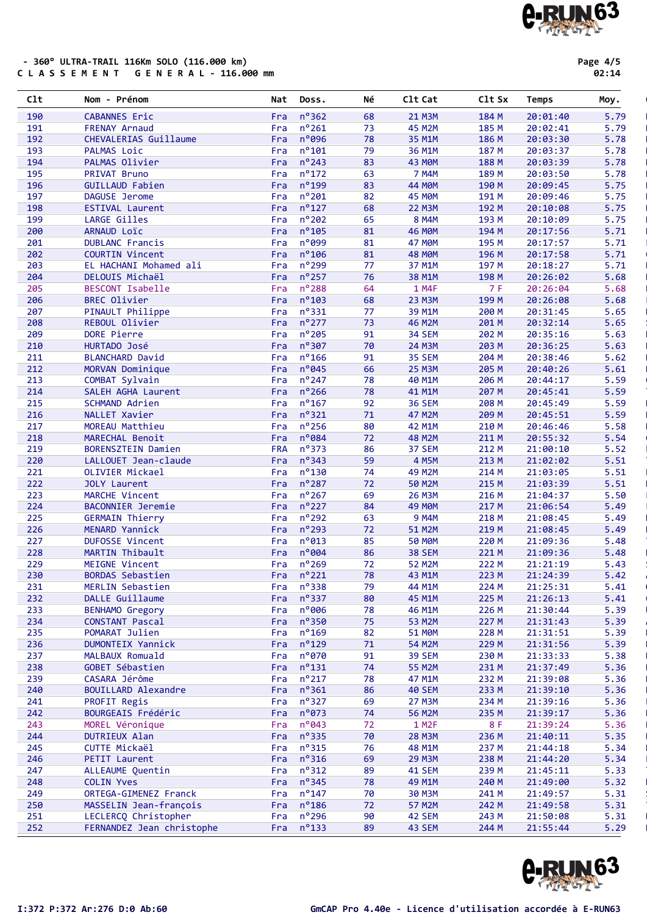**FERNANDEZ Jean christophe Fra** 

| I:372 P:372 Ar:276 D:0 Ab:60 | <b>GmCAP Pro 4.40e - Licence d'utilisation accordée à E-RUN63</b> |  |
|------------------------------|-------------------------------------------------------------------|--|
|                              |                                                                   |  |

**A.RUN63** 

FRATI

#### - 360° ULTRA-TRAIL 116Km SOLO (116.000 km) C L A S S E M E N T G E N E R A L - 116.000 mm

| 191 | <b>FRENAY Arnaud</b>       | Fra        | $n^{\circ}261$      | 73 | 45 M2M             | 185 M | 20:02:41 | 5.79 |
|-----|----------------------------|------------|---------------------|----|--------------------|-------|----------|------|
| 192 | CHEVALERIAS Guillaume      | Fra        | $n^{\circ}$ 096     | 78 | 35 M1M             | 186 M | 20:03:30 | 5.78 |
| 193 | PALMAS Loic                | Fra        | $n^{\circ}101$      | 79 | 36 M1M             | 187 M | 20:03:37 | 5.78 |
| 194 | PALMAS Olivier             | Fra        | $n^{\circ}$ 243     | 83 | 43 MOM             | 188 M | 20:03:39 | 5.78 |
| 195 | PRIVAT Bruno               | Fra        | $n^{\circ}$ 172     | 63 | 7 M4M              | 189 M | 20:03:50 | 5.78 |
| 196 | <b>GUILLAUD Fabien</b>     | Fra        | $n^o$ 199           | 83 | <b>44 MØM</b>      | 190 M | 20:09:45 | 5.75 |
| 197 | DAGUSE Jerome              | Fra        | $n^{\circ}201$      | 82 | 45 M <sub>OM</sub> | 191 M | 20:09:46 | 5.75 |
| 198 | <b>ESTIVAL Laurent</b>     | Fra        | $n^{\circ}127$      | 68 | <b>22 M3M</b>      | 192 M | 20:10:08 | 5.75 |
| 199 | LARGE Gilles               | Fra        | $n^{\circ}202$      | 65 | 8 M4M              | 193 M | 20:10:09 | 5.75 |
| 200 | ARNAUD Loïc                | Fra        | $n^{\circ}105$      | 81 | <b>46 MØM</b>      | 194 M | 20:17:56 | 5.71 |
| 201 | <b>DUBLANC Francis</b>     | Fra        | $n^o$ 099           | 81 | <b>47 MØM</b>      | 195 M | 20:17:57 | 5.71 |
| 202 | <b>COURTIN Vincent</b>     | Fra        | $n^{\circ}106$      | 81 | <b>48 MØM</b>      | 196 M | 20:17:58 | 5.71 |
| 203 | EL HACHANI Mohamed ali     | Fra        | n <sup>o</sup> 299  | 77 | 37 M1M             | 197 M | 20:18:27 | 5.71 |
| 204 | DELOUIS Michaël            | Fra        | $n^{\circ}$ 257     | 76 | 38 M1M             | 198 M | 20:26:02 | 5.68 |
| 205 | BESCONT Isabelle           |            | $n^{\circ}$ 288     | 64 | 1 M4F              | 7 F   | 20:26:04 | 5.68 |
|     |                            | Fra        | $n^{\circ}103$      |    |                    |       |          |      |
| 206 | <b>BREC Olivier</b>        | Fra        |                     | 68 | 23 M3M             | 199 M | 20:26:08 | 5.68 |
| 207 | PINAULT Philippe           |            | Fra nº331           | 77 | 39 M1M             | 200 M | 20:31:45 | 5.65 |
| 208 | REBOUL Olivier             | Fra        | $n^{\circ}$ 277     | 73 | 46 M2M             | 201 M | 20:32:14 | 5.65 |
| 209 | DORE Pierre                | Fra        | $n^{\circ}$ 205     | 91 | 34 SEM             | 202 M | 20:35:16 | 5.63 |
| 210 | HURTADO José               | Fra        | $n^{\circ}307$      | 70 | 24 M3M             | 203 M | 20:36:25 | 5.63 |
| 211 | <b>BLANCHARD David</b>     | Fra        | $n^{\circ}$ 166     | 91 | 35 SEM             | 204 M | 20:38:46 | 5.62 |
| 212 | MORVAN Dominique           | Fra        | $n^{\circ}045$      | 66 | <b>25 M3M</b>      | 205 M | 20:40:26 | 5.61 |
| 213 | COMBAT Sylvain             | Fra        | $n^{\circ}$ 247     | 78 | 40 M1M             | 206 M | 20:44:17 | 5.59 |
| 214 | SALEH AGHA Laurent         | Fra        | $n^{\circ}$ 266     | 78 | 41 M1M             | 207 M | 20:45:41 | 5.59 |
| 215 | SCHMAND Adrien             | Fra        | $n^{\circ}$ 167     | 92 | <b>36 SEM</b>      | 208 M | 20:45:49 | 5.59 |
| 216 | NALLET Xavier              | Fra        | $n^{\circ}321$      | 71 | 47 M2M             | 209 M | 20:45:51 | 5.59 |
| 217 | MOREAU Matthieu            | Fra        | $n^{\circ}$ 256     | 80 | 42 M1M             | 210 M | 20:46:46 | 5.58 |
| 218 | MARECHAL Benoit            | Fra        | $n^{\circ}084$      | 72 | <b>48 M2M</b>      | 211 M | 20:55:32 | 5.54 |
| 219 | <b>BORENSZTEIN Damien</b>  | <b>FRA</b> | $n^{\circ}373$      | 86 | 37 SEM             | 212 M | 21:00:10 | 5.52 |
| 220 | LALLOUET Jean-claude       | Fra        | $n^{\circ}343$      | 59 | 4 M5M              | 213 M | 21:02:02 | 5.51 |
| 221 | OLIVIER Mickael            | Fra        | $n^{\circ}$ 130     | 74 | 49 M2M             | 214 M | 21:03:05 | 5.51 |
| 222 | <b>JOLY Laurent</b>        | Fra        | $n^{\circ}287$      | 72 | 50 M2M             | 215 M | 21:03:39 | 5.51 |
| 223 | MARCHE Vincent             | Fra        | $n^{\circ}267$      | 69 | 26 M3M             | 216 M | 21:04:37 | 5.50 |
| 224 | <b>BACONNIER Jeremie</b>   |            | Fra nº227           | 84 | <b>49 MØM</b>      | 217 M | 21:06:54 | 5.49 |
| 225 | <b>GERMAIN Thierry</b>     | Fra        | $n^{\circ}$ 292     | 63 | <b>9 M4M</b>       | 218 M | 21:08:45 | 5.49 |
| 226 | MENARD Yannick             | Fra        | $n^{\circ}$ 293     | 72 | 51 M2M             | 219 M | 21:08:45 | 5.49 |
| 227 | <b>DUFOSSE Vincent</b>     | Fra        | $n^{\circ}013$      | 85 | <b>50 MOM</b>      | 220 M | 21:09:36 | 5.48 |
| 228 | MARTIN Thibault            | Fra        | $n^{\circ}004$      | 86 | <b>38 SEM</b>      | 221 M | 21:09:36 | 5.48 |
| 229 | MEIGNE Vincent             | Fra        | $n^{\circ}$ 269     | 72 | 52 M2M             | 222 M | 21:21:19 | 5.43 |
| 230 | <b>BORDAS Sebastien</b>    | Fra        | $n^{\circ}221$      | 78 | 43 M1M             | 223 M | 21:24:39 | 5.42 |
| 231 | MERLIN Sebastien           | Fra        | $n^{\circ}338$      | 79 | 44 M1M             | 224 M | 21:25:31 | 5.41 |
| 232 | DALLE Guillaume            |            | Fra $n^{\circ}337$  | 80 | 45 M1M             | 225 M | 21:26:13 | 5.41 |
| 233 | <b>BENHAMO Gregory</b>     |            | Fra nº006           | 78 | 46 M1M             | 226 M | 21:30:44 | 5.39 |
| 234 | CONSTANT Pascal            |            | Fra $n^{\circ}350$  | 75 | 53 M2M             | 227 M | 21:31:43 | 5.39 |
| 235 | POMARAT Julien             | Fra        | $n^o$ 169           | 82 | <b>51 MOM</b>      | 228 M | 21:31:51 | 5.39 |
| 236 | <b>DUMONTEIX Yannick</b>   |            | Fra $n^{\circ}$ 129 | 71 | 54 M2M             | 229 M | 21:31:56 | 5.39 |
| 237 | MALBAUX Romuald            | Fra        | $n^{\circ}070$      | 91 | <b>39 SEM</b>      | 230 M | 21:33:33 | 5.38 |
| 238 | GOBET Sébastien            | Fra        | $n^o$ 131           | 74 | <b>55 M2M</b>      | 231 M | 21:37:49 | 5.36 |
| 239 | CASARA Jérôme              | Fra        | $n^o$ 217           | 78 | 47 M1M             | 232 M | 21:39:08 | 5.36 |
| 240 | <b>BOUILLARD Alexandre</b> | Fra        | $n^{\circ}361$      | 86 | <b>40 SEM</b>      | 233 M | 21:39:10 | 5.36 |
| 241 | PROFIT Regis               | Fra        | $n^{\circ}327$      | 69 | <b>27 M3M</b>      | 234 M | 21:39:16 | 5.36 |
| 242 | BOURGEAIS Frédéric         | Fra        | $n^o$ 073           | 74 | <b>56 M2M</b>      | 235 M | 21:39:17 | 5.36 |
| 243 | MOREL Véronique            | Fra        | $n^o043$            | 72 | 1 M2F              | 8 F   | 21:39:24 | 5.36 |
| 244 | <b>DUTRIEUX Alan</b>       | Fra        | $n^{\circ}335$      | 70 | <b>28 M3M</b>      | 236 M | 21:40:11 | 5.35 |
| 245 | CUTTE Mickaël              | Fra        | $n^o$ 315           | 76 | 48 M1M             | 237 M | 21:44:18 | 5.34 |
| 246 | PETIT Laurent              | Fra        | $n^{\circ}316$      | 69 | <b>29 M3M</b>      | 238 M | 21:44:20 | 5.34 |
| 247 | ALLEAUME Quentin           | Fra        | $n^o$ 312           | 89 | <b>41 SEM</b>      | 239 M | 21:45:11 | 5.33 |
| 248 | <b>COLIN Yves</b>          | Fra        | $n^{\circ}345$      | 78 | 49 M1M             | 240 M | 21:49:00 | 5.32 |
| 249 | ORTEGA-GIMENEZ Franck      |            | Fra $n^{\circ}147$  | 70 | 30 M3M             | 241 M | 21:49:57 | 5.31 |
|     |                            |            |                     |    |                    |       |          |      |

250 MASSELIN Jean-françois Fra n°186 72 57 M2M 242 M 21:49:58 5.31<br>251 LECLERCQ Christopher Fra n°296 90 42 SEM 243 M 21:50:08 5.31 251 LECLERCQ Christopher Fra n°296 90 42 SEM 243 M 21:50:08 5.31 Non Licencié

Clt Nom - Prénom Nat Doss. Né Clt Cat Clt Sx Temps Moy. '

190 CABANNES Eric Fra nº362 68 21 M3M 184 M 20:01:40 5.79